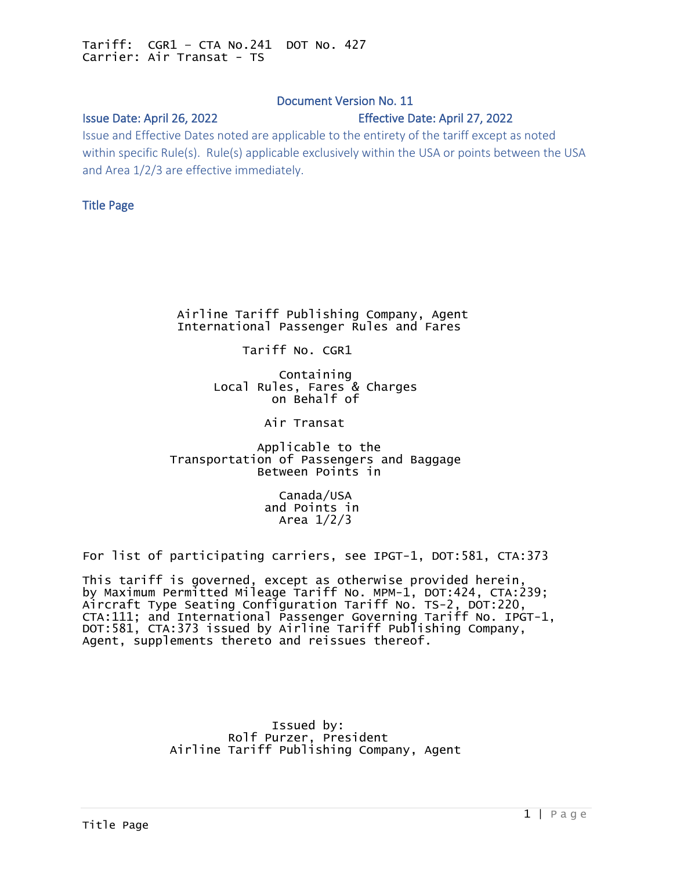# Document Version No. 11

## <span id="page-0-0"></span>Issue Date: April 26, 2022 Effective Date: April 27, 2022

Issue and Effective Dates noted are applicable to the entirety of the tariff except as noted within specific Rule(s). Rule(s) applicable exclusively within the USA or points between the USA and Area 1/2/3 are effective immediately.

## Title Page

 Airline Tariff Publishing Company, Agent International Passenger Rules and Fares

Tariff No. CGR1

 Containing Local Rules, Fares & Charges on Behalf of

Air Transat

 Applicable to the Transportation of Passengers and Baggage Between Points in

> Canada/USA and Points in Area 1/2/3

For list of participating carriers, see IPGT-1, DOT:581, CTA:373

This tariff is governed, except as otherwise provided herein, by Maximum Permitted Mileage Tariff No. MPM-1, DOT:424, CTA:239; Aircraft Type Seating Configuration Tariff No. TS-2, DOT:220, CTA:111; and International Passenger Governing Tariff No. IPGT-1, DOT:581, CTA:373 issued by Airline Tariff Publishing Company, Agent, supplements thereto and reissues thereof.

 Issued by: Rolf Purzer, President Airline Tariff Publishing Company, Agent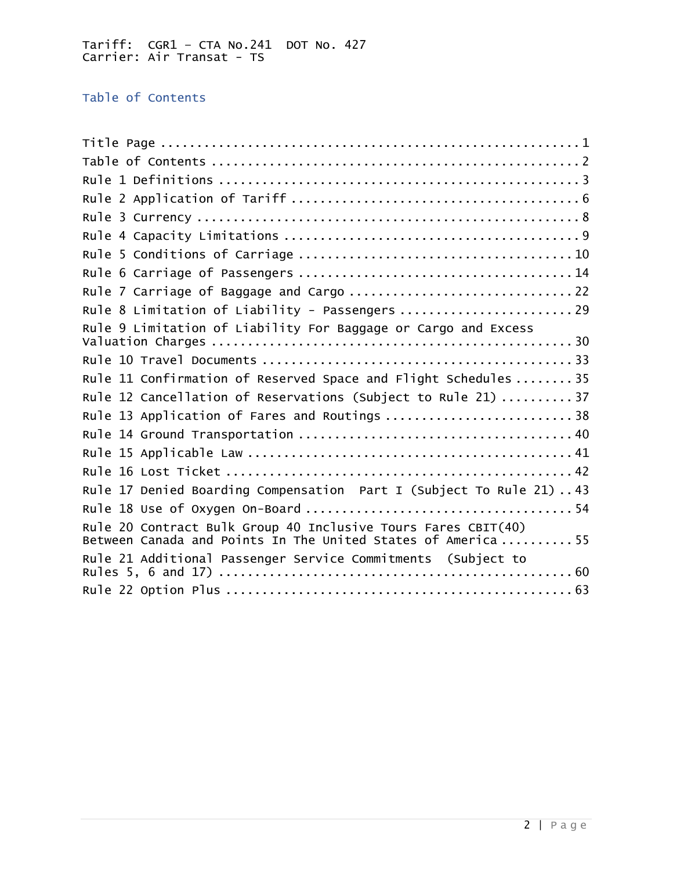<span id="page-1-0"></span>Table of Contents

| Rule 7 Carriage of Baggage and Cargo  22                                                                                      |
|-------------------------------------------------------------------------------------------------------------------------------|
| Rule 8 Limitation of Liability - Passengers  29                                                                               |
| Rule 9 Limitation of Liability For Baggage or Cargo and Excess                                                                |
|                                                                                                                               |
| Rule 11 Confirmation of Reserved Space and Flight Schedules  35                                                               |
| Rule 12 Cancellation of Reservations (Subject to Rule 21)  37                                                                 |
| Rule 13 Application of Fares and Routings  38                                                                                 |
|                                                                                                                               |
|                                                                                                                               |
|                                                                                                                               |
| Rule 17 Denied Boarding Compensation Part I (Subject To Rule 21)43                                                            |
|                                                                                                                               |
| Rule 20 Contract Bulk Group 40 Inclusive Tours Fares CBIT(40)<br>Between Canada and Points In The United States of America 55 |
| Rule 21 Additional Passenger Service Commitments (Subject to                                                                  |
|                                                                                                                               |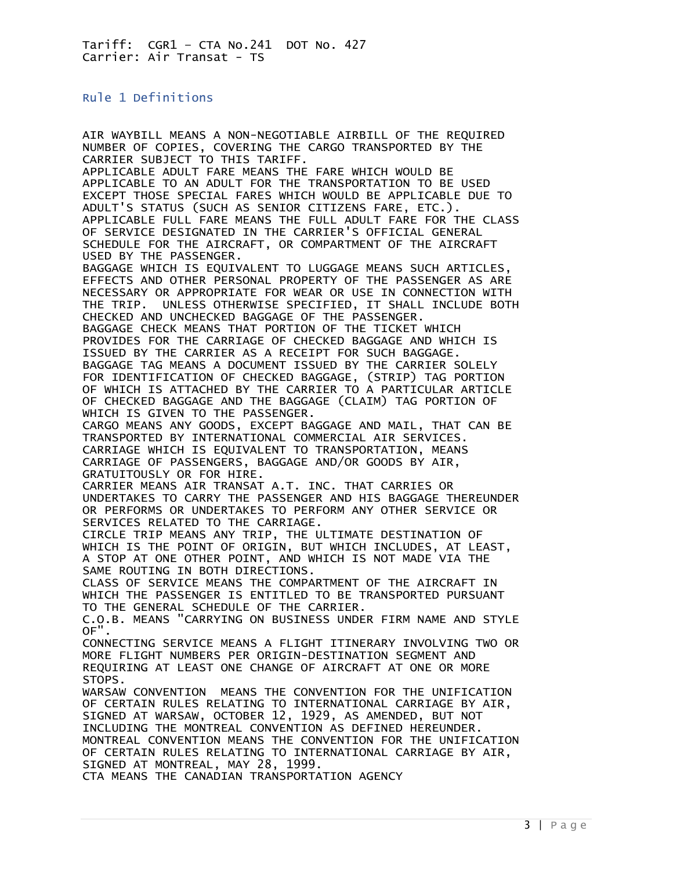## <span id="page-2-0"></span>Rule 1 Definitions

AIR WAYBILL MEANS A NON-NEGOTIABLE AIRBILL OF THE REQUIRED NUMBER OF COPIES, COVERING THE CARGO TRANSPORTED BY THE CARRIER SUBJECT TO THIS TARIFF. APPLICABLE ADULT FARE MEANS THE FARE WHICH WOULD BE APPLICABLE TO AN ADULT FOR THE TRANSPORTATION TO BE USED EXCEPT THOSE SPECIAL FARES WHICH WOULD BE APPLICABLE DUE TO ADULT'S STATUS (SUCH AS SENIOR CITIZENS FARE, ETC.). APPLICABLE FULL FARE MEANS THE FULL ADULT FARE FOR THE CLASS OF SERVICE DESIGNATED IN THE CARRIER'S OFFICIAL GENERAL SCHEDULE FOR THE AIRCRAFT, OR COMPARTMENT OF THE AIRCRAFT USED BY THE PASSENGER. BAGGAGE WHICH IS EQUIVALENT TO LUGGAGE MEANS SUCH ARTICLES, EFFECTS AND OTHER PERSONAL PROPERTY OF THE PASSENGER AS ARE NECESSARY OR APPROPRIATE FOR WEAR OR USE IN CONNECTION WITH THE TRIP. UNLESS OTHERWISE SPECIFIED, IT SHALL INCLUDE BOTH CHECKED AND UNCHECKED BAGGAGE OF THE PASSENGER. BAGGAGE CHECK MEANS THAT PORTION OF THE TICKET WHICH PROVIDES FOR THE CARRIAGE OF CHECKED BAGGAGE AND WHICH IS ISSUED BY THE CARRIER AS A RECEIPT FOR SUCH BAGGAGE. BAGGAGE TAG MEANS A DOCUMENT ISSUED BY THE CARRIER SOLELY FOR IDENTIFICATION OF CHECKED BAGGAGE, (STRIP) TAG PORTION OF WHICH IS ATTACHED BY THE CARRIER TO A PARTICULAR ARTICLE OF CHECKED BAGGAGE AND THE BAGGAGE (CLAIM) TAG PORTION OF WHICH IS GIVEN TO THE PASSENGER. CARGO MEANS ANY GOODS, EXCEPT BAGGAGE AND MAIL, THAT CAN BE TRANSPORTED BY INTERNATIONAL COMMERCIAL AIR SERVICES. CARRIAGE WHICH IS EQUIVALENT TO TRANSPORTATION, MEANS CARRIAGE OF PASSENGERS, BAGGAGE AND/OR GOODS BY AIR, GRATUITOUSLY OR FOR HIRE. CARRIER MEANS AIR TRANSAT A.T. INC. THAT CARRIES OR UNDERTAKES TO CARRY THE PASSENGER AND HIS BAGGAGE THEREUNDER OR PERFORMS OR UNDERTAKES TO PERFORM ANY OTHER SERVICE OR SERVICES RELATED TO THE CARRIAGE. CIRCLE TRIP MEANS ANY TRIP, THE ULTIMATE DESTINATION OF WHICH IS THE POINT OF ORIGIN, BUT WHICH INCLUDES, AT LEAST, A STOP AT ONE OTHER POINT, AND WHICH IS NOT MADE VIA THE SAME ROUTING IN BOTH DIRECTIONS. CLASS OF SERVICE MEANS THE COMPARTMENT OF THE AIRCRAFT IN WHICH THE PASSENGER IS ENTITLED TO BE TRANSPORTED PURSUANT TO THE GENERAL SCHEDULE OF THE CARRIER. C.O.B. MEANS "CARRYING ON BUSINESS UNDER FIRM NAME AND STYLE OF". CONNECTING SERVICE MEANS A FLIGHT ITINERARY INVOLVING TWO OR MORE FLIGHT NUMBERS PER ORIGIN-DESTINATION SEGMENT AND REQUIRING AT LEAST ONE CHANGE OF AIRCRAFT AT ONE OR MORE STOPS. WARSAW CONVENTION MEANS THE CONVENTION FOR THE UNIFICATION OF CERTAIN RULES RELATING TO INTERNATIONAL CARRIAGE BY AIR, SIGNED AT WARSAW, OCTOBER 12, 1929, AS AMENDED, BUT NOT INCLUDING THE MONTREAL CONVENTION AS DEFINED HEREUNDER. MONTREAL CONVENTION MEANS THE CONVENTION FOR THE UNIFICATION OF CERTAIN RULES RELATING TO INTERNATIONAL CARRIAGE BY AIR, SIGNED AT MONTREAL, MAY 28, 1999. CTA MEANS THE CANADIAN TRANSPORTATION AGENCY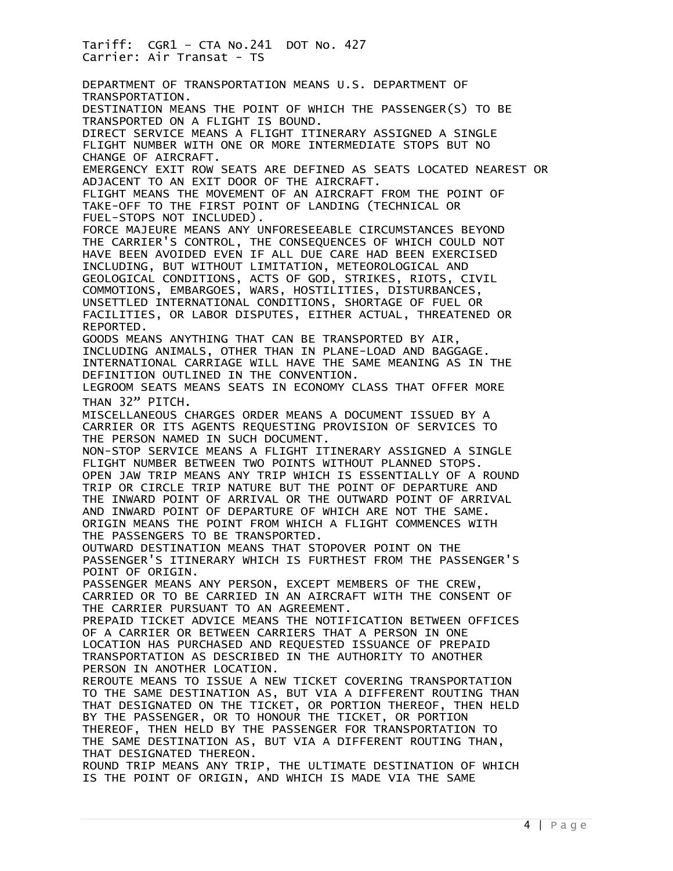Tariff: CGR1 – CTA No.241 DOT No. 427 Carrier: Air Transat - TS DEPARTMENT OF TRANSPORTATION MEANS U.S. DEPARTMENT OF TRANSPORTATION. DESTINATION MEANS THE POINT OF WHICH THE PASSENGER(S) TO BE TRANSPORTED ON A FLIGHT IS BOUND. DIRECT SERVICE MEANS A FLIGHT ITINERARY ASSIGNED A SINGLE FLIGHT NUMBER WITH ONE OR MORE INTERMEDIATE STOPS BUT NO CHANGE OF AIRCRAFT. EMERGENCY EXIT ROW SEATS ARE DEFINED AS SEATS LOCATED NEAREST OR ADJACENT TO AN EXIT DOOR OF THE AIRCRAFT. FLIGHT MEANS THE MOVEMENT OF AN AIRCRAFT FROM THE POINT OF TAKE-OFF TO THE FIRST POINT OF LANDING (TECHNICAL OR FUEL-STOPS NOT INCLUDED). FORCE MAJEURE MEANS ANY UNFORESEEABLE CIRCUMSTANCES BEYOND THE CARRIER'S CONTROL, THE CONSEQUENCES OF WHICH COULD NOT HAVE BEEN AVOIDED EVEN IF ALL DUE CARE HAD BEEN EXERCISED INCLUDING, BUT WITHOUT LIMITATION, METEOROLOGICAL AND GEOLOGICAL CONDITIONS, ACTS OF GOD, STRIKES, RIOTS, CIVIL COMMOTIONS, EMBARGOES, WARS, HOSTILITIES, DISTURBANCES, UNSETTLED INTERNATIONAL CONDITIONS, SHORTAGE OF FUEL OR FACILITIES, OR LABOR DISPUTES, EITHER ACTUAL, THREATENED OR REPORTED. GOODS MEANS ANYTHING THAT CAN BE TRANSPORTED BY AIR, INCLUDING ANIMALS, OTHER THAN IN PLANE-LOAD AND BAGGAGE. INTERNATIONAL CARRIAGE WILL HAVE THE SAME MEANING AS IN THE DEFINITION OUTLINED IN THE CONVENTION. LEGROOM SEATS MEANS SEATS IN ECONOMY CLASS THAT OFFER MORE THAN 32" PITCH. MISCELLANEOUS CHARGES ORDER MEANS A DOCUMENT ISSUED BY A CARRIER OR ITS AGENTS REQUESTING PROVISION OF SERVICES TO THE PERSON NAMED IN SUCH DOCUMENT. NON-STOP SERVICE MEANS A FLIGHT ITINERARY ASSIGNED A SINGLE FLIGHT NUMBER BETWEEN TWO POINTS WITHOUT PLANNED STOPS. OPEN JAW TRIP MEANS ANY TRIP WHICH IS ESSENTIALLY OF A ROUND TRIP OR CIRCLE TRIP NATURE BUT THE POINT OF DEPARTURE AND THE INWARD POINT OF ARRIVAL OR THE OUTWARD POINT OF ARRIVAL AND INWARD POINT OF DEPARTURE OF WHICH ARE NOT THE SAME. ORIGIN MEANS THE POINT FROM WHICH A FLIGHT COMMENCES WITH THE PASSENGERS TO BE TRANSPORTED. OUTWARD DESTINATION MEANS THAT STOPOVER POINT ON THE PASSENGER'S ITINERARY WHICH IS FURTHEST FROM THE PASSENGER'S POINT OF ORIGIN. PASSENGER MEANS ANY PERSON, EXCEPT MEMBERS OF THE CREW, CARRIED OR TO BE CARRIED IN AN AIRCRAFT WITH THE CONSENT OF THE CARRIER PURSUANT TO AN AGREEMENT. PREPAID TICKET ADVICE MEANS THE NOTIFICATION BETWEEN OFFICES OF A CARRIER OR BETWEEN CARRIERS THAT A PERSON IN ONE LOCATION HAS PURCHASED AND REQUESTED ISSUANCE OF PREPAID TRANSPORTATION AS DESCRIBED IN THE AUTHORITY TO ANOTHER PERSON IN ANOTHER LOCATION. REROUTE MEANS TO ISSUE A NEW TICKET COVERING TRANSPORTATION TO THE SAME DESTINATION AS, BUT VIA A DIFFERENT ROUTING THAN THAT DESIGNATED ON THE TICKET, OR PORTION THEREOF, THEN HELD BY THE PASSENGER, OR TO HONOUR THE TICKET, OR PORTION THEREOF, THEN HELD BY THE PASSENGER FOR TRANSPORTATION TO THE SAME DESTINATION AS, BUT VIA A DIFFERENT ROUTING THAN, THAT DESIGNATED THEREON. ROUND TRIP MEANS ANY TRIP, THE ULTIMATE DESTINATION OF WHICH IS THE POINT OF ORIGIN, AND WHICH IS MADE VIA THE SAME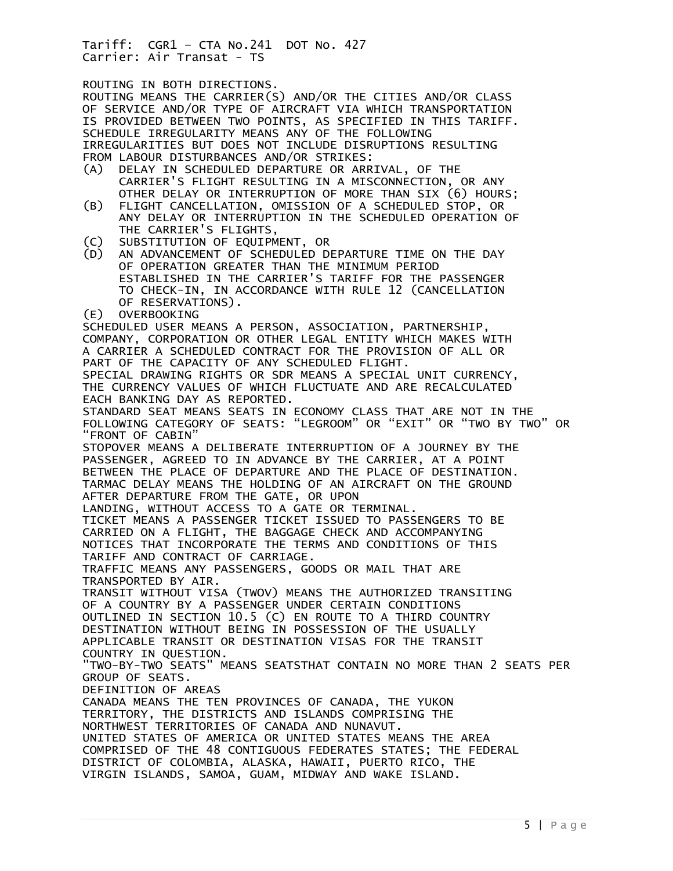ROUTING IN BOTH DIRECTIONS.

ROUTING MEANS THE CARRIER(S) AND/OR THE CITIES AND/OR CLASS OF SERVICE AND/OR TYPE OF AIRCRAFT VIA WHICH TRANSPORTATION IS PROVIDED BETWEEN TWO POINTS, AS SPECIFIED IN THIS TARIFF. SCHEDULE IRREGULARITY MEANS ANY OF THE FOLLOWING IRREGULARITIES BUT DOES NOT INCLUDE DISRUPTIONS RESULTING FROM LABOUR DISTURBANCES AND/OR STRIKES:<br>(A) DELAY IN SCHEDULED DEPARTURE OR ARR DELAY IN SCHEDULED DEPARTURE OR ARRIVAL, OF THE CARRIER'S FLIGHT RESULTING IN A MISCONNECTION, OR ANY OTHER DELAY OR INTERRUPTION OF MORE THAN SIX (6) HOURS; (B) FLIGHT CANCELLATION, OMISSION OF A SCHEDULED STOP, OR ANY DELAY OR INTERRUPTION IN THE SCHEDULED OPERATION OF THE CARRIER'S FLIGHTS,<br>C) SUBSTITUTION OF EQUIPM SUBSTITUTION OF EQUIPMENT, OR (D) AN ADVANCEMENT OF SCHEDULED DEPARTURE TIME ON THE DAY OF OPERATION GREATER THAN THE MINIMUM PERIOD ESTABLISHED IN THE CARRIER'S TARIFF FOR THE PASSENGER TO CHECK-IN, IN ACCORDANCE WITH RULE 12 (CANCELLATION OF RESERVATIONS). (E) OVERBOOKING SCHEDULED USER MEANS A PERSON, ASSOCIATION, PARTNERSHIP, COMPANY, CORPORATION OR OTHER LEGAL ENTITY WHICH MAKES WITH A CARRIER A SCHEDULED CONTRACT FOR THE PROVISION OF ALL OR PART OF THE CAPACITY OF ANY SCHEDULED FLIGHT. SPECIAL DRAWING RIGHTS OR SDR MEANS A SPECIAL UNIT CURRENCY, THE CURRENCY VALUES OF WHICH FLUCTUATE AND ARE RECALCULATED EACH BANKING DAY AS REPORTED. STANDARD SEAT MEANS SEATS IN ECONOMY CLASS THAT ARE NOT IN THE FOLLOWING CATEGORY OF SEATS: "LEGROOM" OR "EXIT" OR "TWO BY TWO" OR "FRONT OF CABIN" STOPOVER MEANS A DELIBERATE INTERRUPTION OF A JOURNEY BY THE PASSENGER, AGREED TO IN ADVANCE BY THE CARRIER, AT A POINT BETWEEN THE PLACE OF DEPARTURE AND THE PLACE OF DESTINATION. TARMAC DELAY MEANS THE HOLDING OF AN AIRCRAFT ON THE GROUND AFTER DEPARTURE FROM THE GATE, OR UPON LANDING, WITHOUT ACCESS TO A GATE OR TERMINAL. TICKET MEANS A PASSENGER TICKET ISSUED TO PASSENGERS TO BE CARRIED ON A FLIGHT, THE BAGGAGE CHECK AND ACCOMPANYING NOTICES THAT INCORPORATE THE TERMS AND CONDITIONS OF THIS TARIFF AND CONTRACT OF CARRIAGE. TRAFFIC MEANS ANY PASSENGERS, GOODS OR MAIL THAT ARE TRANSPORTED BY AIR. TRANSIT WITHOUT VISA (TWOV) MEANS THE AUTHORIZED TRANSITING OF A COUNTRY BY A PASSENGER UNDER CERTAIN CONDITIONS OUTLINED IN SECTION 10.5 (C) EN ROUTE TO A THIRD COUNTRY DESTINATION WITHOUT BEING IN POSSESSION OF THE USUALLY APPLICABLE TRANSIT OR DESTINATION VISAS FOR THE TRANSIT COUNTRY IN QUESTION. "TWO-BY-TWO SEATS" MEANS SEATSTHAT CONTAIN NO MORE THAN 2 SEATS PER GROUP OF SEATS. DEFINITION OF AREAS CANADA MEANS THE TEN PROVINCES OF CANADA, THE YUKON TERRITORY, THE DISTRICTS AND ISLANDS COMPRISING THE NORTHWEST TERRITORIES OF CANADA AND NUNAVUT. UNITED STATES OF AMERICA OR UNITED STATES MEANS THE AREA COMPRISED OF THE 48 CONTIGUOUS FEDERATES STATES; THE FEDERAL DISTRICT OF COLOMBIA, ALASKA, HAWAII, PUERTO RICO, THE VIRGIN ISLANDS, SAMOA, GUAM, MIDWAY AND WAKE ISLAND.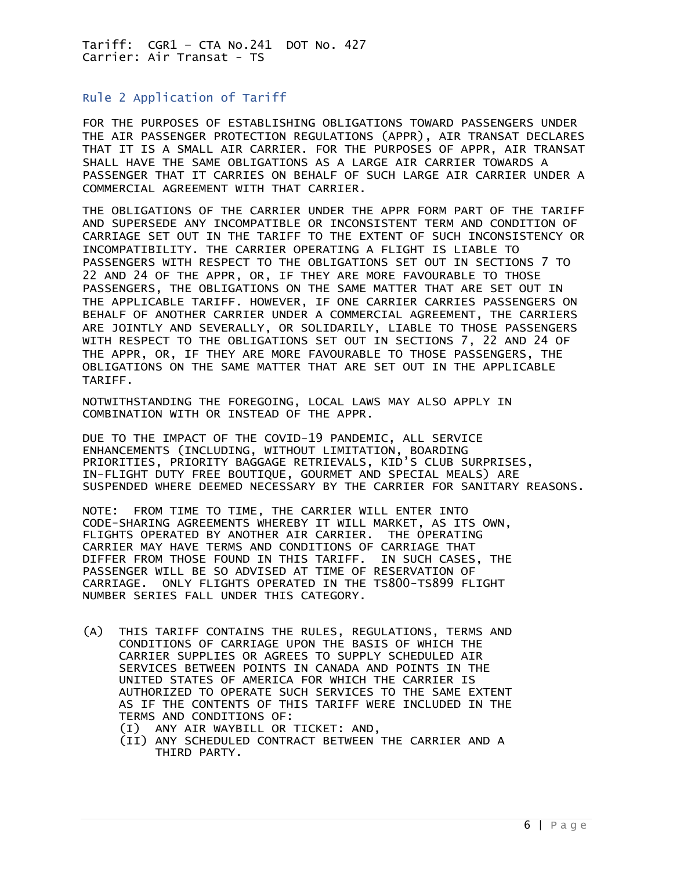### <span id="page-5-0"></span>Rule 2 Application of Tariff

FOR THE PURPOSES OF ESTABLISHING OBLIGATIONS TOWARD PASSENGERS UNDER THE AIR PASSENGER PROTECTION REGULATIONS (APPR), AIR TRANSAT DECLARES THAT IT IS A SMALL AIR CARRIER. FOR THE PURPOSES OF APPR, AIR TRANSAT SHALL HAVE THE SAME OBLIGATIONS AS A LARGE AIR CARRIER TOWARDS A PASSENGER THAT IT CARRIES ON BEHALF OF SUCH LARGE AIR CARRIER UNDER A COMMERCIAL AGREEMENT WITH THAT CARRIER.

THE OBLIGATIONS OF THE CARRIER UNDER THE APPR FORM PART OF THE TARIFF AND SUPERSEDE ANY INCOMPATIBLE OR INCONSISTENT TERM AND CONDITION OF CARRIAGE SET OUT IN THE TARIFF TO THE EXTENT OF SUCH INCONSISTENCY OR INCOMPATIBILITY. THE CARRIER OPERATING A FLIGHT IS LIABLE TO PASSENGERS WITH RESPECT TO THE OBLIGATIONS SET OUT IN SECTIONS 7 TO 22 AND 24 OF THE APPR, OR, IF THEY ARE MORE FAVOURABLE TO THOSE PASSENGERS, THE OBLIGATIONS ON THE SAME MATTER THAT ARE SET OUT IN THE APPLICABLE TARIFF. HOWEVER, IF ONE CARRIER CARRIES PASSENGERS ON BEHALF OF ANOTHER CARRIER UNDER A COMMERCIAL AGREEMENT, THE CARRIERS ARE JOINTLY AND SEVERALLY, OR SOLIDARILY, LIABLE TO THOSE PASSENGERS WITH RESPECT TO THE OBLIGATIONS SET OUT IN SECTIONS 7, 22 AND 24 OF THE APPR, OR, IF THEY ARE MORE FAVOURABLE TO THOSE PASSENGERS, THE OBLIGATIONS ON THE SAME MATTER THAT ARE SET OUT IN THE APPLICABLE TARIFF.

NOTWITHSTANDING THE FOREGOING, LOCAL LAWS MAY ALSO APPLY IN COMBINATION WITH OR INSTEAD OF THE APPR.

DUE TO THE IMPACT OF THE COVID-19 PANDEMIC, ALL SERVICE ENHANCEMENTS (INCLUDING, WITHOUT LIMITATION, BOARDING PRIORITIES, PRIORITY BAGGAGE RETRIEVALS, KID'S CLUB SURPRISES, IN-FLIGHT DUTY FREE BOUTIQUE, GOURMET AND SPECIAL MEALS) ARE SUSPENDED WHERE DEEMED NECESSARY BY THE CARRIER FOR SANITARY REASONS.

NOTE: FROM TIME TO TIME, THE CARRIER WILL ENTER INTO CODE-SHARING AGREEMENTS WHEREBY IT WILL MARKET, AS ITS OWN, FLIGHTS OPERATED BY ANOTHER AIR CARRIER. THE OPERATING CARRIER MAY HAVE TERMS AND CONDITIONS OF CARRIAGE THAT DIFFER FROM THOSE FOUND IN THIS TARIFF. IN SUCH CASES, THE PASSENGER WILL BE SO ADVISED AT TIME OF RESERVATION OF CARRIAGE. ONLY FLIGHTS OPERATED IN THE TS800-TS899 FLIGHT NUMBER SERIES FALL UNDER THIS CATEGORY.

- (A) THIS TARIFF CONTAINS THE RULES, REGULATIONS, TERMS AND CONDITIONS OF CARRIAGE UPON THE BASIS OF WHICH THE CARRIER SUPPLIES OR AGREES TO SUPPLY SCHEDULED AIR SERVICES BETWEEN POINTS IN CANADA AND POINTS IN THE UNITED STATES OF AMERICA FOR WHICH THE CARRIER IS AUTHORIZED TO OPERATE SUCH SERVICES TO THE SAME EXTENT AS IF THE CONTENTS OF THIS TARIFF WERE INCLUDED IN THE TERMS AND CONDITIONS OF:
	- (I) ANY AIR WAYBILL OR TICKET: AND,
	- (II) ANY SCHEDULED CONTRACT BETWEEN THE CARRIER AND A THIRD PARTY.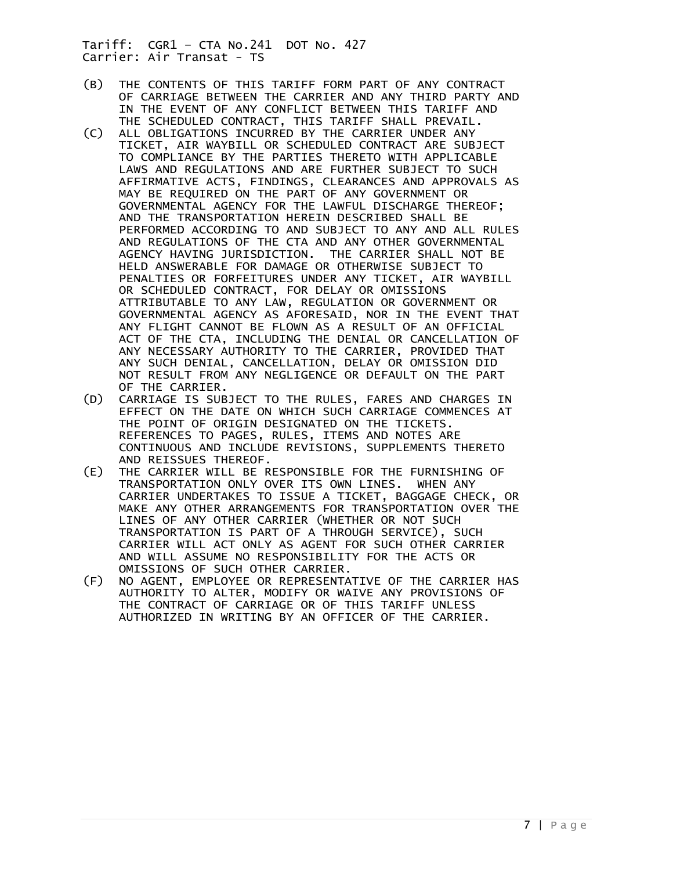- (B) THE CONTENTS OF THIS TARIFF FORM PART OF ANY CONTRACT OF CARRIAGE BETWEEN THE CARRIER AND ANY THIRD PARTY AND IN THE EVENT OF ANY CONFLICT BETWEEN THIS TARIFF AND THE SCHEDULED CONTRACT, THIS TARIFF SHALL PREVAIL.<br>(C) ALL OBLIGATIONS INCURRED BY THE CARRIER UNDER ANY
- ALL OBLIGATIONS INCURRED BY THE CARRIER UNDER ANY TICKET, AIR WAYBILL OR SCHEDULED CONTRACT ARE SUBJECT TO COMPLIANCE BY THE PARTIES THERETO WITH APPLICABLE LAWS AND REGULATIONS AND ARE FURTHER SUBJECT TO SUCH AFFIRMATIVE ACTS, FINDINGS, CLEARANCES AND APPROVALS AS MAY BE REQUIRED ON THE PART OF ANY GOVERNMENT OR GOVERNMENTAL AGENCY FOR THE LAWFUL DISCHARGE THEREOF; AND THE TRANSPORTATION HEREIN DESCRIBED SHALL BE PERFORMED ACCORDING TO AND SUBJECT TO ANY AND ALL RULES AND REGULATIONS OF THE CTA AND ANY OTHER GOVERNMENTAL AGENCY HAVING JURISDICTION. THE CARRIER SHALL NOT BE HELD ANSWERABLE FOR DAMAGE OR OTHERWISE SUBJECT TO PENALTIES OR FORFEITURES UNDER ANY TICKET, AIR WAYBILL OR SCHEDULED CONTRACT, FOR DELAY OR OMISSIONS ATTRIBUTABLE TO ANY LAW, REGULATION OR GOVERNMENT OR GOVERNMENTAL AGENCY AS AFORESAID, NOR IN THE EVENT THAT ANY FLIGHT CANNOT BE FLOWN AS A RESULT OF AN OFFICIAL ACT OF THE CTA, INCLUDING THE DENIAL OR CANCELLATION OF ANY NECESSARY AUTHORITY TO THE CARRIER, PROVIDED THAT ANY SUCH DENIAL, CANCELLATION, DELAY OR OMISSION DID NOT RESULT FROM ANY NEGLIGENCE OR DEFAULT ON THE PART OF THE CARRIER.
- (D) CARRIAGE IS SUBJECT TO THE RULES, FARES AND CHARGES IN EFFECT ON THE DATE ON WHICH SUCH CARRIAGE COMMENCES AT THE POINT OF ORIGIN DESIGNATED ON THE TICKETS. REFERENCES TO PAGES, RULES, ITEMS AND NOTES ARE CONTINUOUS AND INCLUDE REVISIONS, SUPPLEMENTS THERETO AND REISSUES THEREOF.
- (E) THE CARRIER WILL BE RESPONSIBLE FOR THE FURNISHING OF TRANSPORTATION ONLY OVER ITS OWN LINES. WHEN ANY CARRIER UNDERTAKES TO ISSUE A TICKET, BAGGAGE CHECK, OR MAKE ANY OTHER ARRANGEMENTS FOR TRANSPORTATION OVER THE LINES OF ANY OTHER CARRIER (WHETHER OR NOT SUCH TRANSPORTATION IS PART OF A THROUGH SERVICE), SUCH CARRIER WILL ACT ONLY AS AGENT FOR SUCH OTHER CARRIER AND WILL ASSUME NO RESPONSIBILITY FOR THE ACTS OR OMISSIONS OF SUCH OTHER CARRIER.
- (F) NO AGENT, EMPLOYEE OR REPRESENTATIVE OF THE CARRIER HAS AUTHORITY TO ALTER, MODIFY OR WAIVE ANY PROVISIONS OF THE CONTRACT OF CARRIAGE OR OF THIS TARIFF UNLESS AUTHORIZED IN WRITING BY AN OFFICER OF THE CARRIER.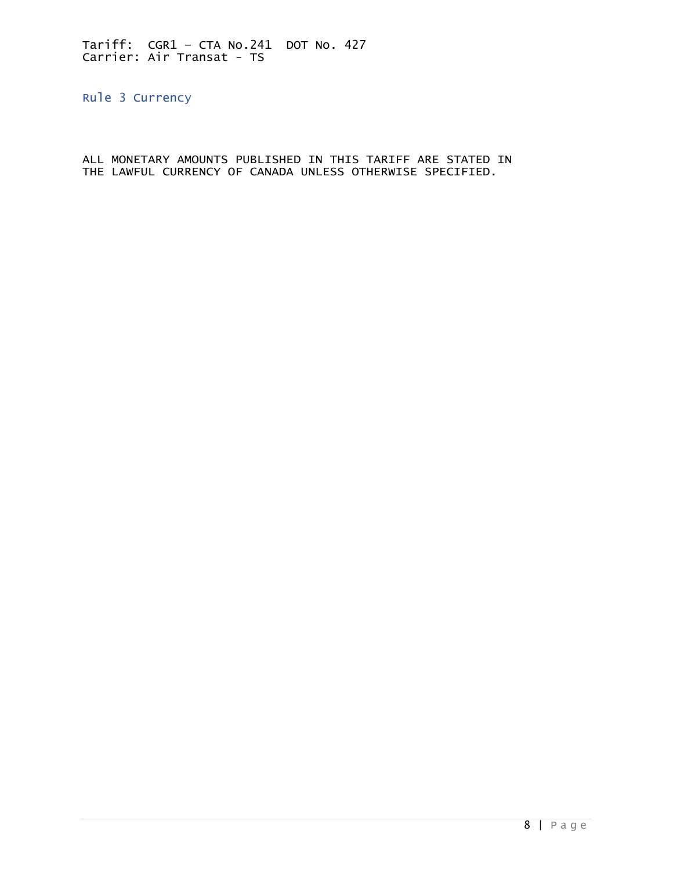<span id="page-7-0"></span>Rule 3 Currency

ALL MONETARY AMOUNTS PUBLISHED IN THIS TARIFF ARE STATED IN THE LAWFUL CURRENCY OF CANADA UNLESS OTHERWISE SPECIFIED.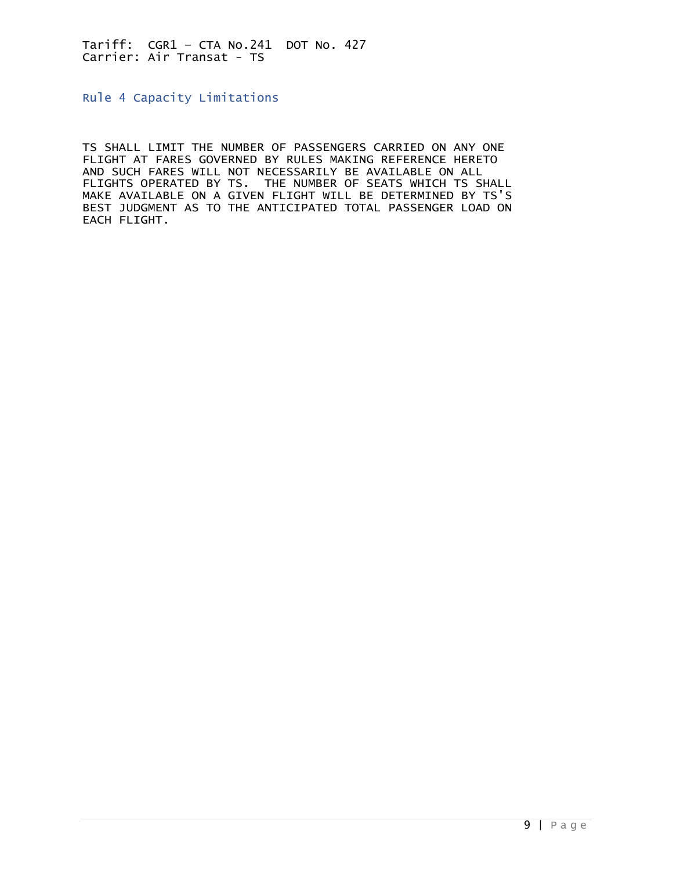<span id="page-8-0"></span>Rule 4 Capacity Limitations

TS SHALL LIMIT THE NUMBER OF PASSENGERS CARRIED ON ANY ONE FLIGHT AT FARES GOVERNED BY RULES MAKING REFERENCE HERETO AND SUCH FARES WILL NOT NECESSARILY BE AVAILABLE ON ALL FLIGHTS OPERATED BY TS. THE NUMBER OF SEATS WHICH TS SHALL MAKE AVAILABLE ON A GIVEN FLIGHT WILL BE DETERMINED BY TS'S BEST JUDGMENT AS TO THE ANTICIPATED TOTAL PASSENGER LOAD ON EACH FLIGHT.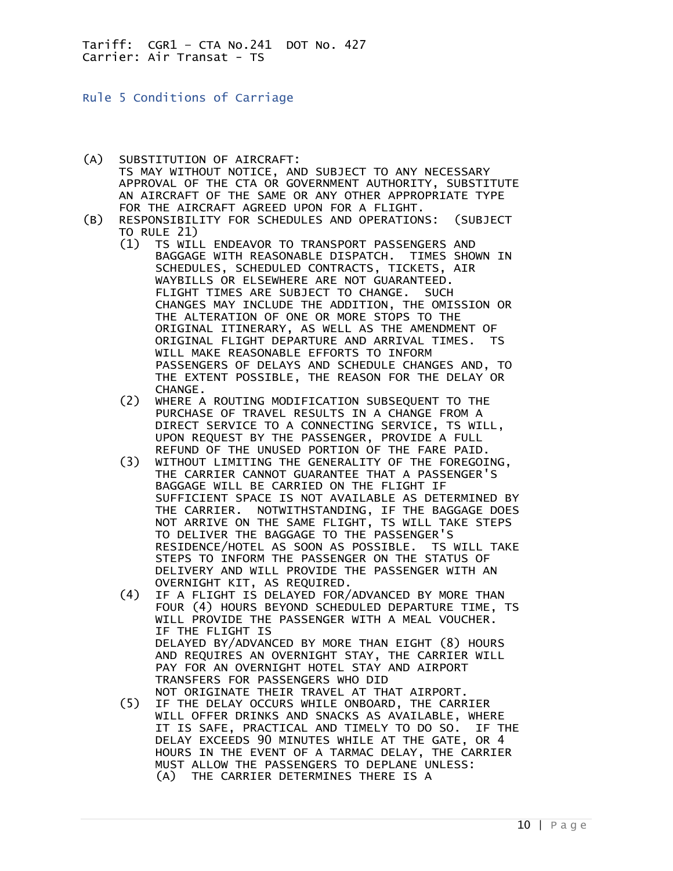<span id="page-9-0"></span>Rule 5 Conditions of Carriage

- (A) SUBSTITUTION OF AIRCRAFT: TS MAY WITHOUT NOTICE, AND SUBJECT TO ANY NECESSARY APPROVAL OF THE CTA OR GOVERNMENT AUTHORITY, SUBSTITUTE AN AIRCRAFT OF THE SAME OR ANY OTHER APPROPRIATE TYPE FOR THE AIRCRAFT AGREED UPON FOR A FLIGHT.
- (B) RESPONSIBILITY FOR SCHEDULES AND OPERATIONS: (SUBJECT TO RULE 21)<br>(1) TS WIL
	- TS WILL ENDEAVOR TO TRANSPORT PASSENGERS AND BAGGAGE WITH REASONABLE DISPATCH. TIMES SHOWN IN SCHEDULES, SCHEDULED CONTRACTS, TICKETS, AIR WAYBILLS OR ELSEWHERE ARE NOT GUARANTEED. FLIGHT TIMES ARE SUBJECT TO CHANGE. SUCH CHANGES MAY INCLUDE THE ADDITION, THE OMISSION OR THE ALTERATION OF ONE OR MORE STOPS TO THE ORIGINAL ITINERARY, AS WELL AS THE AMENDMENT OF ORIGINAL FLIGHT DEPARTURE AND ARRIVAL TIMES. TS WILL MAKE REASONABLE EFFORTS TO INFORM PASSENGERS OF DELAYS AND SCHEDULE CHANGES AND, TO THE EXTENT POSSIBLE, THE REASON FOR THE DELAY OR CHANGE.
	- (2) WHERE A ROUTING MODIFICATION SUBSEQUENT TO THE PURCHASE OF TRAVEL RESULTS IN A CHANGE FROM A DIRECT SERVICE TO A CONNECTING SERVICE, TS WILL, UPON REQUEST BY THE PASSENGER, PROVIDE A FULL
- REFUND OF THE UNUSED PORTION OF THE FARE PAID.<br>WITHOUT LIMITING THE GENERALITY OF THE FOREGOI WITHOUT LIMITING THE GENERALITY OF THE FOREGOING. THE CARRIER CANNOT GUARANTEE THAT A PASSENGER'S BAGGAGE WILL BE CARRIED ON THE FLIGHT IF SUFFICIENT SPACE IS NOT AVAILABLE AS DETERMINED BY THE CARRIER. NOTWITHSTANDING, IF THE BAGGAGE DOES NOT ARRIVE ON THE SAME FLIGHT, TS WILL TAKE STEPS TO DELIVER THE BAGGAGE TO THE PASSENGER'S RESIDENCE/HOTEL AS SOON AS POSSIBLE. TS WILL TAKE STEPS TO INFORM THE PASSENGER ON THE STATUS OF DELIVERY AND WILL PROVIDE THE PASSENGER WITH AN OVERNIGHT KIT, AS REQUIRED.
- (4) IF A FLIGHT IS DELAYED FOR/ADVANCED BY MORE THAN FOUR (4) HOURS BEYOND SCHEDULED DEPARTURE TIME, TS WILL PROVIDE THE PASSENGER WITH A MEAL VOUCHER. IF THE FLIGHT IS DELAYED BY/ADVANCED BY MORE THAN EIGHT (8) HOURS AND REQUIRES AN OVERNIGHT STAY, THE CARRIER WILL PAY FOR AN OVERNIGHT HOTEL STAY AND AIRPORT TRANSFERS FOR PASSENGERS WHO DID NOT ORIGINATE THEIR TRAVEL AT THAT AIRPORT.
	- (5) IF THE DELAY OCCURS WHILE ONBOARD, THE CARRIER WILL OFFER DRINKS AND SNACKS AS AVAILABLE, WHERE IT IS SAFE, PRACTICAL AND TIMELY TO DO SO. IF THE DELAY EXCEEDS 90 MINUTES WHILE AT THE GATE, OR 4 HOURS IN THE EVENT OF A TARMAC DELAY, THE CARRIER MUST ALLOW THE PASSENGERS TO DEPLANE UNLESS: (A) THE CARRIER DETERMINES THERE IS A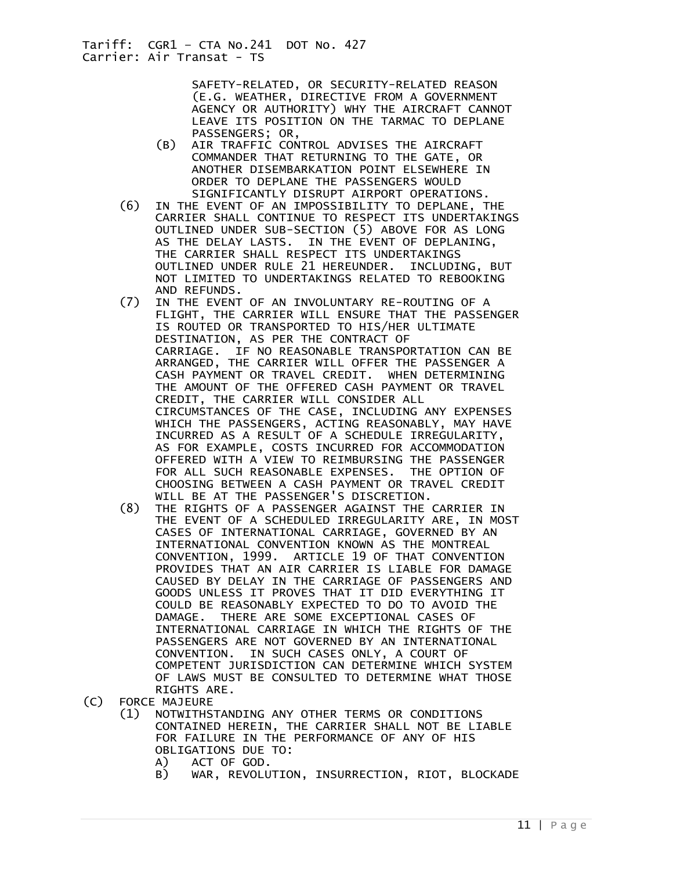> SAFETY-RELATED, OR SECURITY-RELATED REASON (E.G. WEATHER, DIRECTIVE FROM A GOVERNMENT AGENCY OR AUTHORITY) WHY THE AIRCRAFT CANNOT LEAVE ITS POSITION ON THE TARMAC TO DEPLANE PASSENGERS; OR,

- (B) AIR TRAFFIC CONTROL ADVISES THE AIRCRAFT COMMANDER THAT RETURNING TO THE GATE, OR ANOTHER DISEMBARKATION POINT ELSEWHERE IN ORDER TO DEPLANE THE PASSENGERS WOULD SIGNIFICANTLY DISRUPT AIRPORT OPERATIONS.
- (6) IN THE EVENT OF AN IMPOSSIBILITY TO DEPLANE, THE CARRIER SHALL CONTINUE TO RESPECT ITS UNDERTAKINGS OUTLINED UNDER SUB-SECTION (5) ABOVE FOR AS LONG AS THE DELAY LASTS. IN THE EVENT OF DEPLANING, THE CARRIER SHALL RESPECT ITS UNDERTAKINGS OUTLINED UNDER RULE 21 HEREUNDER. INCLUDING, BUT NOT LIMITED TO UNDERTAKINGS RELATED TO REBOOKING AND REFUNDS.
- (7) IN THE EVENT OF AN INVOLUNTARY RE-ROUTING OF A FLIGHT, THE CARRIER WILL ENSURE THAT THE PASSENGER IS ROUTED OR TRANSPORTED TO HIS/HER ULTIMATE DESTINATION, AS PER THE CONTRACT OF CARRIAGE. IF NO REASONABLE TRANSPORTATION CAN BE ARRANGED, THE CARRIER WILL OFFER THE PASSENGER A CASH PAYMENT OR TRAVEL CREDIT. WHEN DETERMINING THE AMOUNT OF THE OFFERED CASH PAYMENT OR TRAVEL CREDIT, THE CARRIER WILL CONSIDER ALL CIRCUMSTANCES OF THE CASE, INCLUDING ANY EXPENSES WHICH THE PASSENGERS, ACTING REASONABLY, MAY HAVE INCURRED AS A RESULT OF A SCHEDULE IRREGULARITY, AS FOR EXAMPLE, COSTS INCURRED FOR ACCOMMODATION OFFERED WITH A VIEW TO REIMBURSING THE PASSENGER FOR ALL SUCH REASONABLE EXPENSES. THE OPTION OF CHOOSING BETWEEN A CASH PAYMENT OR TRAVEL CREDIT WILL BE AT THE PASSENGER'S DISCRETION.<br>THE RIGHTS OF A PASSENGER AGAINST THE
	- THE RIGHTS OF A PASSENGER AGAINST THE CARRIER IN THE EVENT OF A SCHEDULED IRREGULARITY ARE, IN MOST CASES OF INTERNATIONAL CARRIAGE, GOVERNED BY AN INTERNATIONAL CONVENTION KNOWN AS THE MONTREAL CONVENTION, 1999. ARTICLE 19 OF THAT CONVENTION PROVIDES THAT AN AIR CARRIER IS LIABLE FOR DAMAGE CAUSED BY DELAY IN THE CARRIAGE OF PASSENGERS AND GOODS UNLESS IT PROVES THAT IT DID EVERYTHING IT COULD BE REASONABLY EXPECTED TO DO TO AVOID THE DAMAGE. THERE ARE SOME EXCEPTIONAL CASES OF INTERNATIONAL CARRIAGE IN WHICH THE RIGHTS OF THE PASSENGERS ARE NOT GOVERNED BY AN INTERNATIONAL CONVENTION. IN SUCH CASES ONLY, A COURT OF COMPETENT JURISDICTION CAN DETERMINE WHICH SYSTEM OF LAWS MUST BE CONSULTED TO DETERMINE WHAT THOSE
- RIGHTS ARE.<br>C) FORCE MAJEURE FORCE MAJEURE
	- (1) NOTWITHSTANDING ANY OTHER TERMS OR CONDITIONS CONTAINED HEREIN, THE CARRIER SHALL NOT BE LIABLE FOR FAILURE IN THE PERFORMANCE OF ANY OF HIS OBLIGATIONS DUE TO:<br>A) ACT OF GOD.
		- ACT OF GOD.
		- B) WAR, REVOLUTION, INSURRECTION, RIOT, BLOCKADE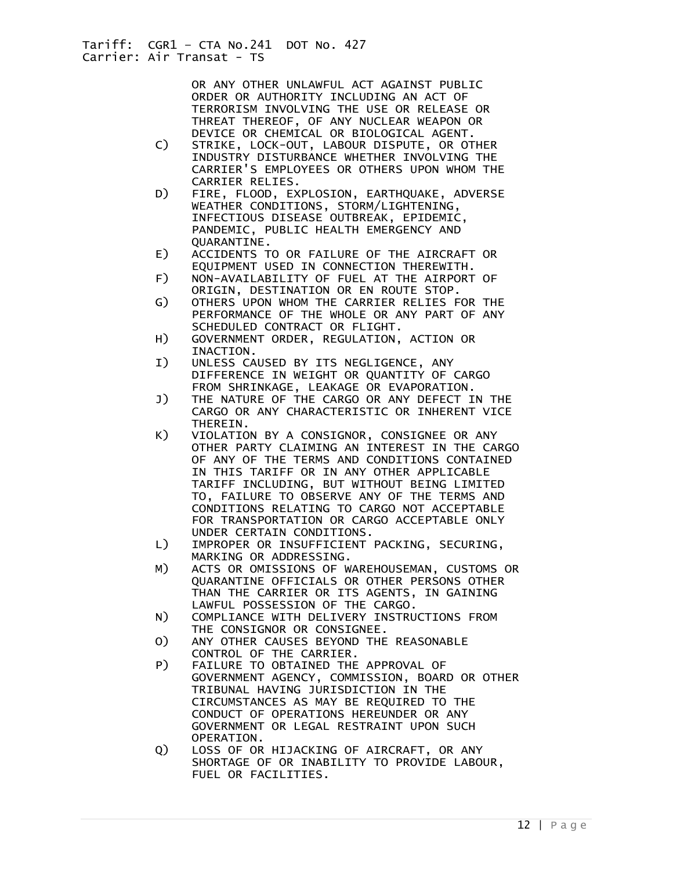OR ANY OTHER UNLAWFUL ACT AGAINST PUBLIC ORDER OR AUTHORITY INCLUDING AN ACT OF TERRORISM INVOLVING THE USE OR RELEASE OR THREAT THEREOF, OF ANY NUCLEAR WEAPON OR DEVICE OR CHEMICAL OR BIOLOGICAL AGENT.

- C) STRIKE, LOCK-OUT, LABOUR DISPUTE, OR OTHER INDUSTRY DISTURBANCE WHETHER INVOLVING THE CARRIER'S EMPLOYEES OR OTHERS UPON WHOM THE CARRIER RELIES.
- D) FIRE, FLOOD, EXPLOSION, EARTHQUAKE, ADVERSE WEATHER CONDITIONS, STORM/LIGHTENING, INFECTIOUS DISEASE OUTBREAK, EPIDEMIC, PANDEMIC, PUBLIC HEALTH EMERGENCY AND QUARANTINE.
- E) ACCIDENTS TO OR FAILURE OF THE AIRCRAFT OR EQUIPMENT USED IN CONNECTION THEREWITH.<br>F) NON-AVAILABILITY OF FUEL AT THE AIRPORT
- F) NON-AVAILABILITY OF FUEL AT THE AIRPORT OF ORIGIN, DESTINATION OR EN ROUTE STOP.
- G) OTHERS UPON WHOM THE CARRIER RELIES FOR THE PERFORMANCE OF THE WHOLE OR ANY PART OF ANY SCHEDULED CONTRACT OR FLIGHT.
- H) GOVERNMENT ORDER, REGULATION, ACTION OR INACTION.
- I) UNLESS CAUSED BY ITS NEGLIGENCE, ANY DIFFERENCE IN WEIGHT OR QUANTITY OF CARGO FROM SHRINKAGE, LEAKAGE OR EVAPORATION.
- J) THE NATURE OF THE CARGO OR ANY DEFECT IN THE CARGO OR ANY CHARACTERISTIC OR INHERENT VICE THEREIN.
- K) VIOLATION BY A CONSIGNOR, CONSIGNEE OR ANY OTHER PARTY CLAIMING AN INTEREST IN THE CARGO OF ANY OF THE TERMS AND CONDITIONS CONTAINED IN THIS TARIFF OR IN ANY OTHER APPLICABLE TARIFF INCLUDING, BUT WITHOUT BEING LIMITED TO, FAILURE TO OBSERVE ANY OF THE TERMS AND CONDITIONS RELATING TO CARGO NOT ACCEPTABLE FOR TRANSPORTATION OR CARGO ACCEPTABLE ONLY UNDER CERTAIN CONDITIONS.
- L) IMPROPER OR INSUFFICIENT PACKING, SECURING, MARKING OR ADDRESSING.<br>M) ACTS OR OMISSIONS OF W
- ACTS OR OMISSIONS OF WAREHOUSEMAN, CUSTOMS OR QUARANTINE OFFICIALS OR OTHER PERSONS OTHER THAN THE CARRIER OR ITS AGENTS, IN GAINING LAWFUL POSSESSION OF THE CARGO.
- N) COMPLIANCE WITH DELIVERY INSTRUCTIONS FROM THE CONSIGNOR OR CONSIGNEE.
- O) ANY OTHER CAUSES BEYOND THE REASONABLE CONTROL OF THE CARRIER.
- P) FAILURE TO OBTAINED THE APPROVAL OF GOVERNMENT AGENCY, COMMISSION, BOARD OR OTHER TRIBUNAL HAVING JURISDICTION IN THE CIRCUMSTANCES AS MAY BE REQUIRED TO THE CONDUCT OF OPERATIONS HEREUNDER OR ANY GOVERNMENT OR LEGAL RESTRAINT UPON SUCH OPERATION.
- Q) LOSS OF OR HIJACKING OF AIRCRAFT, OR ANY SHORTAGE OF OR INABILITY TO PROVIDE LABOUR, FUEL OR FACILITIES.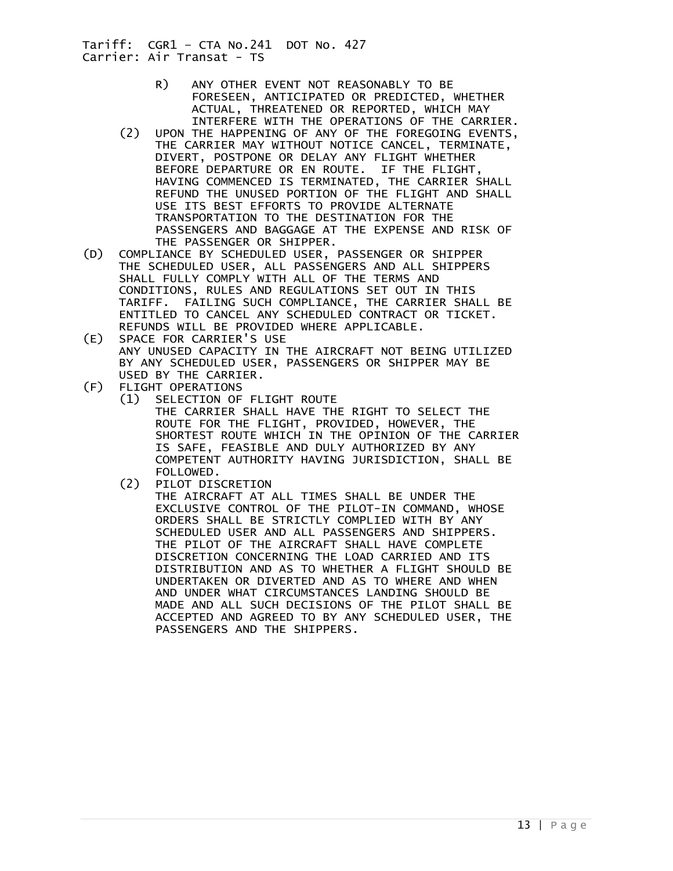- R) ANY OTHER EVENT NOT REASONABLY TO BE FORESEEN, ANTICIPATED OR PREDICTED, WHETHER ACTUAL, THREATENED OR REPORTED, WHICH MAY INTERFERE WITH THE OPERATIONS OF THE CARRIER.
- (2) UPON THE HAPPENING OF ANY OF THE FOREGOING EVENTS, THE CARRIER MAY WITHOUT NOTICE CANCEL, TERMINATE, DIVERT, POSTPONE OR DELAY ANY FLIGHT WHETHER BEFORE DEPARTURE OR EN ROUTE. IF THE FLIGHT, HAVING COMMENCED IS TERMINATED, THE CARRIER SHALL REFUND THE UNUSED PORTION OF THE FLIGHT AND SHALL USE ITS BEST EFFORTS TO PROVIDE ALTERNATE TRANSPORTATION TO THE DESTINATION FOR THE PASSENGERS AND BAGGAGE AT THE EXPENSE AND RISK OF
- THE PASSENGER OR SHIPPER.<br>(D) COMPLIANCE BY SCHEDULED USER. COMPLIANCE BY SCHEDULED USER, PASSENGER OR SHIPPER THE SCHEDULED USER, ALL PASSENGERS AND ALL SHIPPERS SHALL FULLY COMPLY WITH ALL OF THE TERMS AND CONDITIONS, RULES AND REGULATIONS SET OUT IN THIS TARIFF. FAILING SUCH COMPLIANCE, THE CARRIER SHALL BE ENTITLED TO CANCEL ANY SCHEDULED CONTRACT OR TICKET. REFUNDS WILL BE PROVIDED WHERE APPLICABLE.
- (E) SPACE FOR CARRIER'S USE ANY UNUSED CAPACITY IN THE AIRCRAFT NOT BEING UTILIZED BY ANY SCHEDULED USER, PASSENGERS OR SHIPPER MAY BE
- USED BY THE CARRIER.<br>(F) FLIGHT OPERATIONS FLIGHT OPERATIONS<br>(1) SELECTION OF
	- SELECTION OF FLIGHT ROUTE
		- THE CARRIER SHALL HAVE THE RIGHT TO SELECT THE ROUTE FOR THE FLIGHT, PROVIDED, HOWEVER, THE SHORTEST ROUTE WHICH IN THE OPINION OF THE CARRIER IS SAFE, FEASIBLE AND DULY AUTHORIZED BY ANY COMPETENT AUTHORITY HAVING JURISDICTION, SHALL BE FOLLOWED.
	- (2) PILOT DISCRETION

 THE AIRCRAFT AT ALL TIMES SHALL BE UNDER THE EXCLUSIVE CONTROL OF THE PILOT-IN COMMAND, WHOSE ORDERS SHALL BE STRICTLY COMPLIED WITH BY ANY SCHEDULED USER AND ALL PASSENGERS AND SHIPPERS. THE PILOT OF THE AIRCRAFT SHALL HAVE COMPLETE DISCRETION CONCERNING THE LOAD CARRIED AND ITS DISTRIBUTION AND AS TO WHETHER A FLIGHT SHOULD BE UNDERTAKEN OR DIVERTED AND AS TO WHERE AND WHEN AND UNDER WHAT CIRCUMSTANCES LANDING SHOULD BE MADE AND ALL SUCH DECISIONS OF THE PILOT SHALL BE ACCEPTED AND AGREED TO BY ANY SCHEDULED USER, THE PASSENGERS AND THE SHIPPERS.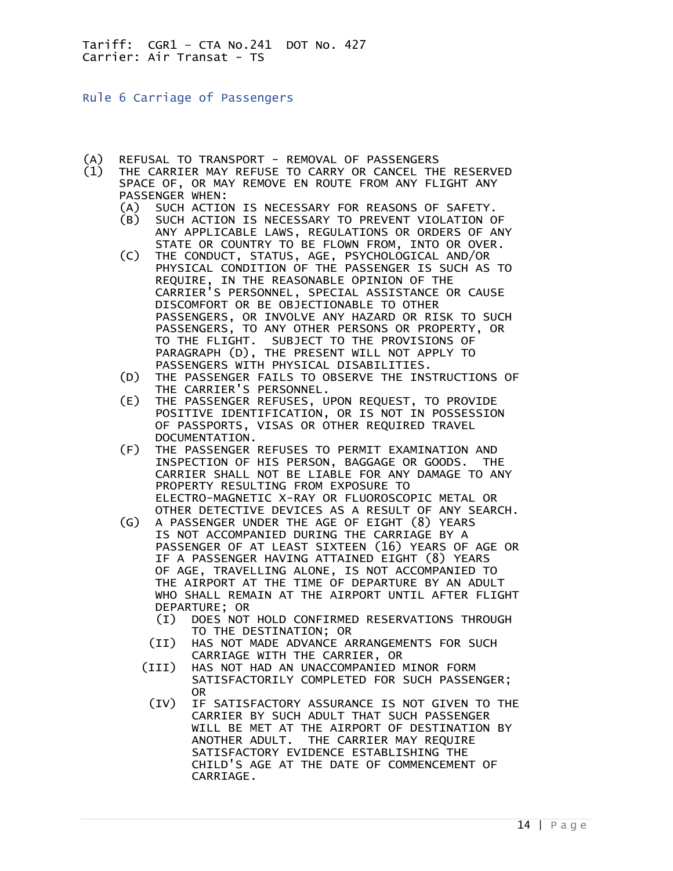<span id="page-13-0"></span>Rule 6 Carriage of Passengers

- (A) REFUSAL TO TRANSPORT REMOVAL OF PASSENGERS
- THE CARRIER MAY REFUSE TO CARRY OR CANCEL THE RESERVED SPACE OF, OR MAY REMOVE EN ROUTE FROM ANY FLIGHT ANY PASSENGER WHEN:
	- (A) SUCH ACTION IS NECESSARY FOR REASONS OF SAFETY.
	- (B) SUCH ACTION IS NECESSARY TO PREVENT VIOLATION OF ANY APPLICABLE LAWS, REGULATIONS OR ORDERS OF ANY STATE OR COUNTRY TO BE FLOWN FROM, INTO OR OVER.
	- (C) THE CONDUCT, STATUS, AGE, PSYCHOLOGICAL AND/OR PHYSICAL CONDITION OF THE PASSENGER IS SUCH AS TO REQUIRE, IN THE REASONABLE OPINION OF THE CARRIER'S PERSONNEL, SPECIAL ASSISTANCE OR CAUSE DISCOMFORT OR BE OBJECTIONABLE TO OTHER PASSENGERS, OR INVOLVE ANY HAZARD OR RISK TO SUCH PASSENGERS, TO ANY OTHER PERSONS OR PROPERTY, OR TO THE FLIGHT. SUBJECT TO THE PROVISIONS OF PARAGRAPH (D), THE PRESENT WILL NOT APPLY TO PASSENGERS WITH PHYSICAL DISABILITIES.
	- (D) THE PASSENGER FAILS TO OBSERVE THE INSTRUCTIONS OF THE CARRIER'S PERSONNEL.
	- (E) THE PASSENGER REFUSES, UPON REQUEST, TO PROVIDE POSITIVE IDENTIFICATION, OR IS NOT IN POSSESSION OF PASSPORTS, VISAS OR OTHER REQUIRED TRAVEL DOCUMENTATION.
	- (F) THE PASSENGER REFUSES TO PERMIT EXAMINATION AND INSPECTION OF HIS PERSON, BAGGAGE OR GOODS. THE CARRIER SHALL NOT BE LIABLE FOR ANY DAMAGE TO ANY PROPERTY RESULTING FROM EXPOSURE TO ELECTRO-MAGNETIC X-RAY OR FLUOROSCOPIC METAL OR OTHER DETECTIVE DEVICES AS A RESULT OF ANY SEARCH.
	- (G) A PASSENGER UNDER THE AGE OF EIGHT (8) YEARS IS NOT ACCOMPANIED DURING THE CARRIAGE BY A PASSENGER OF AT LEAST SIXTEEN (16) YEARS OF AGE OR IF A PASSENGER HAVING ATTAINED EIGHT (8) YEARS OF AGE, TRAVELLING ALONE, IS NOT ACCOMPANIED TO THE AIRPORT AT THE TIME OF DEPARTURE BY AN ADULT WHO SHALL REMAIN AT THE AIRPORT UNTIL AFTER FLIGHT DEPARTURE; OR
		- (I) DOES NOT HOLD CONFIRMED RESERVATIONS THROUGH TO THE DESTINATION; OR
		- (II) HAS NOT MADE ADVANCE ARRANGEMENTS FOR SUCH CARRIAGE WITH THE CARRIER, OR
		- (III) HAS NOT HAD AN UNACCOMPANIED MINOR FORM SATISFACTORILY COMPLETED FOR SUCH PASSENGER; OR
		- (IV) IF SATISFACTORY ASSURANCE IS NOT GIVEN TO THE CARRIER BY SUCH ADULT THAT SUCH PASSENGER WILL BE MET AT THE AIRPORT OF DESTINATION BY ANOTHER ADULT. THE CARRIER MAY REQUIRE SATISFACTORY EVIDENCE ESTABLISHING THE CHILD'S AGE AT THE DATE OF COMMENCEMENT OF CARRIAGE.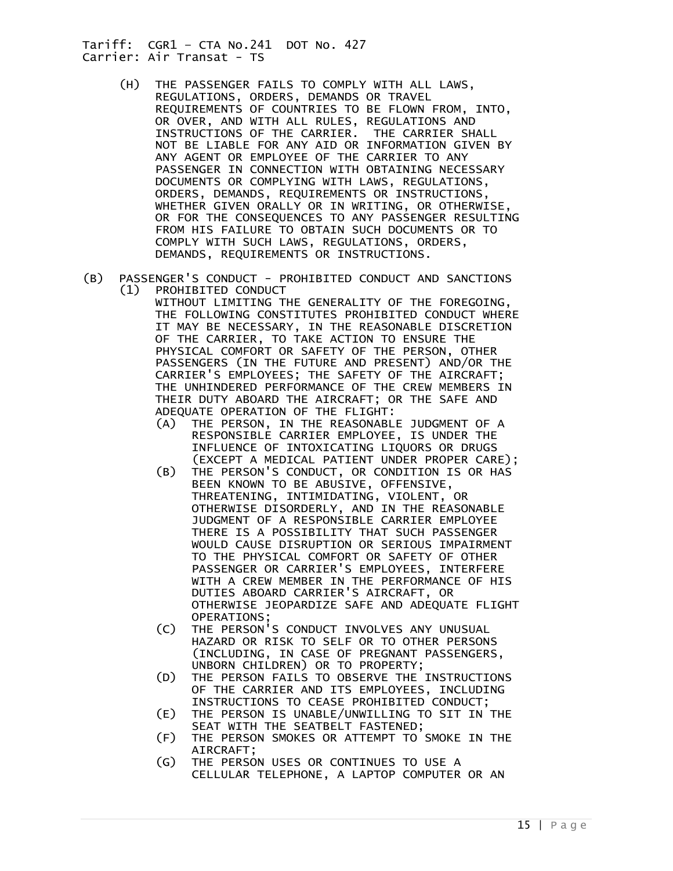- (H) THE PASSENGER FAILS TO COMPLY WITH ALL LAWS, REGULATIONS, ORDERS, DEMANDS OR TRAVEL REQUIREMENTS OF COUNTRIES TO BE FLOWN FROM, INTO, OR OVER, AND WITH ALL RULES, REGULATIONS AND INSTRUCTIONS OF THE CARRIER. THE CARRIER SHALL NOT BE LIABLE FOR ANY AID OR INFORMATION GIVEN BY ANY AGENT OR EMPLOYEE OF THE CARRIER TO ANY PASSENGER IN CONNECTION WITH OBTAINING NECESSARY DOCUMENTS OR COMPLYING WITH LAWS, REGULATIONS, ORDERS, DEMANDS, REQUIREMENTS OR INSTRUCTIONS, WHETHER GIVEN ORALLY OR IN WRITING, OR OTHERWISE, OR FOR THE CONSEQUENCES TO ANY PASSENGER RESULTING FROM HIS FAILURE TO OBTAIN SUCH DOCUMENTS OR TO COMPLY WITH SUCH LAWS, REGULATIONS, ORDERS, DEMANDS, REQUIREMENTS OR INSTRUCTIONS.
- (B) PASSENGER'S CONDUCT PROHIBITED CONDUCT AND SANCTIONS (1) PROHIBITED CONDUCT

 WITHOUT LIMITING THE GENERALITY OF THE FOREGOING, THE FOLLOWING CONSTITUTES PROHIBITED CONDUCT WHERE IT MAY BE NECESSARY, IN THE REASONABLE DISCRETION OF THE CARRIER, TO TAKE ACTION TO ENSURE THE PHYSICAL COMFORT OR SAFETY OF THE PERSON, OTHER PASSENGERS (IN THE FUTURE AND PRESENT) AND/OR THE CARRIER'S EMPLOYEES; THE SAFETY OF THE AIRCRAFT; THE UNHINDERED PERFORMANCE OF THE CREW MEMBERS IN THEIR DUTY ABOARD THE AIRCRAFT; OR THE SAFE AND ADEQUATE OPERATION OF THE FLIGHT:

- (A) THE PERSON, IN THE REASONABLE JUDGMENT OF A RESPONSIBLE CARRIER EMPLOYEE, IS UNDER THE INFLUENCE OF INTOXICATING LIQUORS OR DRUGS (EXCEPT A MEDICAL PATIENT UNDER PROPER CARE);
- (B) THE PERSON'S CONDUCT, OR CONDITION IS OR HAS BEEN KNOWN TO BE ABUSIVE, OFFENSIVE, THREATENING, INTIMIDATING, VIOLENT, OR OTHERWISE DISORDERLY, AND IN THE REASONABLE JUDGMENT OF A RESPONSIBLE CARRIER EMPLOYEE THERE IS A POSSIBILITY THAT SUCH PASSENGER WOULD CAUSE DISRUPTION OR SERIOUS IMPAIRMENT TO THE PHYSICAL COMFORT OR SAFETY OF OTHER PASSENGER OR CARRIER'S EMPLOYEES, INTERFERE WITH A CREW MEMBER IN THE PERFORMANCE OF HIS DUTIES ABOARD CARRIER'S AIRCRAFT, OR OTHERWISE JEOPARDIZE SAFE AND ADEQUATE FLIGHT OPERATIONS;
- (C) THE PERSON'S CONDUCT INVOLVES ANY UNUSUAL HAZARD OR RISK TO SELF OR TO OTHER PERSONS (INCLUDING, IN CASE OF PREGNANT PASSENGERS, UNBORN CHILDREN) OR TO PROPERTY;
- (D) THE PERSON FAILS TO OBSERVE THE INSTRUCTIONS OF THE CARRIER AND ITS EMPLOYEES, INCLUDING INSTRUCTIONS TO CEASE PROHIBITED CONDUCT;
- (E) THE PERSON IS UNABLE/UNWILLING TO SIT IN THE SEAT WITH THE SEATBELT FASTENED;
- (F) THE PERSON SMOKES OR ATTEMPT TO SMOKE IN THE AIRCRAFT;
- (G) THE PERSON USES OR CONTINUES TO USE A CELLULAR TELEPHONE, A LAPTOP COMPUTER OR AN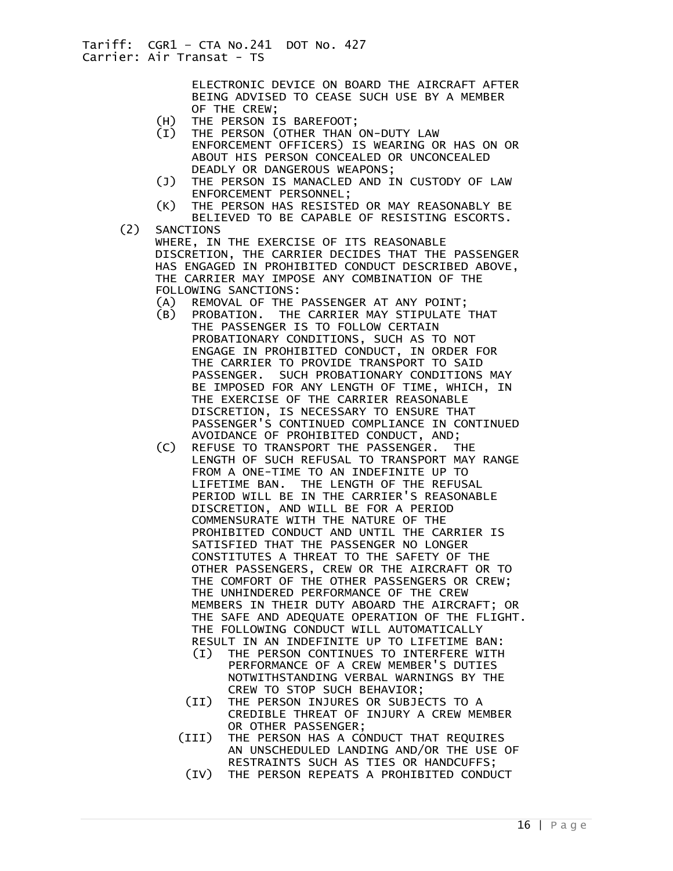ELECTRONIC DEVICE ON BOARD THE AIRCRAFT AFTER BEING ADVISED TO CEASE SUCH USE BY A MEMBER OF THE CREW;

- (H) THE PERSON IS BAREFOOT;
- (I) THE PERSON (OTHER THAN ON-DUTY LAW
	- ENFORCEMENT OFFICERS) IS WEARING OR HAS ON OR ABOUT HIS PERSON CONCEALED OR UNCONCEALED DEADLY OR DANGEROUS WEAPONS;
- (J) THE PERSON IS MANACLED AND IN CUSTODY OF LAW ENFORCEMENT PERSONNEL;
- (K) THE PERSON HAS RESISTED OR MAY REASONABLY BE BELIEVED TO BE CAPABLE OF RESISTING ESCORTS.
- (2) SANCTIONS WHERE, IN THE EXERCISE OF ITS REASONABLE DISCRETION, THE CARRIER DECIDES THAT THE PASSENGER HAS ENGAGED IN PROHIBITED CONDUCT DESCRIBED ABOVE, THE CARRIER MAY IMPOSE ANY COMBINATION OF THE FOLLOWING SANCTIONS:
	- (A) REMOVAL OF THE PASSENGER AT ANY POINT;
	- (B) PROBATION. THE CARRIER MAY STIPULATE THAT THE PASSENGER IS TO FOLLOW CERTAIN PROBATIONARY CONDITIONS, SUCH AS TO NOT ENGAGE IN PROHIBITED CONDUCT, IN ORDER FOR THE CARRIER TO PROVIDE TRANSPORT TO SAID PASSENGER. SUCH PROBATIONARY CONDITIONS MAY BE IMPOSED FOR ANY LENGTH OF TIME, WHICH, IN THE EXERCISE OF THE CARRIER REASONABLE DISCRETION, IS NECESSARY TO ENSURE THAT PASSENGER'S CONTINUED COMPLIANCE IN CONTINUED AVOIDANCE OF PROHIBITED CONDUCT, AND;
	- (C) REFUSE TO TRANSPORT THE PASSENGER. THE LENGTH OF SUCH REFUSAL TO TRANSPORT MAY RANGE FROM A ONE-TIME TO AN INDEFINITE UP TO LIFETIME BAN. THE LENGTH OF THE REFUSAL PERIOD WILL BE IN THE CARRIER'S REASONABLE DISCRETION, AND WILL BE FOR A PERIOD COMMENSURATE WITH THE NATURE OF THE PROHIBITED CONDUCT AND UNTIL THE CARRIER IS SATISFIED THAT THE PASSENGER NO LONGER CONSTITUTES A THREAT TO THE SAFETY OF THE OTHER PASSENGERS, CREW OR THE AIRCRAFT OR TO THE COMFORT OF THE OTHER PASSENGERS OR CREW; THE UNHINDERED PERFORMANCE OF THE CREW MEMBERS IN THEIR DUTY ABOARD THE AIRCRAFT; OR THE SAFE AND ADEQUATE OPERATION OF THE FLIGHT. THE FOLLOWING CONDUCT WILL AUTOMATICALLY RESULT IN AN INDEFINITE UP TO LIFETIME BAN:
		- (I) THE PERSON CONTINUES TO INTERFERE WITH PERFORMANCE OF A CREW MEMBER'S DUTIES NOTWITHSTANDING VERBAL WARNINGS BY THE CREW TO STOP SUCH BEHAVIOR;
		- (II) THE PERSON INJURES OR SUBJECTS TO A CREDIBLE THREAT OF INJURY A CREW MEMBER OR OTHER PASSENGER;
		- (III) THE PERSON HAS A CONDUCT THAT REQUIRES AN UNSCHEDULED LANDING AND/OR THE USE OF RESTRAINTS SUCH AS TIES OR HANDCUFFS;
			- (IV) THE PERSON REPEATS A PROHIBITED CONDUCT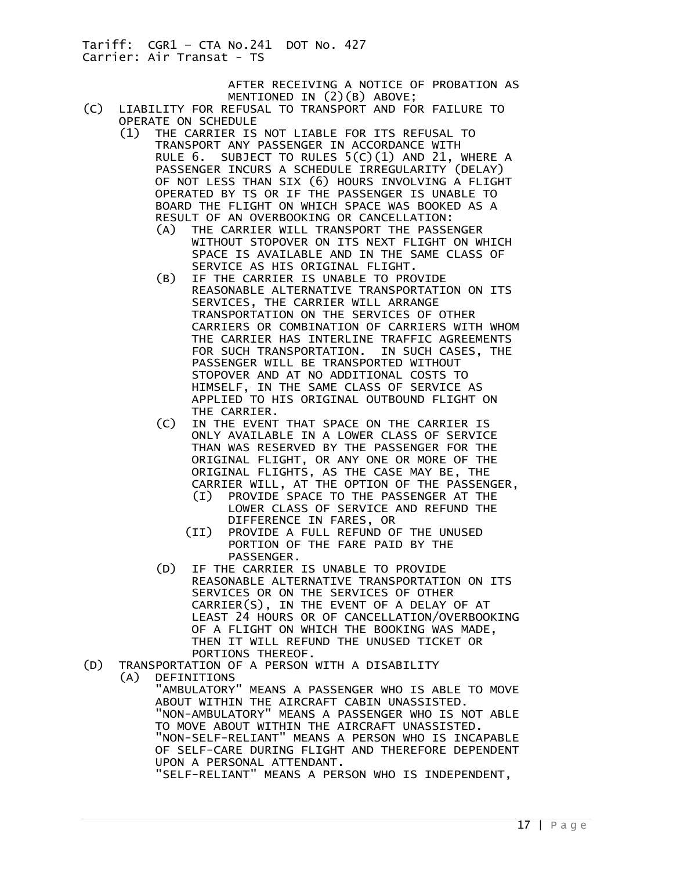> AFTER RECEIVING A NOTICE OF PROBATION AS MENTIONED IN (2)(B) ABOVE;

- (C) LIABILITY FOR REFUSAL TO TRANSPORT AND FOR FAILURE TO OPERATE ON SCHEDULE
	- (1) THE CARRIER IS NOT LIABLE FOR ITS REFUSAL TO TRANSPORT ANY PASSENGER IN ACCORDANCE WITH RULE 6. SUBJECT TO RULES 5(C)(1) AND 21, WHERE A PASSENGER INCURS A SCHEDULE IRREGULARITY (DELAY) OF NOT LESS THAN SIX (6) HOURS INVOLVING A FLIGHT OPERATED BY TS OR IF THE PASSENGER IS UNABLE TO BOARD THE FLIGHT ON WHICH SPACE WAS BOOKED AS A RESULT OF AN OVERBOOKING OR CANCELLATION:
		- (A) THE CARRIER WILL TRANSPORT THE PASSENGER WITHOUT STOPOVER ON ITS NEXT FLIGHT ON WHICH SPACE IS AVAILABLE AND IN THE SAME CLASS OF SERVICE AS HIS ORIGINAL FLIGHT.
		- (B) IF THE CARRIER IS UNABLE TO PROVIDE REASONABLE ALTERNATIVE TRANSPORTATION ON ITS SERVICES, THE CARRIER WILL ARRANGE TRANSPORTATION ON THE SERVICES OF OTHER CARRIERS OR COMBINATION OF CARRIERS WITH WHOM THE CARRIER HAS INTERLINE TRAFFIC AGREEMENTS FOR SUCH TRANSPORTATION. IN SUCH CASES, THE PASSENGER WILL BE TRANSPORTED WITHOUT STOPOVER AND AT NO ADDITIONAL COSTS TO HIMSELF, IN THE SAME CLASS OF SERVICE AS APPLIED TO HIS ORIGINAL OUTBOUND FLIGHT ON THE CARRIER.
		- (C) IN THE EVENT THAT SPACE ON THE CARRIER IS ONLY AVAILABLE IN A LOWER CLASS OF SERVICE THAN WAS RESERVED BY THE PASSENGER FOR THE ORIGINAL FLIGHT, OR ANY ONE OR MORE OF THE ORIGINAL FLIGHTS, AS THE CASE MAY BE, THE CARRIER WILL, AT THE OPTION OF THE PASSENGER,
			- (I) PROVIDE SPACE TO THE PASSENGER AT THE LOWER CLASS OF SERVICE AND REFUND THE DIFFERENCE IN FARES, OR
			- (II) PROVIDE A FULL REFUND OF THE UNUSED PORTION OF THE FARE PAID BY THE PASSENGER.
		- (D) IF THE CARRIER IS UNABLE TO PROVIDE REASONABLE ALTERNATIVE TRANSPORTATION ON ITS SERVICES OR ON THE SERVICES OF OTHER CARRIER(S), IN THE EVENT OF A DELAY OF AT LEAST 24 HOURS OR OF CANCELLATION/OVERBOOKING OF A FLIGHT ON WHICH THE BOOKING WAS MADE, THEN IT WILL REFUND THE UNUSED TICKET OR PORTIONS THEREOF.
- (D) TRANSPORTATION OF A PERSON WITH A DISABILITY
- DEFINITIONS "AMBULATORY" MEANS A PASSENGER WHO IS ABLE TO MOVE ABOUT WITHIN THE AIRCRAFT CABIN UNASSISTED.

 "NON-AMBULATORY" MEANS A PASSENGER WHO IS NOT ABLE TO MOVE ABOUT WITHIN THE AIRCRAFT UNASSISTED. "NON-SELF-RELIANT" MEANS A PERSON WHO IS INCAPABLE OF SELF-CARE DURING FLIGHT AND THEREFORE DEPENDENT UPON A PERSONAL ATTENDANT.

"SELF-RELIANT" MEANS A PERSON WHO IS INDEPENDENT,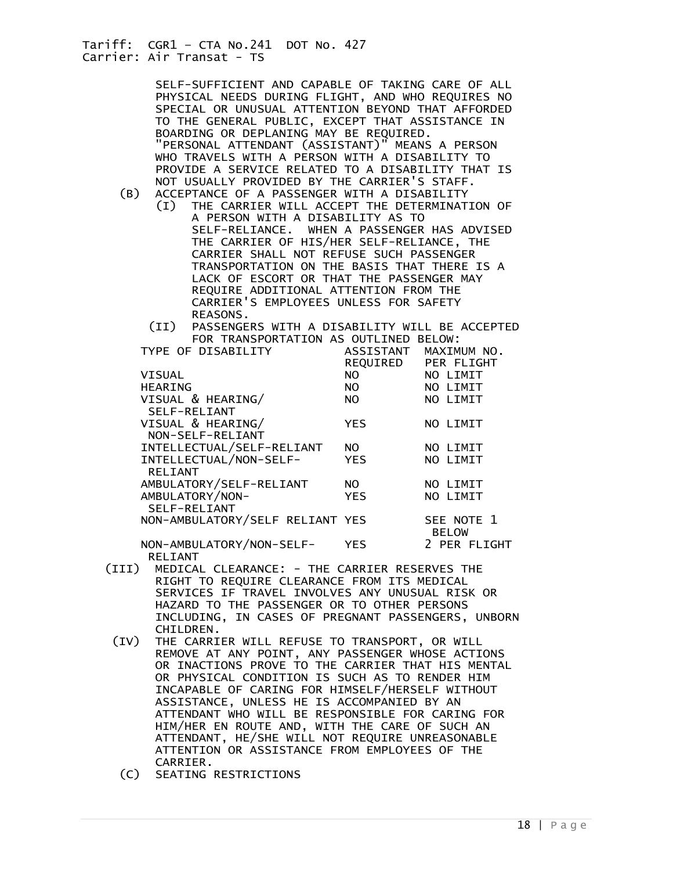| SELF-SUFFICIENT AND CAPABLE OF TAKING CARE OF ALL<br>PHYSICAL NEEDS DURING FLIGHT, AND WHO REQUIRES NO<br>SPECIAL OR UNUSUAL ATTENTION BEYOND THAT AFFORDED<br>TO THE GENERAL PUBLIC, EXCEPT THAT ASSISTANCE IN<br>BOARDING OR DEPLANING MAY BE REQUIRED.<br>"PERSONAL ATTENDANT (ASSISTANT)" MEANS A PERSON<br>WHO TRAVELS WITH A PERSON WITH A DISABILITY TO<br>PROVIDE A SERVICE RELATED TO A DISABILITY THAT IS<br>NOT USUALLY PROVIDED BY THE CARRIER'S STAFF.<br>ACCEPTANCE OF A PASSENGER WITH A DISABILITY<br>(B)<br>THE CARRIER WILL ACCEPT THE DETERMINATION OF<br>(I)<br>A PERSON WITH A DISABILITY AS TO<br>SELF-RELIANCE. WHEN A PASSENGER HAS ADVISED<br>THE CARRIER OF HIS/HER SELF-RELIANCE, THE<br>CARRIER SHALL NOT REFUSE SUCH PASSENGER<br>TRANSPORTATION ON THE BASIS THAT THERE IS A |                 |                            |
|------------------------------------------------------------------------------------------------------------------------------------------------------------------------------------------------------------------------------------------------------------------------------------------------------------------------------------------------------------------------------------------------------------------------------------------------------------------------------------------------------------------------------------------------------------------------------------------------------------------------------------------------------------------------------------------------------------------------------------------------------------------------------------------------------------|-----------------|----------------------------|
| LACK OF ESCORT OR THAT THE PASSENGER MAY<br>REQUIRE ADDITIONAL ATTENTION FROM THE<br>CARRIER'S EMPLOYEES UNLESS FOR SAFETY<br>REASONS.                                                                                                                                                                                                                                                                                                                                                                                                                                                                                                                                                                                                                                                                     |                 |                            |
| (II) PASSENGERS WITH A DISABILITY WILL BE ACCEPTED                                                                                                                                                                                                                                                                                                                                                                                                                                                                                                                                                                                                                                                                                                                                                         |                 |                            |
| FOR TRANSPORTATION AS OUTLINED BELOW:                                                                                                                                                                                                                                                                                                                                                                                                                                                                                                                                                                                                                                                                                                                                                                      |                 |                            |
| TYPE OF DISABILITY                                                                                                                                                                                                                                                                                                                                                                                                                                                                                                                                                                                                                                                                                                                                                                                         |                 | ASSISTANT MAXIMUM NO.      |
|                                                                                                                                                                                                                                                                                                                                                                                                                                                                                                                                                                                                                                                                                                                                                                                                            |                 | REQUIRED PER FLIGHT        |
| <b>VISUAL</b>                                                                                                                                                                                                                                                                                                                                                                                                                                                                                                                                                                                                                                                                                                                                                                                              | NO              | NO LIMIT                   |
| <b>HEARING</b>                                                                                                                                                                                                                                                                                                                                                                                                                                                                                                                                                                                                                                                                                                                                                                                             | NO <sub>1</sub> | NO LIMIT                   |
| VISUAL & HEARING/                                                                                                                                                                                                                                                                                                                                                                                                                                                                                                                                                                                                                                                                                                                                                                                          | <b>NO</b>       | NO LIMIT                   |
| SELF-RELIANT                                                                                                                                                                                                                                                                                                                                                                                                                                                                                                                                                                                                                                                                                                                                                                                               |                 |                            |
| VISUAL & HEARING/<br>NON-SELF-RELIANT                                                                                                                                                                                                                                                                                                                                                                                                                                                                                                                                                                                                                                                                                                                                                                      | <b>YES</b>      | NO LIMIT                   |
| INTELLECTUAL/SELF-RELIANT                                                                                                                                                                                                                                                                                                                                                                                                                                                                                                                                                                                                                                                                                                                                                                                  | <b>NO</b>       | NO LIMIT                   |
| INTELLECTUAL/NON-SELF-                                                                                                                                                                                                                                                                                                                                                                                                                                                                                                                                                                                                                                                                                                                                                                                     | <b>YES</b>      | NO LIMIT                   |
| <b>RELIANT</b>                                                                                                                                                                                                                                                                                                                                                                                                                                                                                                                                                                                                                                                                                                                                                                                             |                 |                            |
| AMBULATORY/SELF-RELIANT                                                                                                                                                                                                                                                                                                                                                                                                                                                                                                                                                                                                                                                                                                                                                                                    | NO L            | NO LIMIT                   |
| AMBULATORY/NON-                                                                                                                                                                                                                                                                                                                                                                                                                                                                                                                                                                                                                                                                                                                                                                                            | <b>YES</b>      | NO LIMIT                   |
| SELF-RELIANT                                                                                                                                                                                                                                                                                                                                                                                                                                                                                                                                                                                                                                                                                                                                                                                               |                 |                            |
| NON-AMBULATORY/SELF RELIANT YES                                                                                                                                                                                                                                                                                                                                                                                                                                                                                                                                                                                                                                                                                                                                                                            |                 | SEE NOTE 1<br><b>BELOW</b> |
| NON-AMBULATORY/NON-SELF-                                                                                                                                                                                                                                                                                                                                                                                                                                                                                                                                                                                                                                                                                                                                                                                   | <b>YES</b>      | 2 PER FLIGHT               |
| <b>RELIANT</b>                                                                                                                                                                                                                                                                                                                                                                                                                                                                                                                                                                                                                                                                                                                                                                                             |                 |                            |
| MEDICAL CLEARANCE: - THE CARRIER RESERVES THE<br>(III)<br>RIGHT TO REQUIRE CLEARANCE FROM ITS MEDICAL<br>SERVICES IF TRAVEL INVOLVES ANY UNUSUAL RISK OR<br>HAZARD TO THE PASSENGER OR TO OTHER PERSONS<br>INCLUDING, IN CASES OF PREGNANT PASSENGERS, UNBORN<br>CHILDREN.                                                                                                                                                                                                                                                                                                                                                                                                                                                                                                                                 |                 |                            |
| $({\rm IV})$<br>THE CARRIER WILL REFUSE TO TRANSPORT, OR WILL<br>REMOVE AT ANY POINT, ANY PASSENGER WHOSE ACTIONS<br>OR INACTIONS PROVE TO THE CARRIER THAT HIS MENTAL<br>OR PHYSICAL CONDITION IS SUCH AS TO RENDER HIM<br>INCAPABLE OF CARING FOR HIMSELF/HERSELF WITHOUT<br>ASSISTANCE, UNLESS HE IS ACCOMPANIED BY AN<br>ATTENDANT WHO WILL BE RESPONSIBLE FOR CARING FOR<br>HIM/HER EN ROUTE AND, WITH THE CARE OF SUCH AN<br>ATTENDANT, HE/SHE WILL NOT REQUIRE UNREASONABLE<br>ATTENTION OR ASSISTANCE FROM EMPLOYEES OF THE                                                                                                                                                                                                                                                                        |                 |                            |
| CARRIER.                                                                                                                                                                                                                                                                                                                                                                                                                                                                                                                                                                                                                                                                                                                                                                                                   |                 |                            |
|                                                                                                                                                                                                                                                                                                                                                                                                                                                                                                                                                                                                                                                                                                                                                                                                            |                 |                            |

(C) SEATING RESTRICTIONS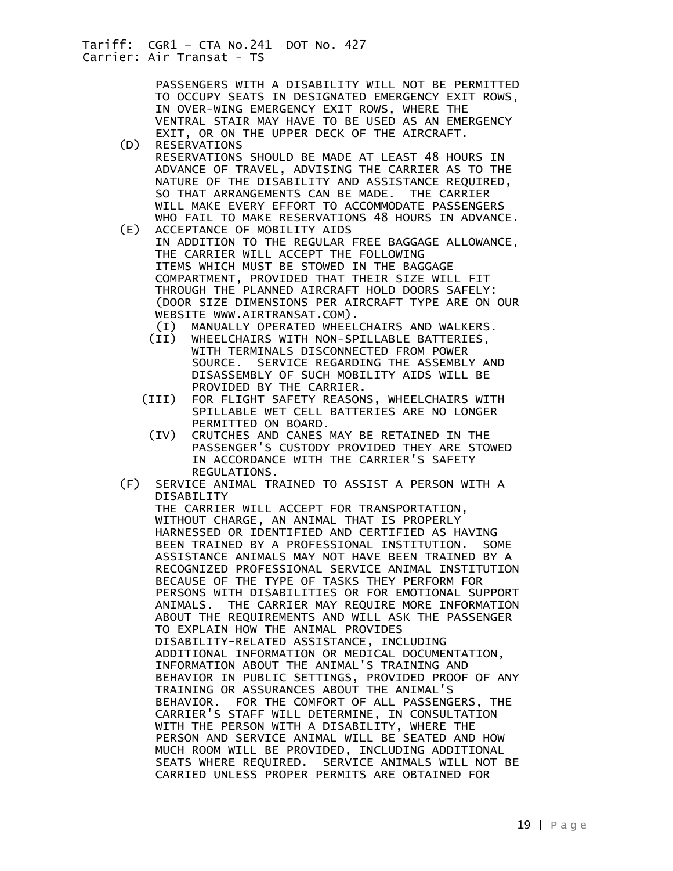PASSENGERS WITH A DISABILITY WILL NOT BE PERMITTED TO OCCUPY SEATS IN DESIGNATED EMERGENCY EXIT ROWS, IN OVER-WING EMERGENCY EXIT ROWS, WHERE THE VENTRAL STAIR MAY HAVE TO BE USED AS AN EMERGENCY EXIT, OR ON THE UPPER DECK OF THE AIRCRAFT.<br>(D) RESERVATIONS

- RESERVATIONS RESERVATIONS SHOULD BE MADE AT LEAST 48 HOURS IN ADVANCE OF TRAVEL, ADVISING THE CARRIER AS TO THE NATURE OF THE DISABILITY AND ASSISTANCE REQUIRED, SO THAT ARRANGEMENTS CAN BE MADE. THE CARRIER WILL MAKE EVERY EFFORT TO ACCOMMODATE PASSENGERS WHO FAIL TO MAKE RESERVATIONS 48 HOURS IN ADVANCE.
- (E) ACCEPTANCE OF MOBILITY AIDS IN ADDITION TO THE REGULAR FREE BAGGAGE ALLOWANCE, THE CARRIER WILL ACCEPT THE FOLLOWING ITEMS WHICH MUST BE STOWED IN THE BAGGAGE COMPARTMENT, PROVIDED THAT THEIR SIZE WILL FIT THROUGH THE PLANNED AIRCRAFT HOLD DOORS SAFELY: (DOOR SIZE DIMENSIONS PER AIRCRAFT TYPE ARE ON OUR WEBSITE WWW.AIRTRANSAT.COM).
	- (I) MANUALLY OPERATED WHEELCHAIRS AND WALKERS.
	- (II) WHEELCHAIRS WITH NON-SPILLABLE BATTERIES, WITH TERMINALS DISCONNECTED FROM POWER SOURCE. SERVICE REGARDING THE ASSEMBLY AND DISASSEMBLY OF SUCH MOBILITY AIDS WILL BE PROVIDED BY THE CARRIER.
	- (III) FOR FLIGHT SAFETY REASONS, WHEELCHAIRS WITH SPILLABLE WET CELL BATTERIES ARE NO LONGER PERMITTED ON BOARD.
	- (IV) CRUTCHES AND CANES MAY BE RETAINED IN THE PASSENGER'S CUSTODY PROVIDED THEY ARE STOWED IN ACCORDANCE WITH THE CARRIER'S SAFETY REGULATIONS.
	- (F) SERVICE ANIMAL TRAINED TO ASSIST A PERSON WITH A DISABILITY THE CARRIER WILL ACCEPT FOR TRANSPORTATION,

 WITHOUT CHARGE, AN ANIMAL THAT IS PROPERLY HARNESSED OR IDENTIFIED AND CERTIFIED AS HAVING BEEN TRAINED BY A PROFESSIONAL INSTITUTION. SOME ASSISTANCE ANIMALS MAY NOT HAVE BEEN TRAINED BY A RECOGNIZED PROFESSIONAL SERVICE ANIMAL INSTITUTION BECAUSE OF THE TYPE OF TASKS THEY PERFORM FOR PERSONS WITH DISABILITIES OR FOR EMOTIONAL SUPPORT ANIMALS. THE CARRIER MAY REQUIRE MORE INFORMATION ABOUT THE REQUIREMENTS AND WILL ASK THE PASSENGER TO EXPLAIN HOW THE ANIMAL PROVIDES DISABILITY-RELATED ASSISTANCE, INCLUDING ADDITIONAL INFORMATION OR MEDICAL DOCUMENTATION, INFORMATION ABOUT THE ANIMAL'S TRAINING AND BEHAVIOR IN PUBLIC SETTINGS, PROVIDED PROOF OF ANY TRAINING OR ASSURANCES ABOUT THE ANIMAL'S BEHAVIOR. FOR THE COMFORT OF ALL PASSENGERS, THE CARRIER'S STAFF WILL DETERMINE, IN CONSULTATION WITH THE PERSON WITH A DISABILITY, WHERE THE PERSON AND SERVICE ANIMAL WILL BE SEATED AND HOW MUCH ROOM WILL BE PROVIDED, INCLUDING ADDITIONAL SEATS WHERE REQUIRED. SERVICE ANIMALS WILL NOT BE CARRIED UNLESS PROPER PERMITS ARE OBTAINED FOR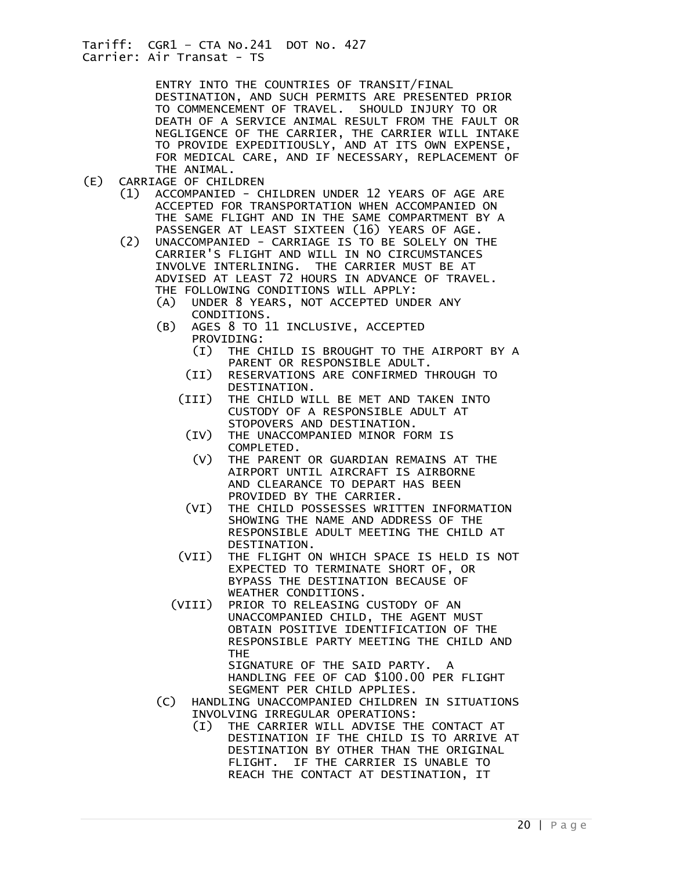ENTRY INTO THE COUNTRIES OF TRANSIT/FINAL DESTINATION, AND SUCH PERMITS ARE PRESENTED PRIOR TO COMMENCEMENT OF TRAVEL. SHOULD INJURY TO OR DEATH OF A SERVICE ANIMAL RESULT FROM THE FAULT OR NEGLIGENCE OF THE CARRIER, THE CARRIER WILL INTAKE TO PROVIDE EXPEDITIOUSLY, AND AT ITS OWN EXPENSE, FOR MEDICAL CARE, AND IF NECESSARY, REPLACEMENT OF

- THE ANIMAL.<br>CARRIAGE OF CHIL) CARRIAGE OF CHILDREN
	- (1) ACCOMPANIED CHILDREN UNDER 12 YEARS OF AGE ARE ACCEPTED FOR TRANSPORTATION WHEN ACCOMPANIED ON THE SAME FLIGHT AND IN THE SAME COMPARTMENT BY A
- PASSENGER AT LEAST SIXTEEN (16) YEARS OF AGE.<br>(2) UNACCOMPANIED CARRIAGE IS TO BE SOLELY ON T UNACCOMPANIED - CARRIAGE IS TO BE SOLELY ON THE CARRIER'S FLIGHT AND WILL IN NO CIRCUMSTANCES INVOLVE INTERLINING. THE CARRIER MUST BE AT ADVISED AT LEAST 72 HOURS IN ADVANCE OF TRAVEL. THE FOLLOWING CONDITIONS WILL APPLY:
	- (A) UNDER 8 YEARS, NOT ACCEPTED UNDER ANY CONDITIONS.
	- (B) AGES 8 TO 11 INCLUSIVE, ACCEPTED PROVIDING:
		- (I) THE CHILD IS BROUGHT TO THE AIRPORT BY A PARENT OR RESPONSIBLE ADULT.
		- (II) RESERVATIONS ARE CONFIRMED THROUGH TO DESTINATION.
		- (III) THE CHILD WILL BE MET AND TAKEN INTO CUSTODY OF A RESPONSIBLE ADULT AT STOPOVERS AND DESTINATION.
			- (IV) THE UNACCOMPANIED MINOR FORM IS COMPLETED.<br>(V) THE PARENT
			- THE PARENT OR GUARDIAN REMAINS AT THE AIRPORT UNTIL AIRCRAFT IS AIRBORNE AND CLEARANCE TO DEPART HAS BEEN PROVIDED BY THE CARRIER.
			- (VI) THE CHILD POSSESSES WRITTEN INFORMATION SHOWING THE NAME AND ADDRESS OF THE RESPONSIBLE ADULT MEETING THE CHILD AT DESTINATION.
		- (VII) THE FLIGHT ON WHICH SPACE IS HELD IS NOT EXPECTED TO TERMINATE SHORT OF, OR BYPASS THE DESTINATION BECAUSE OF WEATHER CONDITIONS.
		- (VIII) PRIOR TO RELEASING CUSTODY OF AN UNACCOMPANIED CHILD, THE AGENT MUST OBTAIN POSITIVE IDENTIFICATION OF THE RESPONSIBLE PARTY MEETING THE CHILD AND THE SIGNATURE OF THE SAID PARTY. A

HANDLING FEE OF CAD \$100.00 PER FLIGHT SEGMENT PER CHILD APPLIES.

- (C) HANDLING UNACCOMPANIED CHILDREN IN SITUATIONS INVOLVING IRREGULAR OPERATIONS:
	- (I) THE CARRIER WILL ADVISE THE CONTACT AT DESTINATION IF THE CHILD IS TO ARRIVE AT DESTINATION BY OTHER THAN THE ORIGINAL FLIGHT. IF THE CARRIER IS UNABLE TO REACH THE CONTACT AT DESTINATION, IT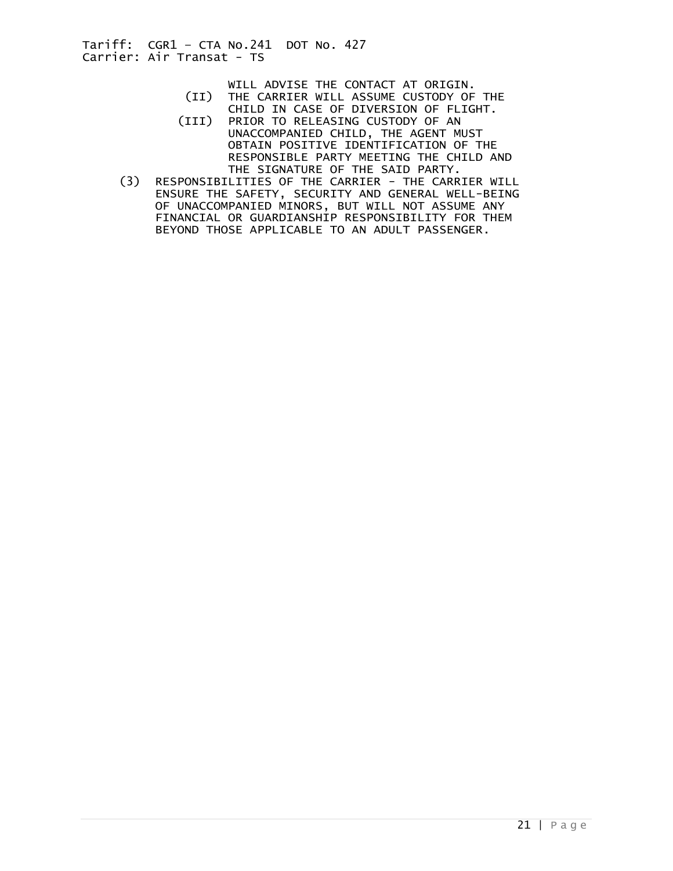- WILL ADVISE THE CONTACT AT ORIGIN.<br>(II) THE CARRIER WILL ASSUME CUSTODY OF
- THE CARRIER WILL ASSUME CUSTODY OF THE CHILD IN CASE OF DIVERSION OF FLIGHT.
- (III) PRIOR TO RELEASING CUSTODY OF AN UNACCOMPANIED CHILD, THE AGENT MUST OBTAIN POSITIVE IDENTIFICATION OF THE RESPONSIBLE PARTY MEETING THE CHILD AND THE SIGNATURE OF THE SAID PARTY.
- (3) RESPONSIBILITIES OF THE CARRIER THE CARRIER WILL ENSURE THE SAFETY, SECURITY AND GENERAL WELL-BEING OF UNACCOMPANIED MINORS, BUT WILL NOT ASSUME ANY FINANCIAL OR GUARDIANSHIP RESPONSIBILITY FOR THEM BEYOND THOSE APPLICABLE TO AN ADULT PASSENGER.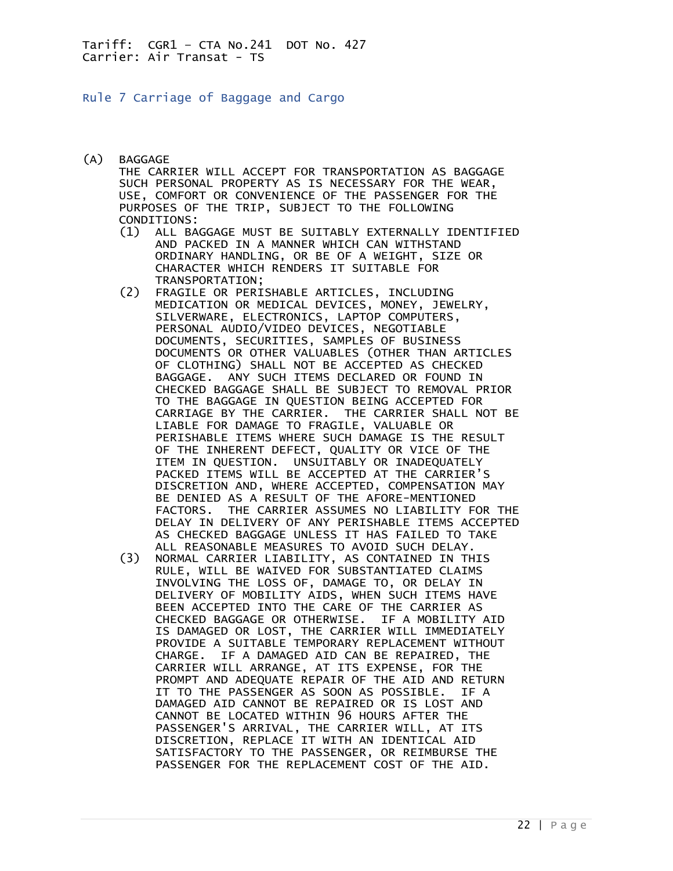<span id="page-21-0"></span>Rule 7 Carriage of Baggage and Cargo

- (A) BAGGAGE THE CARRIER WILL ACCEPT FOR TRANSPORTATION AS BAGGAGE SUCH PERSONAL PROPERTY AS IS NECESSARY FOR THE WEAR, USE, COMFORT OR CONVENIENCE OF THE PASSENGER FOR THE PURPOSES OF THE TRIP, SUBJECT TO THE FOLLOWING CONDITIONS:
	- (1) ALL BAGGAGE MUST BE SUITABLY EXTERNALLY IDENTIFIED AND PACKED IN A MANNER WHICH CAN WITHSTAND ORDINARY HANDLING, OR BE OF A WEIGHT, SIZE OR CHARACTER WHICH RENDERS IT SUITABLE FOR
	- TRANSPORTATION;<br>C2) FRAGILE OR PERI (2) FRAGILE OR PERISHABLE ARTICLES, INCLUDING MEDICATION OR MEDICAL DEVICES, MONEY, JEWELRY, SILVERWARE, ELECTRONICS, LAPTOP COMPUTERS, PERSONAL AUDIO/VIDEO DEVICES, NEGOTIABLE DOCUMENTS, SECURITIES, SAMPLES OF BUSINESS DOCUMENTS OR OTHER VALUABLES (OTHER THAN ARTICLES OF CLOTHING) SHALL NOT BE ACCEPTED AS CHECKED BAGGAGE. ANY SUCH ITEMS DECLARED OR FOUND IN CHECKED BAGGAGE SHALL BE SUBJECT TO REMOVAL PRIOR TO THE BAGGAGE IN QUESTION BEING ACCEPTED FOR CARRIAGE BY THE CARRIER. THE CARRIER SHALL NOT BE LIABLE FOR DAMAGE TO FRAGILE, VALUABLE OR PERISHABLE ITEMS WHERE SUCH DAMAGE IS THE RESULT OF THE INHERENT DEFECT, QUALITY OR VICE OF THE ITEM IN QUESTION. UNSUITABLY OR INADEQUATELY PACKED ITEMS WILL BE ACCEPTED AT THE CARRIER'S DISCRETION AND, WHERE ACCEPTED, COMPENSATION MAY BE DENIED AS A RESULT OF THE AFORE-MENTIONED FACTORS. THE CARRIER ASSUMES NO LIABILITY FOR THE DELAY IN DELIVERY OF ANY PERISHABLE ITEMS ACCEPTED AS CHECKED BAGGAGE UNLESS IT HAS FAILED TO TAKE
- ALL REASONABLE MEASURES TO AVOID SUCH DELAY.<br>(3) NORMAL CARRIER LIABILITY. AS CONTAINED IN TH NORMAL CARRIER LIABILITY, AS CONTAINED IN THIS RULE, WILL BE WAIVED FOR SUBSTANTIATED CLAIMS INVOLVING THE LOSS OF, DAMAGE TO, OR DELAY IN DELIVERY OF MOBILITY AIDS, WHEN SUCH ITEMS HAVE BEEN ACCEPTED INTO THE CARE OF THE CARRIER AS CHECKED BAGGAGE OR OTHERWISE. IF A MOBILITY AID IS DAMAGED OR LOST, THE CARRIER WILL IMMEDIATELY PROVIDE A SUITABLE TEMPORARY REPLACEMENT WITHOUT CHARGE. IF A DAMAGED AID CAN BE REPAIRED, THE CARRIER WILL ARRANGE, AT ITS EXPENSE, FOR THE PROMPT AND ADEQUATE REPAIR OF THE AID AND RETURN IT TO THE PASSENGER AS SOON AS POSSIBLE. IF A DAMAGED AID CANNOT BE REPAIRED OR IS LOST AND CANNOT BE LOCATED WITHIN 96 HOURS AFTER THE PASSENGER'S ARRIVAL, THE CARRIER WILL, AT ITS DISCRETION, REPLACE IT WITH AN IDENTICAL AID SATISFACTORY TO THE PASSENGER, OR REIMBURSE THE PASSENGER FOR THE REPLACEMENT COST OF THE AID.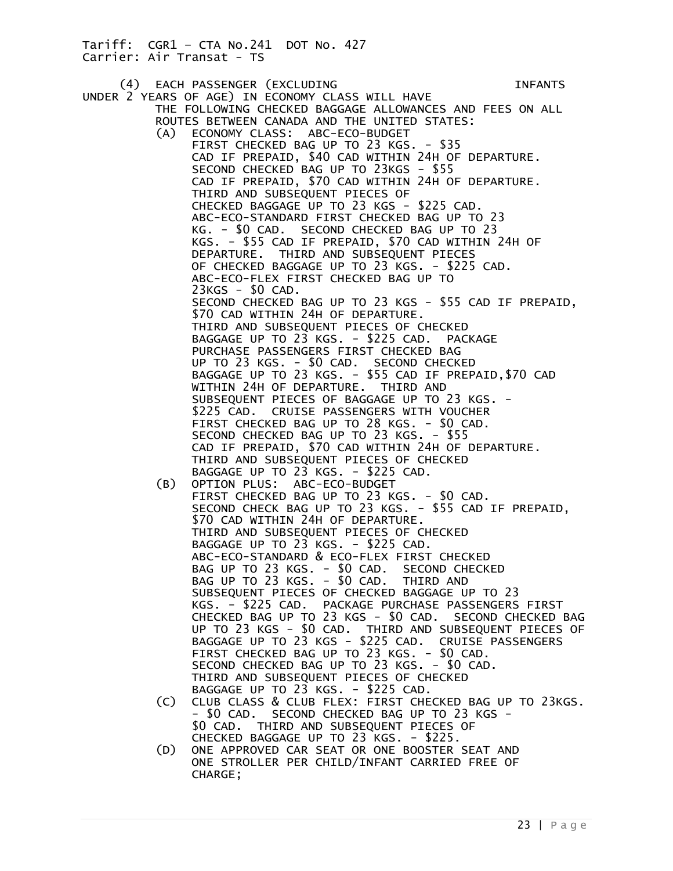(4) EACH PASSENGER (EXCLUDING INFANTS UNDER 2 YEARS OF AGE) IN ECONOMY CLASS WILL HAVE THE FOLLOWING CHECKED BAGGAGE ALLOWANCES AND FEES ON ALL ROUTES BETWEEN CANADA AND THE UNITED STATES: (A) ECONOMY CLASS: ABC-ECO-BUDGET FIRST CHECKED BAG UP TO 23 KGS. - \$35 CAD IF PREPAID, \$40 CAD WITHIN 24H OF DEPARTURE. SECOND CHECKED BAG UP TO 23KGS - \$55 CAD IF PREPAID, \$70 CAD WITHIN 24H OF DEPARTURE. THIRD AND SUBSEQUENT PIECES OF CHECKED BAGGAGE UP TO 23 KGS - \$225 CAD. ABC-ECO-STANDARD FIRST CHECKED BAG UP TO 23 KG. - \$0 CAD. SECOND CHECKED BAG UP TO 23 KGS. - \$55 CAD IF PREPAID, \$70 CAD WITHIN 24H OF DEPARTURE. THIRD AND SUBSEQUENT PIECES OF CHECKED BAGGAGE UP TO 23 KGS. - \$225 CAD. ABC-ECO-FLEX FIRST CHECKED BAG UP TO 23KGS - \$0 CAD. SECOND CHECKED BAG UP TO 23 KGS - \$55 CAD IF PREPAID, \$70 CAD WITHIN 24H OF DEPARTURE. THIRD AND SUBSEQUENT PIECES OF CHECKED BAGGAGE UP TO 23 KGS. - \$225 CAD. PACKAGE PURCHASE PASSENGERS FIRST CHECKED BAG UP TO 23 KGS. - \$0 CAD. SECOND CHECKED BAGGAGE UP TO 23 KGS. - \$55 CAD IF PREPAID,\$70 CAD WITHIN 24H OF DEPARTURE. THIRD AND SUBSEQUENT PIECES OF BAGGAGE UP TO 23 KGS. - \$225 CAD. CRUISE PASSENGERS WITH VOUCHER FIRST CHECKED BAG UP TO 28 KGS. - \$0 CAD. SECOND CHECKED BAG UP TO 23 KGS. - \$55 CAD IF PREPAID, \$70 CAD WITHIN 24H OF DEPARTURE. THIRD AND SUBSEQUENT PIECES OF CHECKED BAGGAGE UP TO 23 KGS. - \$225 CAD. (B) OPTION PLUS: ABC-ECO-BUDGET FIRST CHECKED BAG UP TO 23 KGS. - \$0 CAD. SECOND CHECK BAG UP TO 23 KGS. - \$55 CAD IF PREPAID, \$70 CAD WITHIN 24H OF DEPARTURE. THIRD AND SUBSEQUENT PIECES OF CHECKED BAGGAGE UP TO 23 KGS. - \$225 CAD. ABC-ECO-STANDARD & ECO-FLEX FIRST CHECKED BAG UP TO 23 KGS. - \$0 CAD. SECOND CHECKED BAG UP TO 23 KGS. - \$0 CAD. THIRD AND SUBSEQUENT PIECES OF CHECKED BAGGAGE UP TO 23 KGS. - \$225 CAD. PACKAGE PURCHASE PASSENGERS FIRST CHECKED BAG UP TO 23 KGS - \$0 CAD. SECOND CHECKED BAG UP TO 23 KGS - \$0 CAD. THIRD AND SUBSEQUENT PIECES OF BAGGAGE UP TO 23 KGS - \$225 CAD. CRUISE PASSENGERS FIRST CHECKED BAG UP TO 23 KGS. - \$0 CAD. SECOND CHECKED BAG UP TO 23 KGS. - \$0 CAD. THIRD AND SUBSEQUENT PIECES OF CHECKED BAGGAGE UP TO 23 KGS. - \$225 CAD. (C) CLUB CLASS & CLUB FLEX: FIRST CHECKED BAG UP TO 23KGS. - \$0 CAD. SECOND CHECKED BAG UP TO 23 KGS - \$0 CAD. THIRD AND SUBSEQUENT PIECES OF CHECKED BAGGAGE UP TO 23 KGS. - \$225. (D) ONE APPROVED CAR SEAT OR ONE BOOSTER SEAT AND

 ONE STROLLER PER CHILD/INFANT CARRIED FREE OF CHARGE;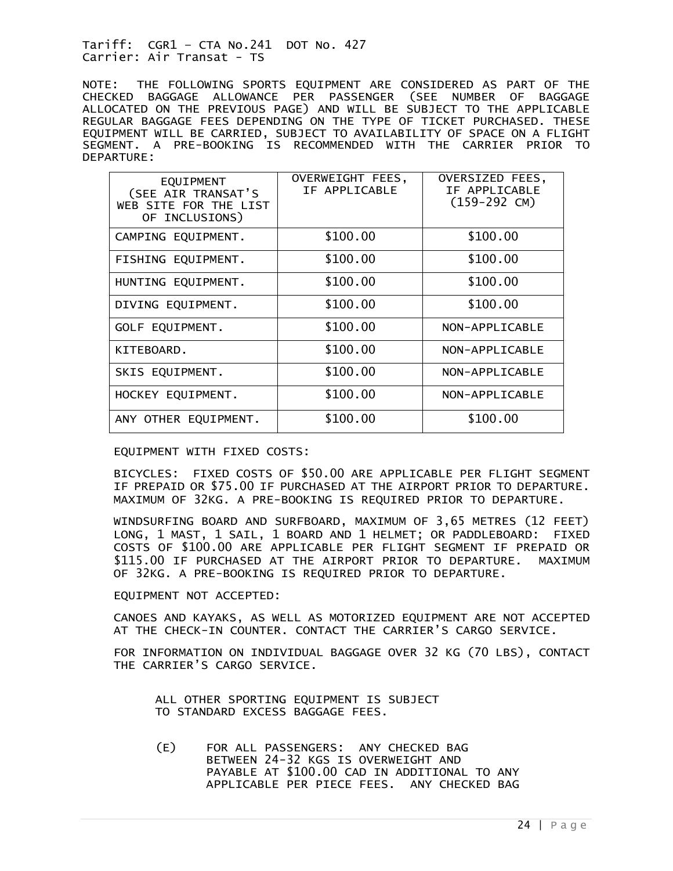NOTE: THE FOLLOWING SPORTS EQUIPMENT ARE CONSIDERED AS PART OF THE CHECKED BAGGAGE ALLOWANCE PER PASSENGER (SEE NUMBER OF BAGGAGE ALLOCATED ON THE PREVIOUS PAGE) AND WILL BE SUBJECT TO THE APPLICABLE REGULAR BAGGAGE FEES DEPENDING ON THE TYPE OF TICKET PURCHASED. THESE EQUIPMENT WILL BE CARRIED, SUBJECT TO AVAILABILITY OF SPACE ON A FLIGHT SEGMENT. A PRE-BOOKING IS RECOMMENDED WITH THE CARRIER PRIOR TO DEPARTURE:

| <b>EQUIPMENT</b><br>(SEE AIR TRANSAT'S<br>WEB SITE FOR THE LIST<br>OF INCLUSIONS) | OVERWEIGHT FEES,<br>IF APPLICABLE | OVERSIZED FEES,<br>IF APPLICABLE<br>$(159-292 \text{ CM})$ |
|-----------------------------------------------------------------------------------|-----------------------------------|------------------------------------------------------------|
| CAMPING EQUIPMENT.                                                                | \$100.00                          | \$100.00                                                   |
| FISHING EQUIPMENT.                                                                | \$100.00                          | \$100.00                                                   |
| HUNTING EQUIPMENT.                                                                | \$100.00                          | \$100.00                                                   |
| DIVING EQUIPMENT.                                                                 | \$100.00                          | \$100.00                                                   |
| GOLF EQUIPMENT.                                                                   | \$100.00                          | NON-APPLICABLE                                             |
| KITEBOARD.                                                                        | \$100.00                          | NON-APPLICABLE                                             |
| SKIS EQUIPMENT.                                                                   | \$100.00                          | NON-APPLICABLE                                             |
| HOCKEY EQUIPMENT.                                                                 | \$100.00                          | NON-APPLICABLE                                             |
| ANY OTHER EQUIPMENT.                                                              | \$100.00                          | \$100.00                                                   |

#### EQUIPMENT WITH FIXED COSTS:

BICYCLES: FIXED COSTS OF \$50.00 ARE APPLICABLE PER FLIGHT SEGMENT IF PREPAID OR \$75.00 IF PURCHASED AT THE AIRPORT PRIOR TO DEPARTURE. MAXIMUM OF 32KG. A PRE-BOOKING IS REQUIRED PRIOR TO DEPARTURE.

WINDSURFING BOARD AND SURFBOARD, MAXIMUM OF 3,65 METRES (12 FEET) LONG, 1 MAST, 1 SAIL, 1 BOARD AND 1 HELMET; OR PADDLEBOARD: FIXED COSTS OF \$100.00 ARE APPLICABLE PER FLIGHT SEGMENT IF PREPAID OR \$115.00 IF PURCHASED AT THE AIRPORT PRIOR TO DEPARTURE. MAXIMUM OF 32KG. A PRE-BOOKING IS REQUIRED PRIOR TO DEPARTURE.

#### EQUIPMENT NOT ACCEPTED:

CANOES AND KAYAKS, AS WELL AS MOTORIZED EQUIPMENT ARE NOT ACCEPTED AT THE CHECK-IN COUNTER. CONTACT THE CARRIER'S CARGO SERVICE.

FOR INFORMATION ON INDIVIDUAL BAGGAGE OVER 32 KG (70 LBS), CONTACT THE CARRIER'S CARGO SERVICE.

 ALL OTHER SPORTING EQUIPMENT IS SUBJECT TO STANDARD EXCESS BAGGAGE FEES.

 (E) FOR ALL PASSENGERS: ANY CHECKED BAG BETWEEN 24-32 KGS IS OVERWEIGHT AND PAYABLE AT \$100.00 CAD IN ADDITIONAL TO ANY APPLICABLE PER PIECE FEES. ANY CHECKED BAG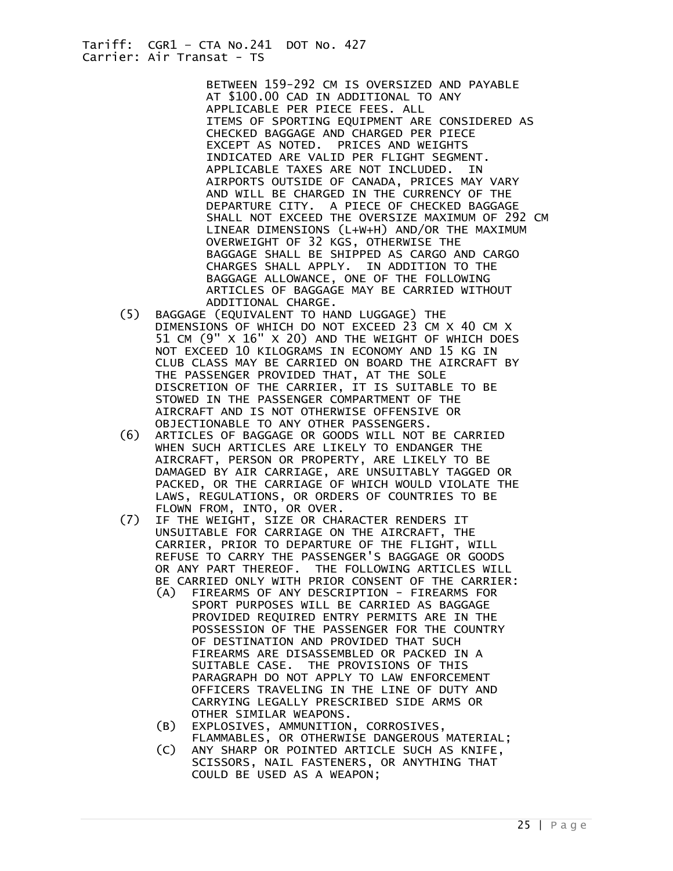> BETWEEN 159-292 CM IS OVERSIZED AND PAYABLE AT \$100.00 CAD IN ADDITIONAL TO ANY APPLICABLE PER PIECE FEES. ALL ITEMS OF SPORTING EQUIPMENT ARE CONSIDERED AS CHECKED BAGGAGE AND CHARGED PER PIECE EXCEPT AS NOTED. PRICES AND WEIGHTS INDICATED ARE VALID PER FLIGHT SEGMENT. APPLICABLE TAXES ARE NOT INCLUDED. IN AIRPORTS OUTSIDE OF CANADA, PRICES MAY VARY AND WILL BE CHARGED IN THE CURRENCY OF THE DEPARTURE CITY. A PIECE OF CHECKED BAGGAGE SHALL NOT EXCEED THE OVERSIZE MAXIMUM OF 292 CM LINEAR DIMENSIONS (L+W+H) AND/OR THE MAXIMUM OVERWEIGHT OF 32 KGS, OTHERWISE THE BAGGAGE SHALL BE SHIPPED AS CARGO AND CARGO CHARGES SHALL APPLY. IN ADDITION TO THE BAGGAGE ALLOWANCE, ONE OF THE FOLLOWING ARTICLES OF BAGGAGE MAY BE CARRIED WITHOUT ADDITIONAL CHARGE.

- (5) BAGGAGE (EQUIVALENT TO HAND LUGGAGE) THE DIMENSIONS OF WHICH DO NOT EXCEED 23 CM X 40 CM X 51 CM (9" X 16" X 20) AND THE WEIGHT OF WHICH DOES NOT EXCEED 10 KILOGRAMS IN ECONOMY AND 15 KG IN CLUB CLASS MAY BE CARRIED ON BOARD THE AIRCRAFT BY THE PASSENGER PROVIDED THAT, AT THE SOLE DISCRETION OF THE CARRIER, IT IS SUITABLE TO BE STOWED IN THE PASSENGER COMPARTMENT OF THE AIRCRAFT AND IS NOT OTHERWISE OFFENSIVE OR OBJECTIONABLE TO ANY OTHER PASSENGERS.
- (6) ARTICLES OF BAGGAGE OR GOODS WILL NOT BE CARRIED WHEN SUCH ARTICLES ARE LIKELY TO ENDANGER THE AIRCRAFT, PERSON OR PROPERTY, ARE LIKELY TO BE DAMAGED BY AIR CARRIAGE, ARE UNSUITABLY TAGGED OR PACKED, OR THE CARRIAGE OF WHICH WOULD VIOLATE THE LAWS, REGULATIONS, OR ORDERS OF COUNTRIES TO BE FLOWN FROM, INTO, OR OVER.
- (7) IF THE WEIGHT, SIZE OR CHARACTER RENDERS IT UNSUITABLE FOR CARRIAGE ON THE AIRCRAFT, THE CARRIER, PRIOR TO DEPARTURE OF THE FLIGHT, WILL REFUSE TO CARRY THE PASSENGER'S BAGGAGE OR GOODS OR ANY PART THEREOF. THE FOLLOWING ARTICLES WILL BE CARRIED ONLY WITH PRIOR CONSENT OF THE CARRIER:
	- (A) FIREARMS OF ANY DESCRIPTION FIREARMS FOR SPORT PURPOSES WILL BE CARRIED AS BAGGAGE PROVIDED REQUIRED ENTRY PERMITS ARE IN THE POSSESSION OF THE PASSENGER FOR THE COUNTRY OF DESTINATION AND PROVIDED THAT SUCH FIREARMS ARE DISASSEMBLED OR PACKED IN A SUITABLE CASE. THE PROVISIONS OF THIS PARAGRAPH DO NOT APPLY TO LAW ENFORCEMENT OFFICERS TRAVELING IN THE LINE OF DUTY AND CARRYING LEGALLY PRESCRIBED SIDE ARMS OR OTHER SIMILAR WEAPONS.
	- (B) EXPLOSIVES, AMMUNITION, CORROSIVES,
	- FLAMMABLES, OR OTHERWISE DANGEROUS MATERIAL;<br>.C) ANY SHARP OR POINTED ARTICLE SUCH AS KNIFE) ANY SHARP OR POINTED ARTICLE SUCH AS KNIFE, SCISSORS, NAIL FASTENERS, OR ANYTHING THAT COULD BE USED AS A WEAPON;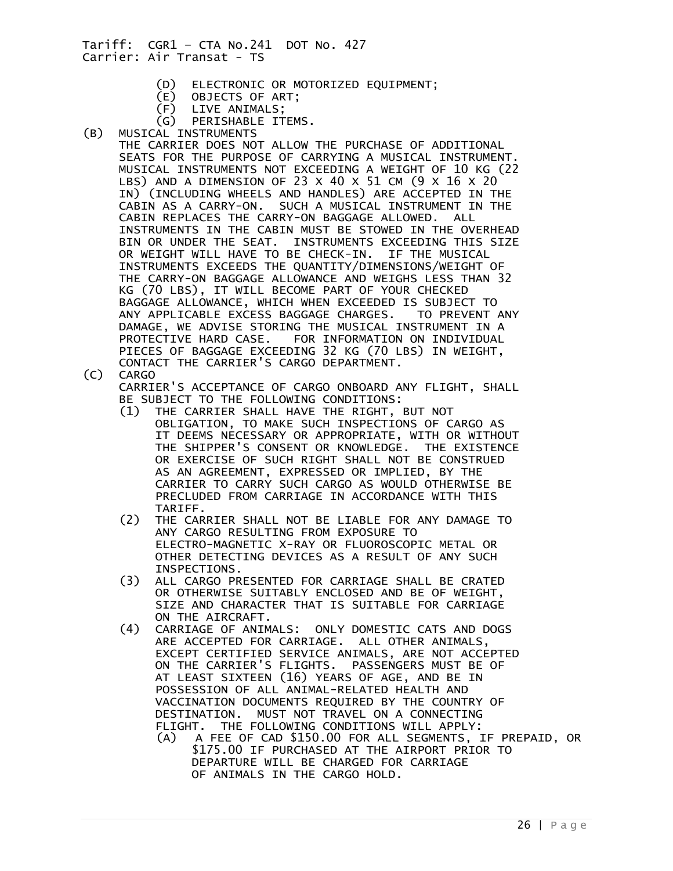- (D) ELECTRONIC OR MOTORIZED EQUIPMENT;
- (E) OBJECTS OF ART;
- LIVE ANIMALS;
- (G) PERISHABLE ITEMS.<br>(B) MUSICAL INSTRUMENTS
	- (B) MUSICAL INSTRUMENTS THE CARRIER DOES NOT ALLOW THE PURCHASE OF ADDITIONAL SEATS FOR THE PURPOSE OF CARRYING A MUSICAL INSTRUMENT. MUSICAL INSTRUMENTS NOT EXCEEDING A WEIGHT OF 10 KG (22 LBS) AND A DIMENSION OF 23 X 40 X 51 CM (9 X 16 X 20 IN) (INCLUDING WHEELS AND HANDLES) ARE ACCEPTED IN THE CABIN AS A CARRY-ON. SUCH A MUSICAL INSTRUMENT IN THE CABIN REPLACES THE CARRY-ON BAGGAGE ALLOWED. ALL INSTRUMENTS IN THE CABIN MUST BE STOWED IN THE OVERHEAD BIN OR UNDER THE SEAT. INSTRUMENTS EXCEEDING THIS SIZE OR WEIGHT WILL HAVE TO BE CHECK-IN. IF THE MUSICAL INSTRUMENTS EXCEEDS THE QUANTITY/DIMENSIONS/WEIGHT OF THE CARRY-ON BAGGAGE ALLOWANCE AND WEIGHS LESS THAN 32 KG (70 LBS), IT WILL BECOME PART OF YOUR CHECKED BAGGAGE ALLOWANCE, WHICH WHEN EXCEEDED IS SUBJECT TO ANY APPLICABLE EXCESS BAGGAGE CHARGES. TO PREVENT ANY DAMAGE, WE ADVISE STORING THE MUSICAL INSTRUMENT IN A PROTECTIVE HARD CASE. FOR INFORMATION ON INDIVIDUAL PIECES OF BAGGAGE EXCEEDING 32 KG (70 LBS) IN WEIGHT, CONTACT THE CARRIER'S CARGO DEPARTMENT.
- (C) CARGO

 CARRIER'S ACCEPTANCE OF CARGO ONBOARD ANY FLIGHT, SHALL BE SUBJECT TO THE FOLLOWING CONDITIONS:

- (1) THE CARRIER SHALL HAVE THE RIGHT, BUT NOT OBLIGATION, TO MAKE SUCH INSPECTIONS OF CARGO AS IT DEEMS NECESSARY OR APPROPRIATE, WITH OR WITHOUT THE SHIPPER'S CONSENT OR KNOWLEDGE. THE EXISTENCE OR EXERCISE OF SUCH RIGHT SHALL NOT BE CONSTRUED AS AN AGREEMENT, EXPRESSED OR IMPLIED, BY THE CARRIER TO CARRY SUCH CARGO AS WOULD OTHERWISE BE PRECLUDED FROM CARRIAGE IN ACCORDANCE WITH THIS TARIFF.
- (2) THE CARRIER SHALL NOT BE LIABLE FOR ANY DAMAGE TO ANY CARGO RESULTING FROM EXPOSURE TO ELECTRO-MAGNETIC X-RAY OR FLUOROSCOPIC METAL OR OTHER DETECTING DEVICES AS A RESULT OF ANY SUCH
- INSPECTIONS.<br>(3) ALL CARGO PR ALL CARGO PRESENTED FOR CARRIAGE SHALL BE CRATED OR OTHERWISE SUITABLY ENCLOSED AND BE OF WEIGHT, SIZE AND CHARACTER THAT IS SUITABLE FOR CARRIAGE ON THE AIRCRAFT.
- (4) CARRIAGE OF ANIMALS: ONLY DOMESTIC CATS AND DOGS ARE ACCEPTED FOR CARRIAGE. ALL OTHER ANIMALS, EXCEPT CERTIFIED SERVICE ANIMALS, ARE NOT ACCEPTED ON THE CARRIER'S FLIGHTS. PASSENGERS MUST BE OF AT LEAST SIXTEEN (16) YEARS OF AGE, AND BE IN POSSESSION OF ALL ANIMAL-RELATED HEALTH AND VACCINATION DOCUMENTS REQUIRED BY THE COUNTRY OF DESTINATION. MUST NOT TRAVEL ON A CONNECTING FLIGHT. THE FOLLOWING CONDITIONS WILL APPLY: (A) A FEE OF CAD \$150.00 FOR ALL SEGMENTS, IF PREPAID, OR
	- \$175.00 IF PURCHASED AT THE AIRPORT PRIOR TO DEPARTURE WILL BE CHARGED FOR CARRIAGE OF ANIMALS IN THE CARGO HOLD.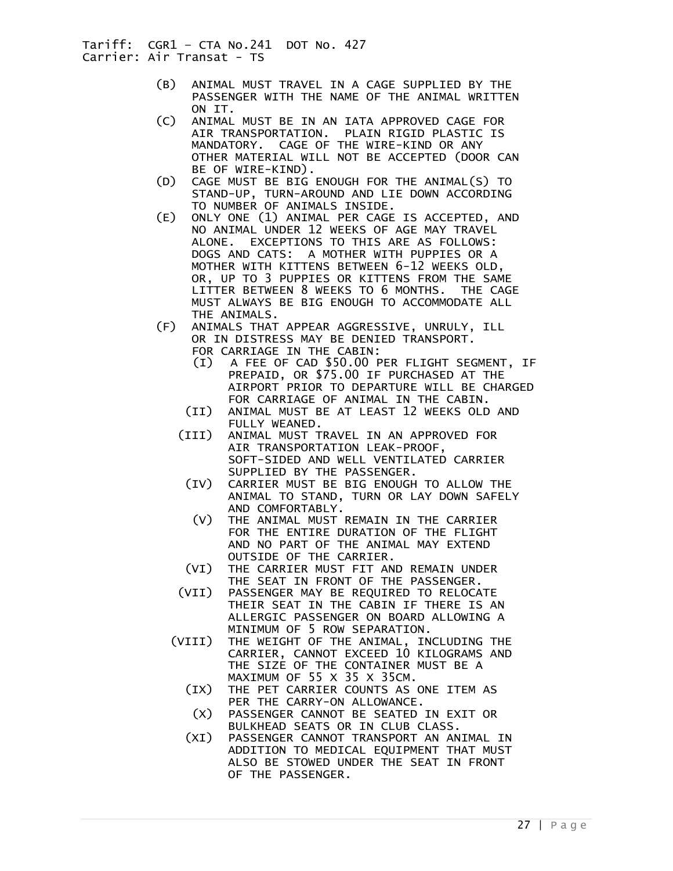- (B) ANIMAL MUST TRAVEL IN A CAGE SUPPLIED BY THE PASSENGER WITH THE NAME OF THE ANIMAL WRITTEN ON IT.
- (C) ANIMAL MUST BE IN AN IATA APPROVED CAGE FOR AIR TRANSPORTATION. PLAIN RIGID PLASTIC IS MANDATORY. CAGE OF THE WIRE-KIND OR ANY OTHER MATERIAL WILL NOT BE ACCEPTED (DOOR CAN BE OF WIRE-KIND).
- (D) CAGE MUST BE BIG ENOUGH FOR THE ANIMAL(S) TO STAND-UP, TURN-AROUND AND LIE DOWN ACCORDING TO NUMBER OF ANIMALS INSIDE.
- (E) ONLY ONE (1) ANIMAL PER CAGE IS ACCEPTED, AND NO ANIMAL UNDER 12 WEEKS OF AGE MAY TRAVEL ALONE. EXCEPTIONS TO THIS ARE AS FOLLOWS: DOGS AND CATS: A MOTHER WITH PUPPIES OR A MOTHER WITH KITTENS BETWEEN 6-12 WEEKS OLD, OR, UP TO 3 PUPPIES OR KITTENS FROM THE SAME LITTER BETWEEN 8 WEEKS TO 6 MONTHS. THE CAGE MUST ALWAYS BE BIG ENOUGH TO ACCOMMODATE ALL THE ANIMALS.
- (F) ANIMALS THAT APPEAR AGGRESSIVE, UNRULY, ILL OR IN DISTRESS MAY BE DENIED TRANSPORT. FOR CARRIAGE IN THE CABIN:
	- (I) A FEE OF CAD \$50.00 PER FLIGHT SEGMENT, IF PREPAID, OR \$75.00 IF PURCHASED AT THE AIRPORT PRIOR TO DEPARTURE WILL BE CHARGED FOR CARRIAGE OF ANIMAL IN THE CABIN.
	- (II) ANIMAL MUST BE AT LEAST 12 WEEKS OLD AND FULLY WEANED.
	- (III) ANIMAL MUST TRAVEL IN AN APPROVED FOR AIR TRANSPORTATION LEAK-PROOF, SOFT-SIDED AND WELL VENTILATED CARRIER SUPPLIED BY THE PASSENGER.
		- (IV) CARRIER MUST BE BIG ENOUGH TO ALLOW THE ANIMAL TO STAND, TURN OR LAY DOWN SAFELY AND COMFORTABLY.
		- (V) THE ANIMAL MUST REMAIN IN THE CARRIER FOR THE ENTIRE DURATION OF THE FLIGHT AND NO PART OF THE ANIMAL MAY EXTEND OUTSIDE OF THE CARRIER.
	- (VI) THE CARRIER MUST FIT AND REMAIN UNDER THE SEAT IN FRONT OF THE PASSENGER.
	- (VII) PASSENGER MAY BE REQUIRED TO RELOCATE THEIR SEAT IN THE CABIN IF THERE IS AN ALLERGIC PASSENGER ON BOARD ALLOWING A MINIMUM OF 5 ROW SEPARATION.
	- (VIII) THE WEIGHT OF THE ANIMAL, INCLUDING THE CARRIER, CANNOT EXCEED 10 KILOGRAMS AND THE SIZE OF THE CONTAINER MUST BE A MAXIMUM OF 55 X 35 X 35CM.
		- (IX) THE PET CARRIER COUNTS AS ONE ITEM AS PER THE CARRY-ON ALLOWANCE.
		- (X) PASSENGER CANNOT BE SEATED IN EXIT OR BULKHEAD SEATS OR IN CLUB CLASS.
		- (XI) PASSENGER CANNOT TRANSPORT AN ANIMAL IN ADDITION TO MEDICAL EQUIPMENT THAT MUST ALSO BE STOWED UNDER THE SEAT IN FRONT OF THE PASSENGER.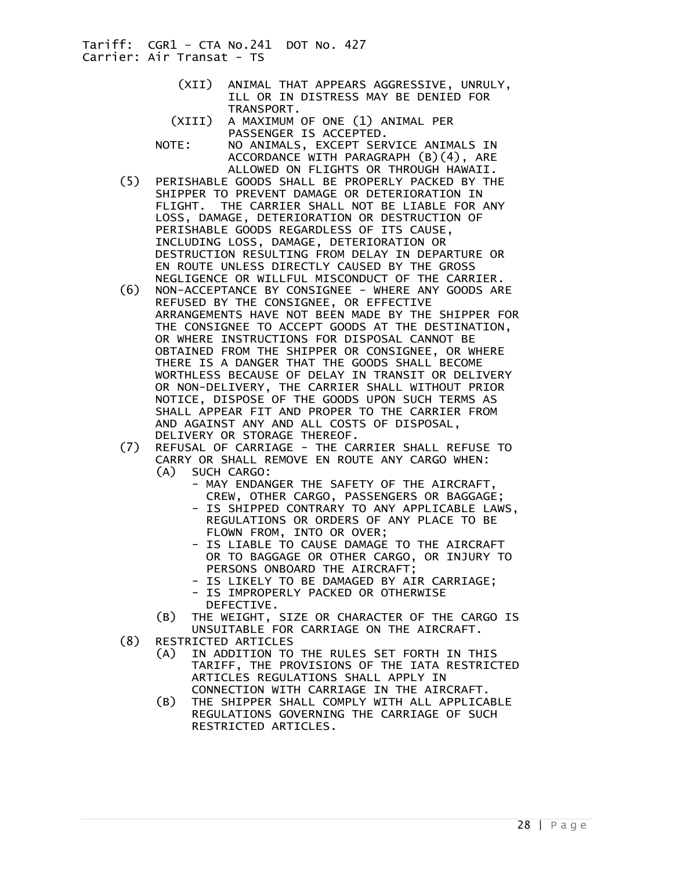- (XII) ANIMAL THAT APPEARS AGGRESSIVE, UNRULY, ILL OR IN DISTRESS MAY BE DENIED FOR TRANSPORT.
- (XIII) A MAXIMUM OF ONE (1) ANIMAL PER PASSENGER IS ACCEPTED.
- NOTE: NO ANIMALS, EXCEPT SERVICE ANIMALS IN ACCORDANCE WITH PARAGRAPH (B)(4), ARE ALLOWED ON FLIGHTS OR THROUGH HAWAII.
- (5) PERISHABLE GOODS SHALL BE PROPERLY PACKED BY THE SHIPPER TO PREVENT DAMAGE OR DETERIORATION IN FLIGHT. THE CARRIER SHALL NOT BE LIABLE FOR ANY LOSS, DAMAGE, DETERIORATION OR DESTRUCTION OF PERISHABLE GOODS REGARDLESS OF ITS CAUSE, INCLUDING LOSS, DAMAGE, DETERIORATION OR DESTRUCTION RESULTING FROM DELAY IN DEPARTURE OR EN ROUTE UNLESS DIRECTLY CAUSED BY THE GROSS NEGLIGENCE OR WILLFUL MISCONDUCT OF THE CARRIER.
- (6) NON-ACCEPTANCE BY CONSIGNEE WHERE ANY GOODS ARE REFUSED BY THE CONSIGNEE, OR EFFECTIVE ARRANGEMENTS HAVE NOT BEEN MADE BY THE SHIPPER FOR THE CONSIGNEE TO ACCEPT GOODS AT THE DESTINATION, OR WHERE INSTRUCTIONS FOR DISPOSAL CANNOT BE OBTAINED FROM THE SHIPPER OR CONSIGNEE, OR WHERE THERE IS A DANGER THAT THE GOODS SHALL BECOME WORTHLESS BECAUSE OF DELAY IN TRANSIT OR DELIVERY OR NON-DELIVERY, THE CARRIER SHALL WITHOUT PRIOR NOTICE, DISPOSE OF THE GOODS UPON SUCH TERMS AS SHALL APPEAR FIT AND PROPER TO THE CARRIER FROM AND AGAINST ANY AND ALL COSTS OF DISPOSAL,
- DELIVERY OR STORAGE THEREOF.<br>(7) REFUSAL OF CARRIAGE THE CA REFUSAL OF CARRIAGE - THE CARRIER SHALL REFUSE TO CARRY OR SHALL REMOVE EN ROUTE ANY CARGO WHEN: (A) SUCH CARGO:
	- MAY ENDANGER THE SAFETY OF THE AIRCRAFT, CREW, OTHER CARGO, PASSENGERS OR BAGGAGE;
		- IS SHIPPED CONTRARY TO ANY APPLICABLE LAWS, REGULATIONS OR ORDERS OF ANY PLACE TO BE FLOWN FROM, INTO OR OVER;
		- IS LIABLE TO CAUSE DAMAGE TO THE AIRCRAFT OR TO BAGGAGE OR OTHER CARGO, OR INJURY TO PERSONS ONBOARD THE AIRCRAFT;
		- IS LIKELY TO BE DAMAGED BY AIR CARRIAGE; - IS IMPROPERLY PACKED OR OTHERWISE
		- DEFECTIVE.
- (B) THE WEIGHT, SIZE OR CHARACTER OF THE CARGO IS UNSUITABLE FOR CARRIAGE ON THE AIRCRAFT.<br>(8) RESTRICTED ARTICLES
- (8) RESTRICTED ARTICLES
	- (A) IN ADDITION TO THE RULES SET FORTH IN THIS TARIFF, THE PROVISIONS OF THE IATA RESTRICTED ARTICLES REGULATIONS SHALL APPLY IN CONNECTION WITH CARRIAGE IN THE AIRCRAFT.
	- (B) THE SHIPPER SHALL COMPLY WITH ALL APPLICABLE REGULATIONS GOVERNING THE CARRIAGE OF SUCH RESTRICTED ARTICLES.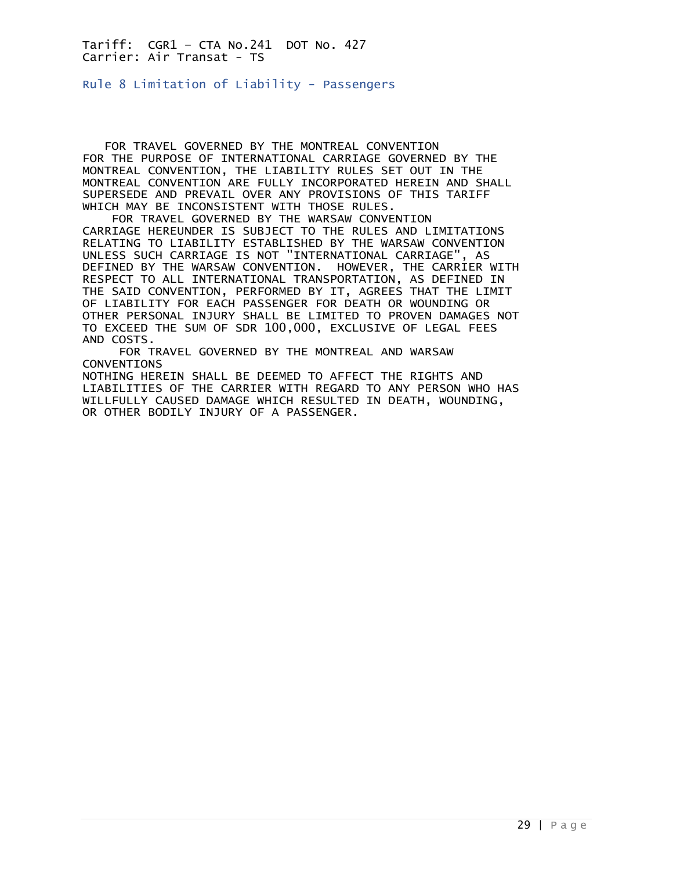<span id="page-28-0"></span>Rule 8 Limitation of Liability - Passengers

 FOR TRAVEL GOVERNED BY THE MONTREAL CONVENTION FOR THE PURPOSE OF INTERNATIONAL CARRIAGE GOVERNED BY THE MONTREAL CONVENTION, THE LIABILITY RULES SET OUT IN THE MONTREAL CONVENTION ARE FULLY INCORPORATED HEREIN AND SHALL SUPERSEDE AND PREVAIL OVER ANY PROVISIONS OF THIS TARIFF WHICH MAY BE INCONSISTENT WITH THOSE RULES.

 FOR TRAVEL GOVERNED BY THE WARSAW CONVENTION CARRIAGE HEREUNDER IS SUBJECT TO THE RULES AND LIMITATIONS RELATING TO LIABILITY ESTABLISHED BY THE WARSAW CONVENTION UNLESS SUCH CARRIAGE IS NOT "INTERNATIONAL CARRIAGE", AS DEFINED BY THE WARSAW CONVENTION. HOWEVER, THE CARRIER WITH RESPECT TO ALL INTERNATIONAL TRANSPORTATION, AS DEFINED IN THE SAID CONVENTION, PERFORMED BY IT, AGREES THAT THE LIMIT OF LIABILITY FOR EACH PASSENGER FOR DEATH OR WOUNDING OR OTHER PERSONAL INJURY SHALL BE LIMITED TO PROVEN DAMAGES NOT TO EXCEED THE SUM OF SDR 100,000, EXCLUSIVE OF LEGAL FEES AND COSTS.

 FOR TRAVEL GOVERNED BY THE MONTREAL AND WARSAW CONVENTIONS NOTHING HEREIN SHALL BE DEEMED TO AFFECT THE RIGHTS AND LIABILITIES OF THE CARRIER WITH REGARD TO ANY PERSON WHO HAS

WILLFULLY CAUSED DAMAGE WHICH RESULTED IN DEATH, WOUNDING, OR OTHER BODILY INJURY OF A PASSENGER.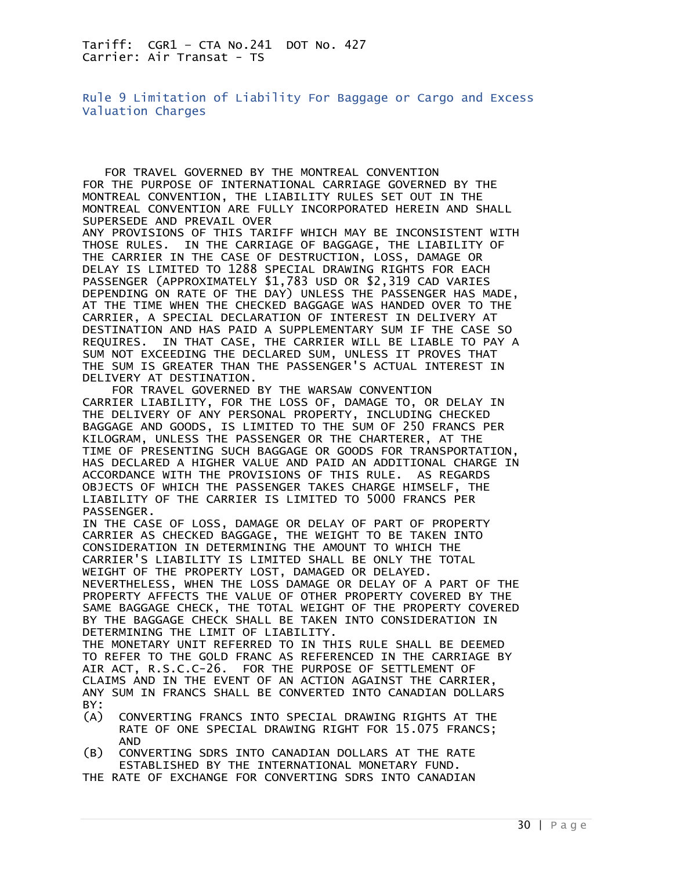<span id="page-29-0"></span>Rule 9 Limitation of Liability For Baggage or Cargo and Excess Valuation Charges

 FOR TRAVEL GOVERNED BY THE MONTREAL CONVENTION FOR THE PURPOSE OF INTERNATIONAL CARRIAGE GOVERNED BY THE MONTREAL CONVENTION, THE LIABILITY RULES SET OUT IN THE MONTREAL CONVENTION ARE FULLY INCORPORATED HEREIN AND SHALL SUPERSEDE AND PREVAIL OVER

ANY PROVISIONS OF THIS TARIFF WHICH MAY BE INCONSISTENT WITH THOSE RULES. IN THE CARRIAGE OF BAGGAGE, THE LIABILITY OF THE CARRIER IN THE CASE OF DESTRUCTION, LOSS, DAMAGE OR DELAY IS LIMITED TO 1288 SPECIAL DRAWING RIGHTS FOR EACH PASSENGER (APPROXIMATELY \$1,783 USD OR \$2,319 CAD VARIES DEPENDING ON RATE OF THE DAY) UNLESS THE PASSENGER HAS MADE, AT THE TIME WHEN THE CHECKED BAGGAGE WAS HANDED OVER TO THE CARRIER, A SPECIAL DECLARATION OF INTEREST IN DELIVERY AT DESTINATION AND HAS PAID A SUPPLEMENTARY SUM IF THE CASE SO REQUIRES. IN THAT CASE, THE CARRIER WILL BE LIABLE TO PAY A SUM NOT EXCEEDING THE DECLARED SUM, UNLESS IT PROVES THAT THE SUM IS GREATER THAN THE PASSENGER'S ACTUAL INTEREST IN DELIVERY AT DESTINATION.

 FOR TRAVEL GOVERNED BY THE WARSAW CONVENTION CARRIER LIABILITY, FOR THE LOSS OF, DAMAGE TO, OR DELAY IN THE DELIVERY OF ANY PERSONAL PROPERTY, INCLUDING CHECKED BAGGAGE AND GOODS, IS LIMITED TO THE SUM OF 250 FRANCS PER KILOGRAM, UNLESS THE PASSENGER OR THE CHARTERER, AT THE TIME OF PRESENTING SUCH BAGGAGE OR GOODS FOR TRANSPORTATION, HAS DECLARED A HIGHER VALUE AND PAID AN ADDITIONAL CHARGE IN ACCORDANCE WITH THE PROVISIONS OF THIS RULE. AS REGARDS OBJECTS OF WHICH THE PASSENGER TAKES CHARGE HIMSELF, THE LIABILITY OF THE CARRIER IS LIMITED TO 5000 FRANCS PER PASSENGER.

IN THE CASE OF LOSS, DAMAGE OR DELAY OF PART OF PROPERTY CARRIER AS CHECKED BAGGAGE, THE WEIGHT TO BE TAKEN INTO CONSIDERATION IN DETERMINING THE AMOUNT TO WHICH THE CARRIER'S LIABILITY IS LIMITED SHALL BE ONLY THE TOTAL WEIGHT OF THE PROPERTY LOST, DAMAGED OR DELAYED. NEVERTHELESS, WHEN THE LOSS DAMAGE OR DELAY OF A PART OF THE PROPERTY AFFECTS THE VALUE OF OTHER PROPERTY COVERED BY THE SAME BAGGAGE CHECK, THE TOTAL WEIGHT OF THE PROPERTY COVERED BY THE BAGGAGE CHECK SHALL BE TAKEN INTO CONSIDERATION IN DETERMINING THE LIMIT OF LIABILITY. THE MONETARY UNIT REFERRED TO IN THIS RULE SHALL BE DEEMED TO REFER TO THE GOLD FRANC AS REFERENCED IN THE CARRIAGE BY AIR ACT, R.S.C.C-26. FOR THE PURPOSE OF SETTLEMENT OF CLAIMS AND IN THE EVENT OF AN ACTION AGAINST THE CARRIER, ANY SUM IN FRANCS SHALL BE CONVERTED INTO CANADIAN DOLLARS

- BY:
- (A) CONVERTING FRANCS INTO SPECIAL DRAWING RIGHTS AT THE RATE OF ONE SPECIAL DRAWING RIGHT FOR 15.075 FRANCS; AND
- (B) CONVERTING SDRS INTO CANADIAN DOLLARS AT THE RATE ESTABLISHED BY THE INTERNATIONAL MONETARY FUND.
- THE RATE OF EXCHANGE FOR CONVERTING SDRS INTO CANADIAN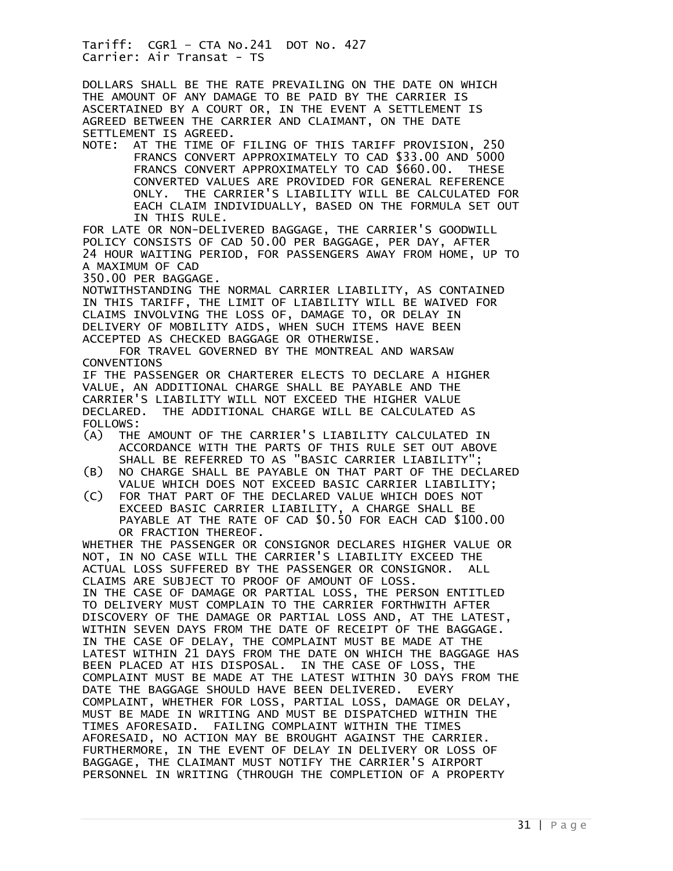DOLLARS SHALL BE THE RATE PREVAILING ON THE DATE ON WHICH THE AMOUNT OF ANY DAMAGE TO BE PAID BY THE CARRIER IS ASCERTAINED BY A COURT OR, IN THE EVENT A SETTLEMENT IS AGREED BETWEEN THE CARRIER AND CLAIMANT, ON THE DATE SETTLEMENT IS AGREED.

NOTE: AT THE TIME OF FILING OF THIS TARIFF PROVISION, 250 FRANCS CONVERT APPROXIMATELY TO CAD \$33.00 AND 5000 FRANCS CONVERT APPROXIMATELY TO CAD \$660.00. THESE CONVERTED VALUES ARE PROVIDED FOR GENERAL REFERENCE ONLY. THE CARRIER'S LIABILITY WILL BE CALCULATED FOR EACH CLAIM INDIVIDUALLY, BASED ON THE FORMULA SET OUT IN THIS RULE.

FOR LATE OR NON-DELIVERED BAGGAGE, THE CARRIER'S GOODWILL POLICY CONSISTS OF CAD 50.00 PER BAGGAGE, PER DAY, AFTER 24 HOUR WAITING PERIOD, FOR PASSENGERS AWAY FROM HOME, UP TO A MAXIMUM OF CAD

350.00 PER BAGGAGE.

NOTWITHSTANDING THE NORMAL CARRIER LIABILITY, AS CONTAINED IN THIS TARIFF, THE LIMIT OF LIABILITY WILL BE WAIVED FOR CLAIMS INVOLVING THE LOSS OF, DAMAGE TO, OR DELAY IN DELIVERY OF MOBILITY AIDS, WHEN SUCH ITEMS HAVE BEEN ACCEPTED AS CHECKED BAGGAGE OR OTHERWISE.

 FOR TRAVEL GOVERNED BY THE MONTREAL AND WARSAW CONVENTIONS

IF THE PASSENGER OR CHARTERER ELECTS TO DECLARE A HIGHER VALUE, AN ADDITIONAL CHARGE SHALL BE PAYABLE AND THE CARRIER'S LIABILITY WILL NOT EXCEED THE HIGHER VALUE DECLARED. THE ADDITIONAL CHARGE WILL BE CALCULATED AS FOLLOWS:

- (A) THE AMOUNT OF THE CARRIER'S LIABILITY CALCULATED IN ACCORDANCE WITH THE PARTS OF THIS RULE SET OUT ABOVE SHALL BE REFERRED TO AS "BASIC CARRIER LIABILITY";
- (B) NO CHARGE SHALL BE PAYABLE ON THAT PART OF THE DECLARED VALUE WHICH DOES NOT EXCEED BASIC CARRIER LIABILITY;
- (C) FOR THAT PART OF THE DECLARED VALUE WHICH DOES NOT EXCEED BASIC CARRIER LIABILITY, A CHARGE SHALL BE PAYABLE AT THE RATE OF CAD \$0.50 FOR EACH CAD \$100.00 OR FRACTION THEREOF.

WHETHER THE PASSENGER OR CONSIGNOR DECLARES HIGHER VALUE OR NOT, IN NO CASE WILL THE CARRIER'S LIABILITY EXCEED THE ACTUAL LOSS SUFFERED BY THE PASSENGER OR CONSIGNOR. ALL CLAIMS ARE SUBJECT TO PROOF OF AMOUNT OF LOSS. IN THE CASE OF DAMAGE OR PARTIAL LOSS, THE PERSON ENTITLED TO DELIVERY MUST COMPLAIN TO THE CARRIER FORTHWITH AFTER DISCOVERY OF THE DAMAGE OR PARTIAL LOSS AND, AT THE LATEST, WITHIN SEVEN DAYS FROM THE DATE OF RECEIPT OF THE BAGGAGE. IN THE CASE OF DELAY, THE COMPLAINT MUST BE MADE AT THE LATEST WITHIN 21 DAYS FROM THE DATE ON WHICH THE BAGGAGE HAS BEEN PLACED AT HIS DISPOSAL. IN THE CASE OF LOSS, THE COMPLAINT MUST BE MADE AT THE LATEST WITHIN 30 DAYS FROM THE DATE THE BAGGAGE SHOULD HAVE BEEN DELIVERED. EVERY COMPLAINT, WHETHER FOR LOSS, PARTIAL LOSS, DAMAGE OR DELAY, MUST BE MADE IN WRITING AND MUST BE DISPATCHED WITHIN THE TIMES AFORESAID. FAILING COMPLAINT WITHIN THE TIMES AFORESAID, NO ACTION MAY BE BROUGHT AGAINST THE CARRIER. FURTHERMORE, IN THE EVENT OF DELAY IN DELIVERY OR LOSS OF BAGGAGE, THE CLAIMANT MUST NOTIFY THE CARRIER'S AIRPORT PERSONNEL IN WRITING (THROUGH THE COMPLETION OF A PROPERTY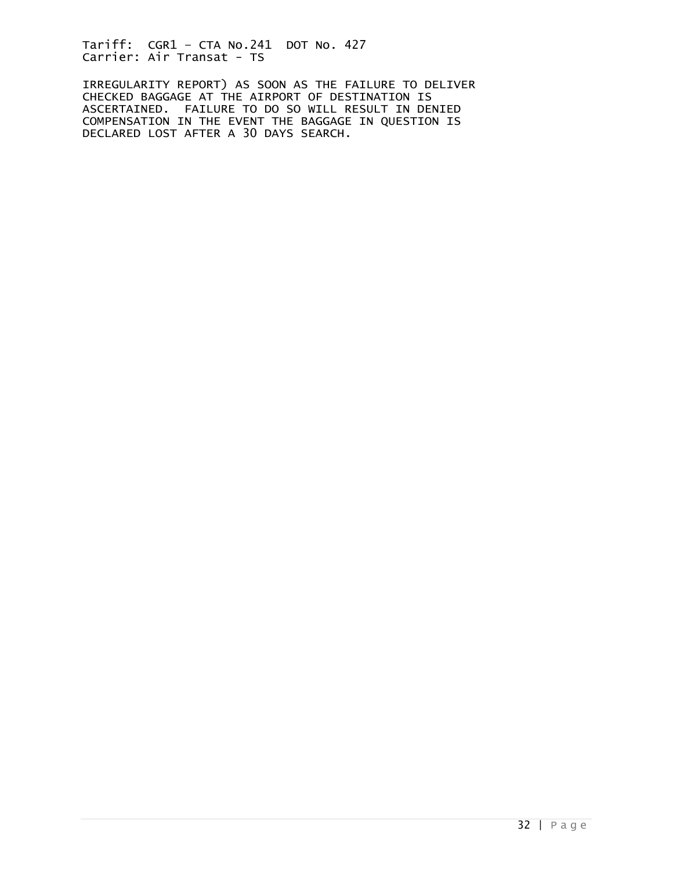IRREGULARITY REPORT) AS SOON AS THE FAILURE TO DELIVER CHECKED BAGGAGE AT THE AIRPORT OF DESTINATION IS ASCERTAINED. FAILURE TO DO SO WILL RESULT IN DENIED COMPENSATION IN THE EVENT THE BAGGAGE IN QUESTION IS DECLARED LOST AFTER A 30 DAYS SEARCH.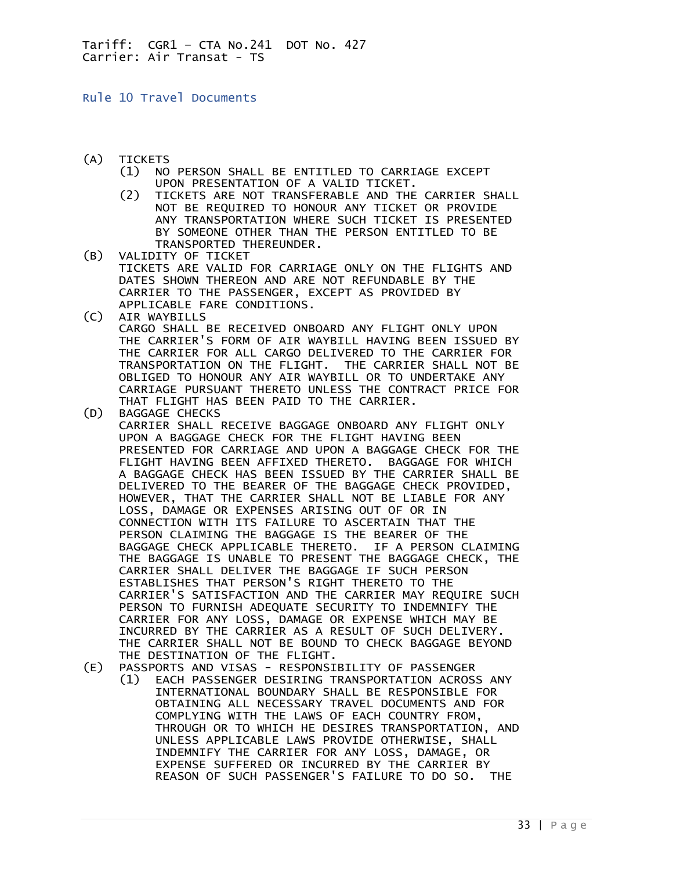<span id="page-32-0"></span>Rule 10 Travel Documents

- (A) TICKETS
	- (1) NO PERSON SHALL BE ENTITLED TO CARRIAGE EXCEPT UPON PRESENTATION OF A VALID TICKET.<br>TICKETS ARE NOT TRANSFERABLE AND THE
	- TICKETS ARE NOT TRANSFERABLE AND THE CARRIER SHALL NOT BE REQUIRED TO HONOUR ANY TICKET OR PROVIDE ANY TRANSPORTATION WHERE SUCH TICKET IS PRESENTED BY SOMEONE OTHER THAN THE PERSON ENTITLED TO BE TRANSPORTED THEREUNDER.
- (B) VALIDITY OF TICKET TICKETS ARE VALID FOR CARRIAGE ONLY ON THE FLIGHTS AND DATES SHOWN THEREON AND ARE NOT REFUNDABLE BY THE CARRIER TO THE PASSENGER, EXCEPT AS PROVIDED BY APPLICABLE FARE CONDITIONS. (C) AIR WAYBILLS
- CARGO SHALL BE RECEIVED ONBOARD ANY FLIGHT ONLY UPON THE CARRIER'S FORM OF AIR WAYBILL HAVING BEEN ISSUED BY THE CARRIER FOR ALL CARGO DELIVERED TO THE CARRIER FOR TRANSPORTATION ON THE FLIGHT. THE CARRIER SHALL NOT BE OBLIGED TO HONOUR ANY AIR WAYBILL OR TO UNDERTAKE ANY CARRIAGE PURSUANT THERETO UNLESS THE CONTRACT PRICE FOR THAT FLIGHT HAS BEEN PAID TO THE CARRIER.<br>(D) BAGGAGE CHECKS
- BAGGAGE CHECKS CARRIER SHALL RECEIVE BAGGAGE ONBOARD ANY FLIGHT ONLY UPON A BAGGAGE CHECK FOR THE FLIGHT HAVING BEEN PRESENTED FOR CARRIAGE AND UPON A BAGGAGE CHECK FOR THE FLIGHT HAVING BEEN AFFIXED THERETO. BAGGAGE FOR WHICH A BAGGAGE CHECK HAS BEEN ISSUED BY THE CARRIER SHALL BE DELIVERED TO THE BEARER OF THE BAGGAGE CHECK PROVIDED, HOWEVER, THAT THE CARRIER SHALL NOT BE LIABLE FOR ANY LOSS, DAMAGE OR EXPENSES ARISING OUT OF OR IN CONNECTION WITH ITS FAILURE TO ASCERTAIN THAT THE PERSON CLAIMING THE BAGGAGE IS THE BEARER OF THE BAGGAGE CHECK APPLICABLE THERETO. IF A PERSON CLAIMING THE BAGGAGE IS UNABLE TO PRESENT THE BAGGAGE CHECK, THE CARRIER SHALL DELIVER THE BAGGAGE IF SUCH PERSON ESTABLISHES THAT PERSON'S RIGHT THERETO TO THE CARRIER'S SATISFACTION AND THE CARRIER MAY REQUIRE SUCH PERSON TO FURNISH ADEQUATE SECURITY TO INDEMNIFY THE CARRIER FOR ANY LOSS, DAMAGE OR EXPENSE WHICH MAY BE INCURRED BY THE CARRIER AS A RESULT OF SUCH DELIVERY. THE CARRIER SHALL NOT BE BOUND TO CHECK BAGGAGE BEYOND THE DESTINATION OF THE FLIGHT.
- (E) PASSPORTS AND VISAS RESPONSIBILITY OF PASSENGER
	- (1) EACH PASSENGER DESIRING TRANSPORTATION ACROSS ANY INTERNATIONAL BOUNDARY SHALL BE RESPONSIBLE FOR OBTAINING ALL NECESSARY TRAVEL DOCUMENTS AND FOR COMPLYING WITH THE LAWS OF EACH COUNTRY FROM, THROUGH OR TO WHICH HE DESIRES TRANSPORTATION, AND UNLESS APPLICABLE LAWS PROVIDE OTHERWISE, SHALL INDEMNIFY THE CARRIER FOR ANY LOSS, DAMAGE, OR EXPENSE SUFFERED OR INCURRED BY THE CARRIER BY REASON OF SUCH PASSENGER'S FAILURE TO DO SO. THE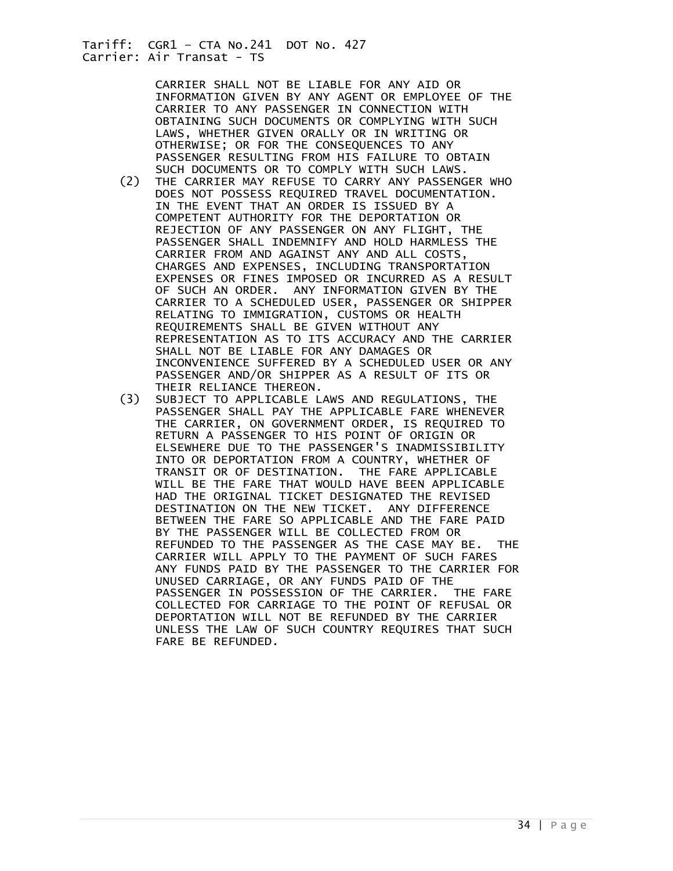> CARRIER SHALL NOT BE LIABLE FOR ANY AID OR INFORMATION GIVEN BY ANY AGENT OR EMPLOYEE OF THE CARRIER TO ANY PASSENGER IN CONNECTION WITH OBTAINING SUCH DOCUMENTS OR COMPLYING WITH SUCH LAWS, WHETHER GIVEN ORALLY OR IN WRITING OR OTHERWISE; OR FOR THE CONSEQUENCES TO ANY PASSENGER RESULTING FROM HIS FAILURE TO OBTAIN SUCH DOCUMENTS OR TO COMPLY WITH SUCH LAWS.<br>THE CARRIER MAY REFUSE TO CARRY ANY PASSENG

- THE CARRIER MAY REFUSE TO CARRY ANY PASSENGER WHO DOES NOT POSSESS REQUIRED TRAVEL DOCUMENTATION. IN THE EVENT THAT AN ORDER IS ISSUED BY A COMPETENT AUTHORITY FOR THE DEPORTATION OR REJECTION OF ANY PASSENGER ON ANY FLIGHT, THE PASSENGER SHALL INDEMNIFY AND HOLD HARMLESS THE CARRIER FROM AND AGAINST ANY AND ALL COSTS, CHARGES AND EXPENSES, INCLUDING TRANSPORTATION EXPENSES OR FINES IMPOSED OR INCURRED AS A RESULT OF SUCH AN ORDER. ANY INFORMATION GIVEN BY THE CARRIER TO A SCHEDULED USER, PASSENGER OR SHIPPER RELATING TO IMMIGRATION, CUSTOMS OR HEALTH REQUIREMENTS SHALL BE GIVEN WITHOUT ANY REPRESENTATION AS TO ITS ACCURACY AND THE CARRIER SHALL NOT BE LIABLE FOR ANY DAMAGES OR INCONVENIENCE SUFFERED BY A SCHEDULED USER OR ANY PASSENGER AND/OR SHIPPER AS A RESULT OF ITS OR THEIR RELIANCE THEREON.<br>(3) SUBJECT TO APPLICABLE L
- SUBJECT TO APPLICABLE LAWS AND REGULATIONS, THE PASSENGER SHALL PAY THE APPLICABLE FARE WHENEVER THE CARRIER, ON GOVERNMENT ORDER, IS REQUIRED TO RETURN A PASSENGER TO HIS POINT OF ORIGIN OR ELSEWHERE DUE TO THE PASSENGER'S INADMISSIBILITY INTO OR DEPORTATION FROM A COUNTRY, WHETHER OF TRANSIT OR OF DESTINATION. THE FARE APPLICABLE WILL BE THE FARE THAT WOULD HAVE BEEN APPLICABLE HAD THE ORIGINAL TICKET DESIGNATED THE REVISED DESTINATION ON THE NEW TICKET. ANY DIFFERENCE BETWEEN THE FARE SO APPLICABLE AND THE FARE PAID BY THE PASSENGER WILL BE COLLECTED FROM OR REFUNDED TO THE PASSENGER AS THE CASE MAY BE. THE CARRIER WILL APPLY TO THE PAYMENT OF SUCH FARES ANY FUNDS PAID BY THE PASSENGER TO THE CARRIER FOR UNUSED CARRIAGE, OR ANY FUNDS PAID OF THE PASSENGER IN POSSESSION OF THE CARRIER. THE FARE COLLECTED FOR CARRIAGE TO THE POINT OF REFUSAL OR DEPORTATION WILL NOT BE REFUNDED BY THE CARRIER UNLESS THE LAW OF SUCH COUNTRY REQUIRES THAT SUCH FARE BE REFUNDED.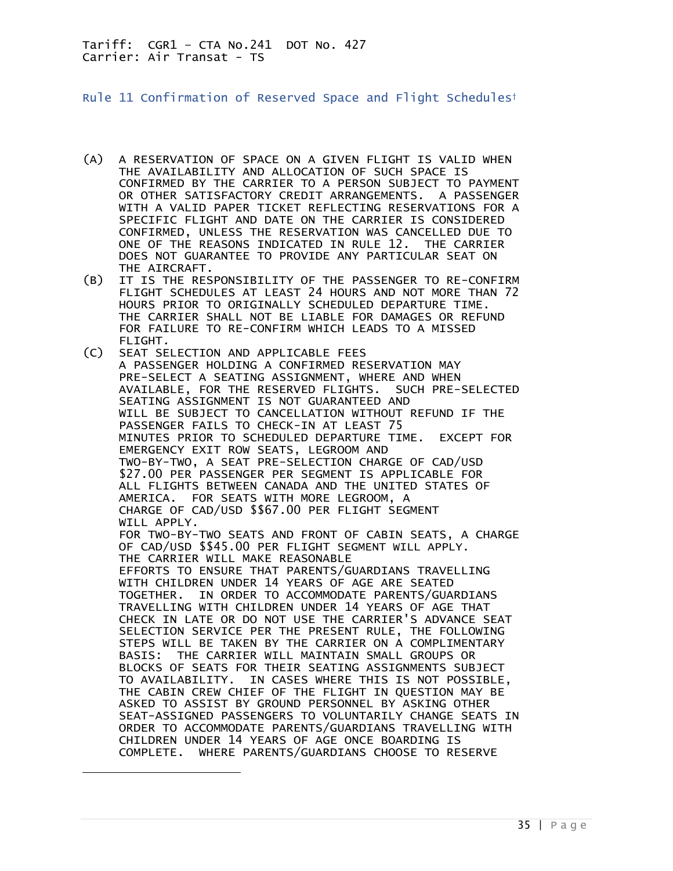<span id="page-34-0"></span>Rule 11 Confirmation of Reserved Space and Flight Schedules†

- (A) A RESERVATION OF SPACE ON A GIVEN FLIGHT IS VALID WHEN THE AVAILABILITY AND ALLOCATION OF SUCH SPACE IS CONFIRMED BY THE CARRIER TO A PERSON SUBJECT TO PAYMENT OR OTHER SATISFACTORY CREDIT ARRANGEMENTS. A PASSENGER WITH A VALID PAPER TICKET REFLECTING RESERVATIONS FOR A SPECIFIC FLIGHT AND DATE ON THE CARRIER IS CONSIDERED CONFIRMED, UNLESS THE RESERVATION WAS CANCELLED DUE TO ONE OF THE REASONS INDICATED IN RULE 12. THE CARRIER DOES NOT GUARANTEE TO PROVIDE ANY PARTICULAR SEAT ON THE AIRCRAFT.
- (B) IT IS THE RESPONSIBILITY OF THE PASSENGER TO RE-CONFIRM FLIGHT SCHEDULES AT LEAST 24 HOURS AND NOT MORE THAN 72 HOURS PRIOR TO ORIGINALLY SCHEDULED DEPARTURE TIME. THE CARRIER SHALL NOT BE LIABLE FOR DAMAGES OR REFUND FOR FAILURE TO RE-CONFIRM WHICH LEADS TO A MISSED FLIGHT.
- (C) SEAT SELECTION AND APPLICABLE FEES A PASSENGER HOLDING A CONFIRMED RESERVATION MAY PRE-SELECT A SEATING ASSIGNMENT, WHERE AND WHEN AVAILABLE, FOR THE RESERVED FLIGHTS. SUCH PRE-SELECTED SEATING ASSIGNMENT IS NOT GUARANTEED AND WILL BE SUBJECT TO CANCELLATION WITHOUT REFUND IF THE PASSENGER FAILS TO CHECK-IN AT LEAST 75 MINUTES PRIOR TO SCHEDULED DEPARTURE TIME. EXCEPT FOR EMERGENCY EXIT ROW SEATS, LEGROOM AND TWO-BY-TWO, A SEAT PRE-SELECTION CHARGE OF CAD/USD \$27.00 PER PASSENGER PER SEGMENT IS APPLICABLE FOR ALL FLIGHTS BETWEEN CANADA AND THE UNITED STATES OF AMERICA. FOR SEATS WITH MORE LEGROOM, A CHARGE OF CAD/USD \$\$67.00 PER FLIGHT SEGMENT WILL APPLY. FOR TWO-BY-TWO SEATS AND FRONT OF CABIN SEATS, A CHARGE OF CAD/USD \$\$45.00 PER FLIGHT SEGMENT WILL APPLY. THE CARRIER WILL MAKE REASONABLE EFFORTS TO ENSURE THAT PARENTS/GUARDIANS TRAVELLING WITH CHILDREN UNDER 14 YEARS OF AGE ARE SEATED TOGETHER. IN ORDER TO ACCOMMODATE PARENTS/GUARDIANS TRAVELLING WITH CHILDREN UNDER 14 YEARS OF AGE THAT CHECK IN LATE OR DO NOT USE THE CARRIER'S ADVANCE SEAT SELECTION SERVICE PER THE PRESENT RULE, THE FOLLOWING STEPS WILL BE TAKEN BY THE CARRIER ON A COMPLIMENTARY BASIS: THE CARRIER WILL MAINTAIN SMALL GROUPS OR BLOCKS OF SEATS FOR THEIR SEATING ASSIGNMENTS SUBJECT TO AVAILABILITY. IN CASES WHERE THIS IS NOT POSSIBLE, THE CABIN CREW CHIEF OF THE FLIGHT IN QUESTION MAY BE ASKED TO ASSIST BY GROUND PERSONNEL BY ASKING OTHER SEAT-ASSIGNED PASSENGERS TO VOLUNTARILY CHANGE SEATS IN ORDER TO ACCOMMODATE PARENTS/GUARDIANS TRAVELLING WITH CHILDREN UNDER 14 YEARS OF AGE ONCE BOARDING IS COMPLETE. WHERE PARENTS/GUARDIANS CHOOSE TO RESERVE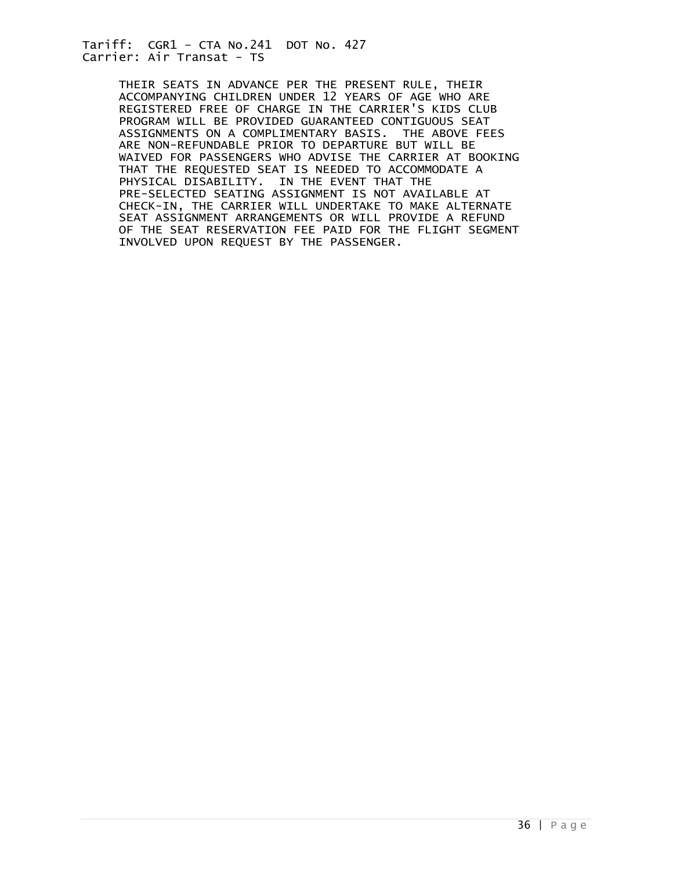> THEIR SEATS IN ADVANCE PER THE PRESENT RULE, THEIR ACCOMPANYING CHILDREN UNDER 12 YEARS OF AGE WHO ARE REGISTERED FREE OF CHARGE IN THE CARRIER'S KIDS CLUB PROGRAM WILL BE PROVIDED GUARANTEED CONTIGUOUS SEAT ASSIGNMENTS ON A COMPLIMENTARY BASIS. THE ABOVE FEES ARE NON-REFUNDABLE PRIOR TO DEPARTURE BUT WILL BE WAIVED FOR PASSENGERS WHO ADVISE THE CARRIER AT BOOKING THAT THE REQUESTED SEAT IS NEEDED TO ACCOMMODATE A PHYSICAL DISABILITY. IN THE EVENT THAT THE PRE-SELECTED SEATING ASSIGNMENT IS NOT AVAILABLE AT CHECK-IN, THE CARRIER WILL UNDERTAKE TO MAKE ALTERNATE SEAT ASSIGNMENT ARRANGEMENTS OR WILL PROVIDE A REFUND OF THE SEAT RESERVATION FEE PAID FOR THE FLIGHT SEGMENT INVOLVED UPON REQUEST BY THE PASSENGER.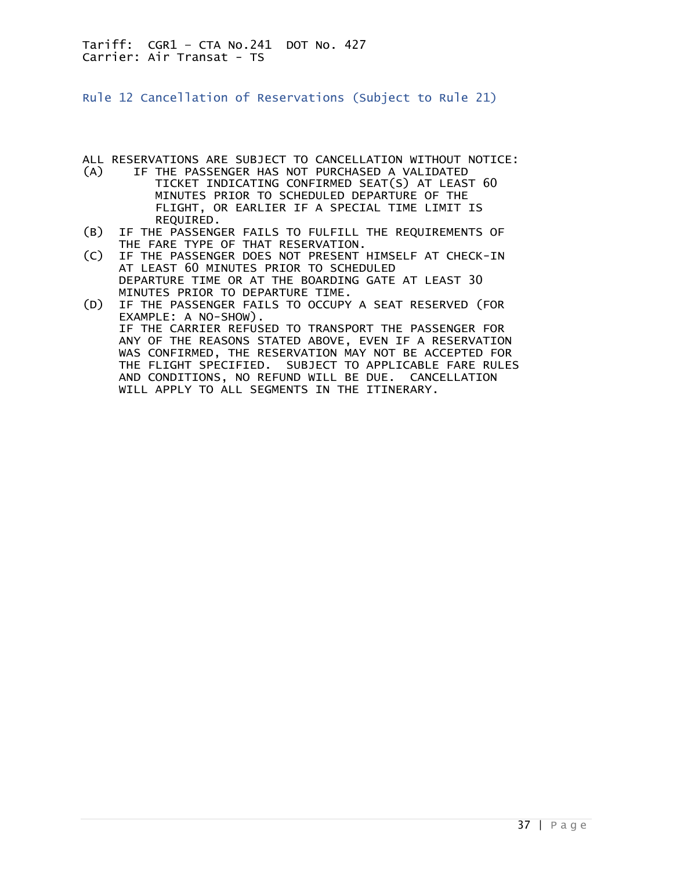<span id="page-36-0"></span>Rule 12 Cancellation of Reservations (Subject to Rule 21)

ALL RESERVATIONS ARE SUBJECT TO CANCELLATION WITHOUT NOTICE:<br>(A) IF THE PASSENGER HAS NOT PURCHASED A VALIDATED

- IF THE PASSENGER HAS NOT PURCHASED A VALIDATED TICKET INDICATING CONFIRMED SEAT(S) AT LEAST 60 MINUTES PRIOR TO SCHEDULED DEPARTURE OF THE FLIGHT, OR EARLIER IF A SPECIAL TIME LIMIT IS REQUIRED.
- (B) IF THE PASSENGER FAILS TO FULFILL THE REQUIREMENTS OF THE FARE TYPE OF THAT RESERVATION.<br>(C) IF THE PASSENGER DOES NOT PRESENT
- IF THE PASSENGER DOES NOT PRESENT HIMSELF AT CHECK-IN AT LEAST 60 MINUTES PRIOR TO SCHEDULED DEPARTURE TIME OR AT THE BOARDING GATE AT LEAST 30 MINUTES PRIOR TO DEPARTURE TIME.
- (D) IF THE PASSENGER FAILS TO OCCUPY A SEAT RESERVED (FOR EXAMPLE: A NO-SHOW). IF THE CARRIER REFUSED TO TRANSPORT THE PASSENGER FOR ANY OF THE REASONS STATED ABOVE, EVEN IF A RESERVATION WAS CONFIRMED, THE RESERVATION MAY NOT BE ACCEPTED FOR THE FLIGHT SPECIFIED. SUBJECT TO APPLICABLE FARE RULES AND CONDITIONS, NO REFUND WILL BE DUE. CANCELLATION WILL APPLY TO ALL SEGMENTS IN THE ITINERARY.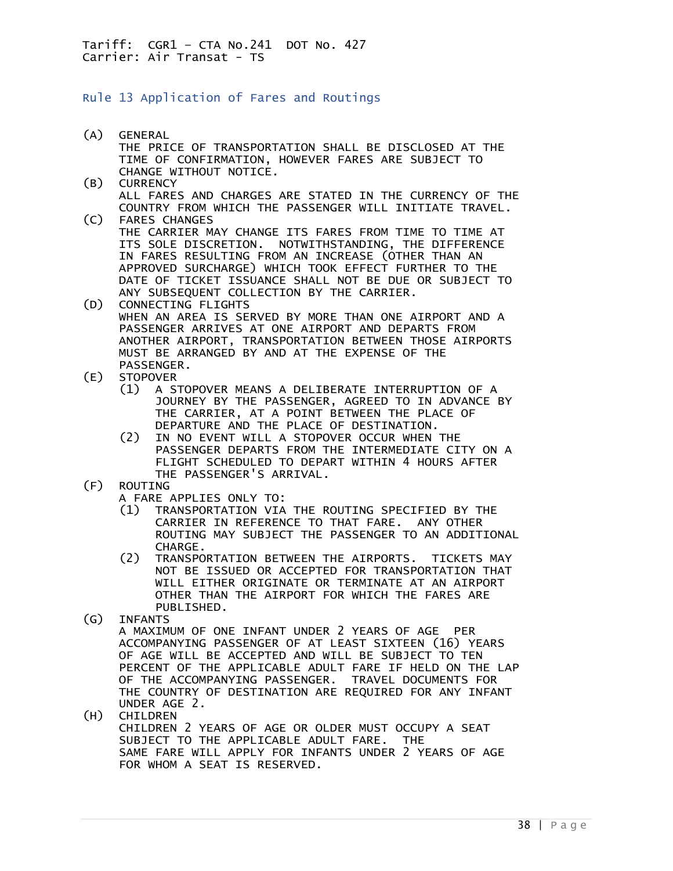## <span id="page-37-0"></span>Rule 13 Application of Fares and Routings

- (A) GENERAL THE PRICE OF TRANSPORTATION SHALL BE DISCLOSED AT THE TIME OF CONFIRMATION, HOWEVER FARES ARE SUBJECT TO CHANGE WITHOUT NOTICE.<br>(B) CURRENCY **CURRENCY**  ALL FARES AND CHARGES ARE STATED IN THE CURRENCY OF THE COUNTRY FROM WHICH THE PASSENGER WILL INITIATE TRAVEL.<br>(C) FARES CHANGES FARES CHANGES THE CARRIER MAY CHANGE ITS FARES FROM TIME TO TIME AT ITS SOLE DISCRETION. NOTWITHSTANDING, THE DIFFERENCE IN FARES RESULTING FROM AN INCREASE (OTHER THAN AN APPROVED SURCHARGE) WHICH TOOK EFFECT FURTHER TO THE DATE OF TICKET ISSUANCE SHALL NOT BE DUE OR SUBJECT TO ANY SUBSEQUENT COLLECTION BY THE CARRIER. (D) CONNECTING FLIGHTS WHEN AN AREA IS SERVED BY MORE THAN ONE AIRPORT AND A PASSENGER ARRIVES AT ONE AIRPORT AND DEPARTS FROM ANOTHER AIRPORT, TRANSPORTATION BETWEEN THOSE AIRPORTS MUST BE ARRANGED BY AND AT THE EXPENSE OF THE PASSENGER. (E) STOPOVER (1) A STOPOVER MEANS A DELIBERATE INTERRUPTION OF A JOURNEY BY THE PASSENGER, AGREED TO IN ADVANCE BY THE CARRIER, AT A POINT BETWEEN THE PLACE OF DEPARTURE AND THE PLACE OF DESTINATION.<br>(2) IN NO EVENT WILL A STOPOVER OCCUR WHEN IN NO EVENT WILL A STOPOVER OCCUR WHEN THE PASSENGER DEPARTS FROM THE INTERMEDIATE CITY ON A FLIGHT SCHEDULED TO DEPART WITHIN 4 HOURS AFTER THE PASSENGER'S ARRIVAL.<br>(F) ROUTING **ROUTING**  A FARE APPLIES ONLY TO:
	- (1) TRANSPORTATION VIA THE ROUTING SPECIFIED BY THE CARRIER IN REFERENCE TO THAT FARE. ANY OTHER ROUTING MAY SUBJECT THE PASSENGER TO AN ADDITIONAL CHARGE.<br>C2) TRANSPO
- (2) TRANSPORTATION BETWEEN THE AIRPORTS. TICKETS MAY NOT BE ISSUED OR ACCEPTED FOR TRANSPORTATION THAT WILL EITHER ORIGINATE OR TERMINATE AT AN AIRPORT OTHER THAN THE AIRPORT FOR WHICH THE FARES ARE PUBLISHED.<br>(G) INFANTS
- **INFANTS**

 A MAXIMUM OF ONE INFANT UNDER 2 YEARS OF AGE PER ACCOMPANYING PASSENGER OF AT LEAST SIXTEEN (16) YEARS OF AGE WILL BE ACCEPTED AND WILL BE SUBJECT TO TEN PERCENT OF THE APPLICABLE ADULT FARE IF HELD ON THE LAP OF THE ACCOMPANYING PASSENGER. TRAVEL DOCUMENTS FOR THE COUNTRY OF DESTINATION ARE REQUIRED FOR ANY INFANT UNDER AGE 2.<br>(H) CHILDREN

**CHILDREN**  CHILDREN 2 YEARS OF AGE OR OLDER MUST OCCUPY A SEAT SUBJECT TO THE APPLICABLE ADULT FARE. THE SAME FARE WILL APPLY FOR INFANTS UNDER 2 YEARS OF AGE FOR WHOM A SEAT IS RESERVED.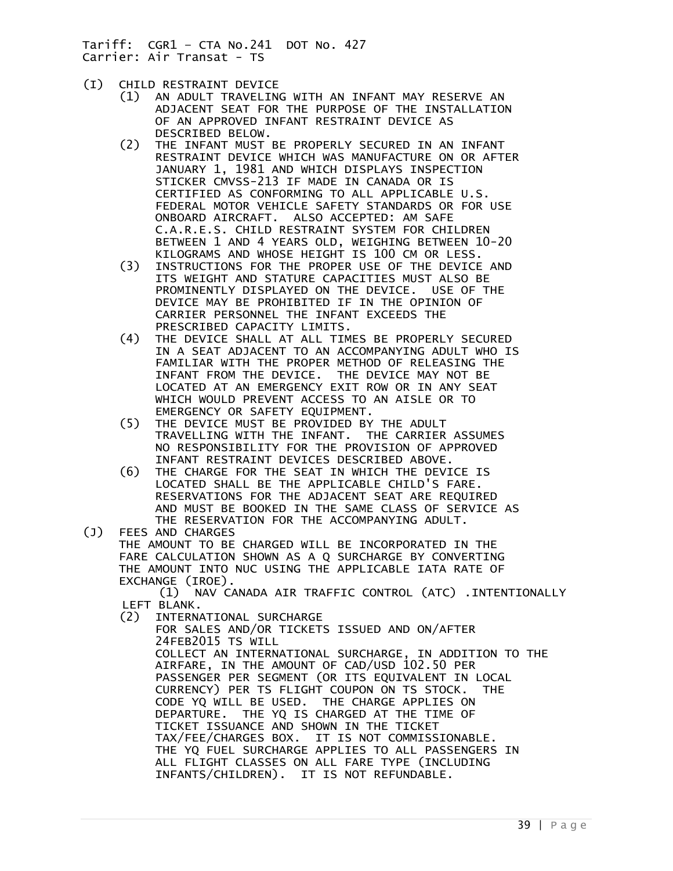- (I) CHILD RESTRAINT DEVICE
	- (1) AN ADULT TRAVELING WITH AN INFANT MAY RESERVE AN ADJACENT SEAT FOR THE PURPOSE OF THE INSTALLATION OF AN APPROVED INFANT RESTRAINT DEVICE AS DESCRIBED BELOW.<br>(2) THE INFANT MUST
	- THE INFANT MUST BE PROPERLY SECURED IN AN INFANT RESTRAINT DEVICE WHICH WAS MANUFACTURE ON OR AFTER JANUARY 1, 1981 AND WHICH DISPLAYS INSPECTION STICKER CMVSS-213 IF MADE IN CANADA OR IS CERTIFIED AS CONFORMING TO ALL APPLICABLE U.S. FEDERAL MOTOR VEHICLE SAFETY STANDARDS OR FOR USE ONBOARD AIRCRAFT. ALSO ACCEPTED: AM SAFE C.A.R.E.S. CHILD RESTRAINT SYSTEM FOR CHILDREN BETWEEN 1 AND 4 YEARS OLD, WEIGHING BETWEEN 10-20 KILOGRAMS AND WHOSE HEIGHT IS 100 CM OR LESS.
	- (3) INSTRUCTIONS FOR THE PROPER USE OF THE DEVICE AND ITS WEIGHT AND STATURE CAPACITIES MUST ALSO BE PROMINENTLY DISPLAYED ON THE DEVICE. USE OF THE DEVICE MAY BE PROHIBITED IF IN THE OPINION OF CARRIER PERSONNEL THE INFANT EXCEEDS THE PRESCRIBED CAPACITY LIMITS.
	- (4) THE DEVICE SHALL AT ALL TIMES BE PROPERLY SECURED IN A SEAT ADJACENT TO AN ACCOMPANYING ADULT WHO IS FAMILIAR WITH THE PROPER METHOD OF RELEASING THE INFANT FROM THE DEVICE. THE DEVICE MAY NOT BE LOCATED AT AN EMERGENCY EXIT ROW OR IN ANY SEAT WHICH WOULD PREVENT ACCESS TO AN AISLE OR TO EMERGENCY OR SAFETY EQUIPMENT.<br>THE DEVICE MUST BE PROVIDED BY
	- THE DEVICE MUST BE PROVIDED BY THE ADULT TRAVELLING WITH THE INFANT. THE CARRIER ASSUMES NO RESPONSIBILITY FOR THE PROVISION OF APPROVED INFANT RESTRAINT DEVICES DESCRIBED ABOVE.
- (6) THE CHARGE FOR THE SEAT IN WHICH THE DEVICE IS LOCATED SHALL BE THE APPLICABLE CHILD'S FARE. RESERVATIONS FOR THE ADJACENT SEAT ARE REQUIRED AND MUST BE BOOKED IN THE SAME CLASS OF SERVICE AS THE RESERVATION FOR THE ACCOMPANYING ADULT.<br>(J) FEES AND CHARGES
- **FEES AND CHARGES**  THE AMOUNT TO BE CHARGED WILL BE INCORPORATED IN THE FARE CALCULATION SHOWN AS A Q SURCHARGE BY CONVERTING THE AMOUNT INTO NUC USING THE APPLICABLE IATA RATE OF EXCHANGE (IROE). (1) NAV CANADA AIR TRAFFIC CONTROL (ATC) .INTENTIONALLY LEFT BLANK. (2) INTERNATIONAL SURCHARGE FOR SALES AND/OR TICKETS ISSUED AND ON/AFTER 24FEB2015 TS WILL COLLECT AN INTERNATIONAL SURCHARGE, IN ADDITION TO THE AIRFARE, IN THE AMOUNT OF CAD/USD 102.50 PER PASSENGER PER SEGMENT (OR ITS EQUIVALENT IN LOCAL CURRENCY) PER TS FLIGHT COUPON ON TS STOCK. THE CODE YQ WILL BE USED. THE CHARGE APPLIES ON DEPARTURE. THE YQ IS CHARGED AT THE TIME OF TICKET ISSUANCE AND SHOWN IN THE TICKET

TAX/FEE/CHARGES BOX. IT IS NOT COMMISSIONABLE.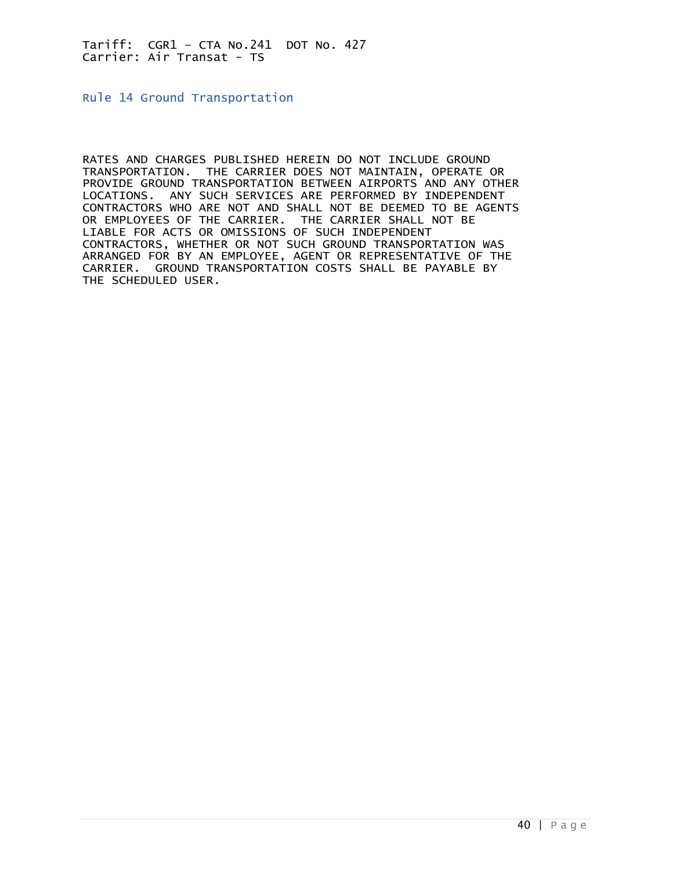<span id="page-39-0"></span>Rule 14 Ground Transportation

RATES AND CHARGES PUBLISHED HEREIN DO NOT INCLUDE GROUND TRANSPORTATION. THE CARRIER DOES NOT MAINTAIN, OPERATE OR PROVIDE GROUND TRANSPORTATION BETWEEN AIRPORTS AND ANY OTHER LOCATIONS. ANY SUCH SERVICES ARE PERFORMED BY INDEPENDENT CONTRACTORS WHO ARE NOT AND SHALL NOT BE DEEMED TO BE AGENTS OR EMPLOYEES OF THE CARRIER. THE CARRIER SHALL NOT BE LIABLE FOR ACTS OR OMISSIONS OF SUCH INDEPENDENT CONTRACTORS, WHETHER OR NOT SUCH GROUND TRANSPORTATION WAS ARRANGED FOR BY AN EMPLOYEE, AGENT OR REPRESENTATIVE OF THE CARRIER. GROUND TRANSPORTATION COSTS SHALL BE PAYABLE BY THE SCHEDULED USER.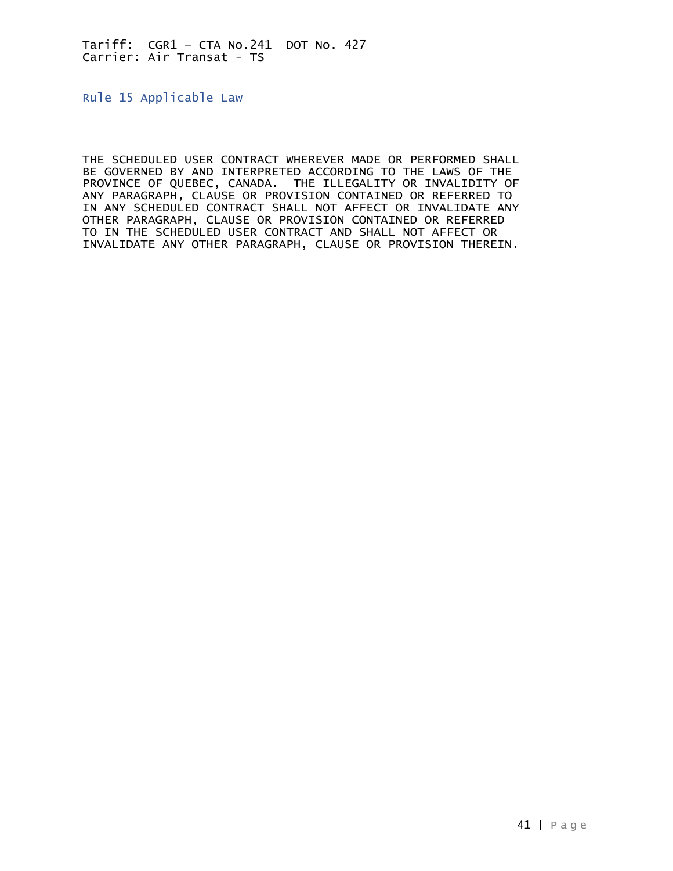<span id="page-40-0"></span>Rule 15 Applicable Law

THE SCHEDULED USER CONTRACT WHEREVER MADE OR PERFORMED SHALL BE GOVERNED BY AND INTERPRETED ACCORDING TO THE LAWS OF THE PROVINCE OF QUEBEC, CANADA. THE ILLEGALITY OR INVALIDITY OF ANY PARAGRAPH, CLAUSE OR PROVISION CONTAINED OR REFERRED TO IN ANY SCHEDULED CONTRACT SHALL NOT AFFECT OR INVALIDATE ANY OTHER PARAGRAPH, CLAUSE OR PROVISION CONTAINED OR REFERRED TO IN THE SCHEDULED USER CONTRACT AND SHALL NOT AFFECT OR INVALIDATE ANY OTHER PARAGRAPH, CLAUSE OR PROVISION THEREIN.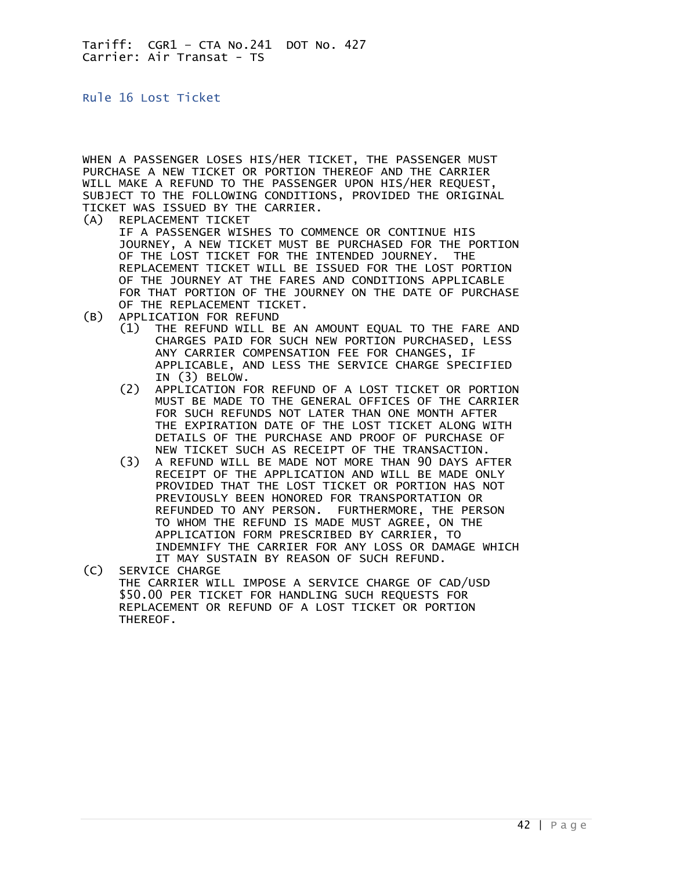<span id="page-41-0"></span>Rule 16 Lost Ticket

WHEN A PASSENGER LOSES HIS/HER TICKET, THE PASSENGER MUST PURCHASE A NEW TICKET OR PORTION THEREOF AND THE CARRIER WILL MAKE A REFUND TO THE PASSENGER UPON HIS/HER REQUEST, SUBJECT TO THE FOLLOWING CONDITIONS, PROVIDED THE ORIGINAL TICKET WAS ISSUED BY THE CARRIER.

(A) REPLACEMENT TICKET

 IF A PASSENGER WISHES TO COMMENCE OR CONTINUE HIS JOURNEY, A NEW TICKET MUST BE PURCHASED FOR THE PORTION OF THE LOST TICKET FOR THE INTENDED JOURNEY. THE REPLACEMENT TICKET WILL BE ISSUED FOR THE LOST PORTION OF THE JOURNEY AT THE FARES AND CONDITIONS APPLICABLE FOR THAT PORTION OF THE JOURNEY ON THE DATE OF PURCHASE OF THE REPLACEMENT TICKET.

- (B) APPLICATION FOR REFUND
	- (1) THE REFUND WILL BE AN AMOUNT EQUAL TO THE FARE AND CHARGES PAID FOR SUCH NEW PORTION PURCHASED, LESS ANY CARRIER COMPENSATION FEE FOR CHANGES, IF APPLICABLE, AND LESS THE SERVICE CHARGE SPECIFIED IN (3) BELOW.<br>(2) APPLICATION F
	- (2) APPLICATION FOR REFUND OF A LOST TICKET OR PORTION MUST BE MADE TO THE GENERAL OFFICES OF THE CARRIER FOR SUCH REFUNDS NOT LATER THAN ONE MONTH AFTER THE EXPIRATION DATE OF THE LOST TICKET ALONG WITH DETAILS OF THE PURCHASE AND PROOF OF PURCHASE OF NEW TICKET SUCH AS RECEIPT OF THE TRANSACTION.<br>A REFUND WILL BE MADE NOT MORE THAN 90 DAYS AF
- (3) A REFUND WILL BE MADE NOT MORE THAN 90 DAYS AFTER RECEIPT OF THE APPLICATION AND WILL BE MADE ONLY PROVIDED THAT THE LOST TICKET OR PORTION HAS NOT PREVIOUSLY BEEN HONORED FOR TRANSPORTATION OR REFUNDED TO ANY PERSON. FURTHERMORE, THE PERSON TO WHOM THE REFUND IS MADE MUST AGREE, ON THE APPLICATION FORM PRESCRIBED BY CARRIER, TO INDEMNIFY THE CARRIER FOR ANY LOSS OR DAMAGE WHICH IT MAY SUSTAIN BY REASON OF SUCH REFUND.<br>(C) SERVICE CHARGE
- SERVICE CHARGE THE CARRIER WILL IMPOSE A SERVICE CHARGE OF CAD/USD \$50.00 PER TICKET FOR HANDLING SUCH REQUESTS FOR REPLACEMENT OR REFUND OF A LOST TICKET OR PORTION THEREOF.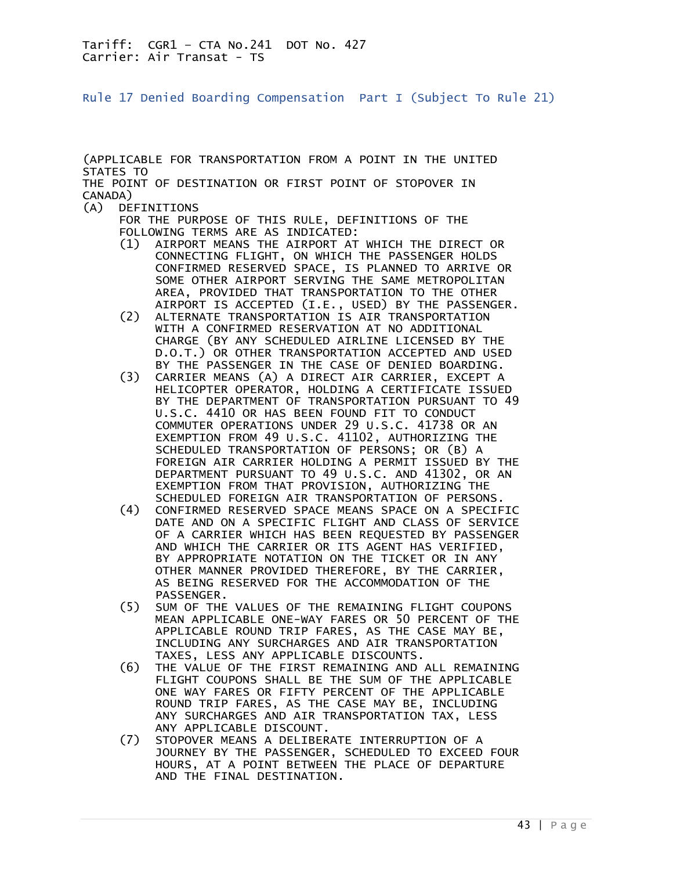<span id="page-42-0"></span>Rule 17 Denied Boarding Compensation Part I (Subject To Rule 21)

(APPLICABLE FOR TRANSPORTATION FROM A POINT IN THE UNITED STATES TO THE POINT OF DESTINATION OR FIRST POINT OF STOPOVER IN CANADA)

(A) DEFINITIONS

 FOR THE PURPOSE OF THIS RULE, DEFINITIONS OF THE FOLLOWING TERMS ARE AS INDICATED:

- (1) AIRPORT MEANS THE AIRPORT AT WHICH THE DIRECT OR CONNECTING FLIGHT, ON WHICH THE PASSENGER HOLDS CONFIRMED RESERVED SPACE, IS PLANNED TO ARRIVE OR SOME OTHER AIRPORT SERVING THE SAME METROPOLITAN AREA, PROVIDED THAT TRANSPORTATION TO THE OTHER
- AIRPORT IS ACCEPTED (I.E., USED) BY THE PASSENGER.<br>ALTERNATE TRANSPORTATION IS AIR TRANSPORTATION (2) ALTERNATE TRANSPORTATION IS AIR TRANSPORTATION WITH A CONFIRMED RESERVATION AT NO ADDITIONAL CHARGE (BY ANY SCHEDULED AIRLINE LICENSED BY THE D.O.T.) OR OTHER TRANSPORTATION ACCEPTED AND USED BY THE PASSENGER IN THE CASE OF DENIED BOARDING.
- (3) CARRIER MEANS (A) A DIRECT AIR CARRIER, EXCEPT A HELICOPTER OPERATOR, HOLDING A CERTIFICATE ISSUED BY THE DEPARTMENT OF TRANSPORTATION PURSUANT TO 49 U.S.C. 4410 OR HAS BEEN FOUND FIT TO CONDUCT COMMUTER OPERATIONS UNDER 29 U.S.C. 41738 OR AN EXEMPTION FROM 49 U.S.C. 41102, AUTHORIZING THE SCHEDULED TRANSPORTATION OF PERSONS; OR (B) A FOREIGN AIR CARRIER HOLDING A PERMIT ISSUED BY THE DEPARTMENT PURSUANT TO 49 U.S.C. AND 41302, OR AN EXEMPTION FROM THAT PROVISION, AUTHORIZING THE
	- SCHEDULED FOREIGN AIR TRANSPORTATION OF PERSONS. (4) CONFIRMED RESERVED SPACE MEANS SPACE ON A SPECIFIC DATE AND ON A SPECIFIC FLIGHT AND CLASS OF SERVICE OF A CARRIER WHICH HAS BEEN REQUESTED BY PASSENGER AND WHICH THE CARRIER OR ITS AGENT HAS VERIFIED, BY APPROPRIATE NOTATION ON THE TICKET OR IN ANY OTHER MANNER PROVIDED THEREFORE, BY THE CARRIER, AS BEING RESERVED FOR THE ACCOMMODATION OF THE PASSENGER.
	- (5) SUM OF THE VALUES OF THE REMAINING FLIGHT COUPONS MEAN APPLICABLE ONE-WAY FARES OR 50 PERCENT OF THE APPLICABLE ROUND TRIP FARES, AS THE CASE MAY BE, INCLUDING ANY SURCHARGES AND AIR TRANSPORTATION TAXES, LESS ANY APPLICABLE DISCOUNTS.
	- (6) THE VALUE OF THE FIRST REMAINING AND ALL REMAINING FLIGHT COUPONS SHALL BE THE SUM OF THE APPLICABLE ONE WAY FARES OR FIFTY PERCENT OF THE APPLICABLE ROUND TRIP FARES, AS THE CASE MAY BE, INCLUDING ANY SURCHARGES AND AIR TRANSPORTATION TAX, LESS
	- ANY APPLICABLE DISCOUNT.<br>STOPOVER MEANS A DELIBER STOPOVER MEANS A DELIBERATE INTERRUPTION OF A JOURNEY BY THE PASSENGER, SCHEDULED TO EXCEED FOUR HOURS, AT A POINT BETWEEN THE PLACE OF DEPARTURE AND THE FINAL DESTINATION.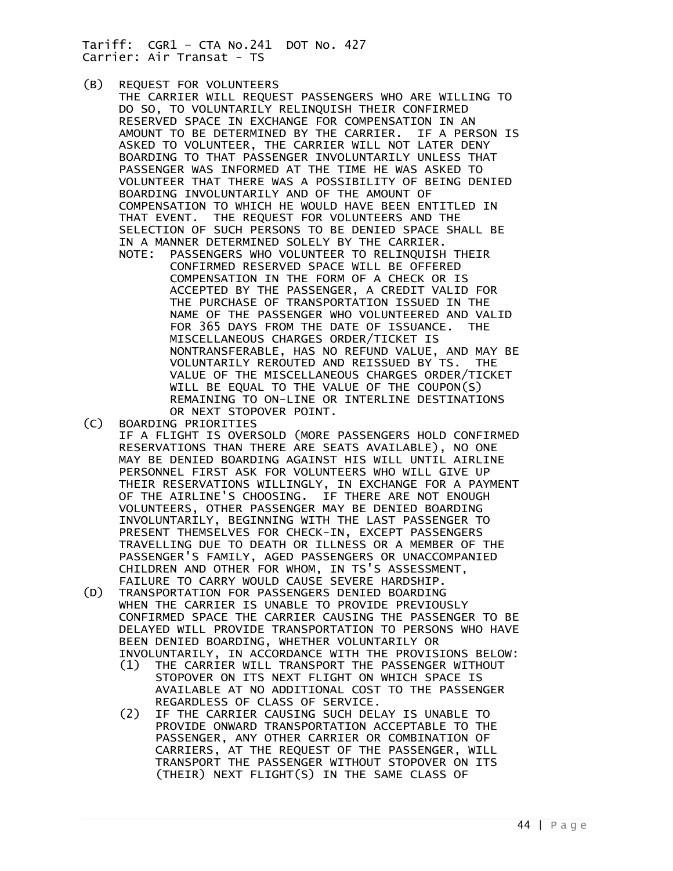- (B) REQUEST FOR VOLUNTEERS
- THE CARRIER WILL REQUEST PASSENGERS WHO ARE WILLING TO DO SO, TO VOLUNTARILY RELINQUISH THEIR CONFIRMED RESERVED SPACE IN EXCHANGE FOR COMPENSATION IN AN AMOUNT TO BE DETERMINED BY THE CARRIER. IF A PERSON IS ASKED TO VOLUNTEER, THE CARRIER WILL NOT LATER DENY BOARDING TO THAT PASSENGER INVOLUNTARILY UNLESS THAT PASSENGER WAS INFORMED AT THE TIME HE WAS ASKED TO VOLUNTEER THAT THERE WAS A POSSIBILITY OF BEING DENIED BOARDING INVOLUNTARILY AND OF THE AMOUNT OF COMPENSATION TO WHICH HE WOULD HAVE BEEN ENTITLED IN THAT EVENT. THE REQUEST FOR VOLUNTEERS AND THE SELECTION OF SUCH PERSONS TO BE DENIED SPACE SHALL BE IN A MANNER DETERMINED SOLELY BY THE CARRIER.
- NOTE: PASSENGERS WHO VOLUNTEER TO RELINQUISH THEIR CONFIRMED RESERVED SPACE WILL BE OFFERED COMPENSATION IN THE FORM OF A CHECK OR IS ACCEPTED BY THE PASSENGER, A CREDIT VALID FOR THE PURCHASE OF TRANSPORTATION ISSUED IN THE NAME OF THE PASSENGER WHO VOLUNTEERED AND VALID FOR 365 DAYS FROM THE DATE OF ISSUANCE. THE MISCELLANEOUS CHARGES ORDER/TICKET IS NONTRANSFERABLE, HAS NO REFUND VALUE, AND MAY BE VOLUNTARILY REROUTED AND REISSUED BY TS. THE VALUE OF THE MISCELLANEOUS CHARGES ORDER/TICKET WILL BE EQUAL TO THE VALUE OF THE COUPON(S) REMAINING TO ON-LINE OR INTERLINE DESTINATIONS OR NEXT STOPOVER POINT.<br>(C) BOARDING PRIORITIES
- (C) BOARDING PRIORITIES
	- IF A FLIGHT IS OVERSOLD (MORE PASSENGERS HOLD CONFIRMED RESERVATIONS THAN THERE ARE SEATS AVAILABLE), NO ONE MAY BE DENIED BOARDING AGAINST HIS WILL UNTIL AIRLINE PERSONNEL FIRST ASK FOR VOLUNTEERS WHO WILL GIVE UP THEIR RESERVATIONS WILLINGLY, IN EXCHANGE FOR A PAYMENT OF THE AIRLINE'S CHOOSING. IF THERE ARE NOT ENOUGH VOLUNTEERS, OTHER PASSENGER MAY BE DENIED BOARDING INVOLUNTARILY, BEGINNING WITH THE LAST PASSENGER TO PRESENT THEMSELVES FOR CHECK-IN, EXCEPT PASSENGERS TRAVELLING DUE TO DEATH OR ILLNESS OR A MEMBER OF THE PASSENGER'S FAMILY, AGED PASSENGERS OR UNACCOMPANIED CHILDREN AND OTHER FOR WHOM, IN TS'S ASSESSMENT, FAILURE TO CARRY WOULD CAUSE SEVERE HARDSHIP.
- (D) TRANSPORTATION FOR PASSENGERS DENIED BOARDING WHEN THE CARRIER IS UNABLE TO PROVIDE PREVIOUSLY CONFIRMED SPACE THE CARRIER CAUSING THE PASSENGER TO BE DELAYED WILL PROVIDE TRANSPORTATION TO PERSONS WHO HAVE BEEN DENIED BOARDING, WHETHER VOLUNTARILY OR INVOLUNTARILY, IN ACCORDANCE WITH THE PROVISIONS BELOW:
- (1) THE CARRIER WILL TRANSPORT THE PASSENGER WITHOUT STOPOVER ON ITS NEXT FLIGHT ON WHICH SPACE IS AVAILABLE AT NO ADDITIONAL COST TO THE PASSENGER REGARDLESS OF CLASS OF SERVICE.
- (2) IF THE CARRIER CAUSING SUCH DELAY IS UNABLE TO PROVIDE ONWARD TRANSPORTATION ACCEPTABLE TO THE PASSENGER, ANY OTHER CARRIER OR COMBINATION OF CARRIERS, AT THE REQUEST OF THE PASSENGER, WILL TRANSPORT THE PASSENGER WITHOUT STOPOVER ON ITS (THEIR) NEXT FLIGHT(S) IN THE SAME CLASS OF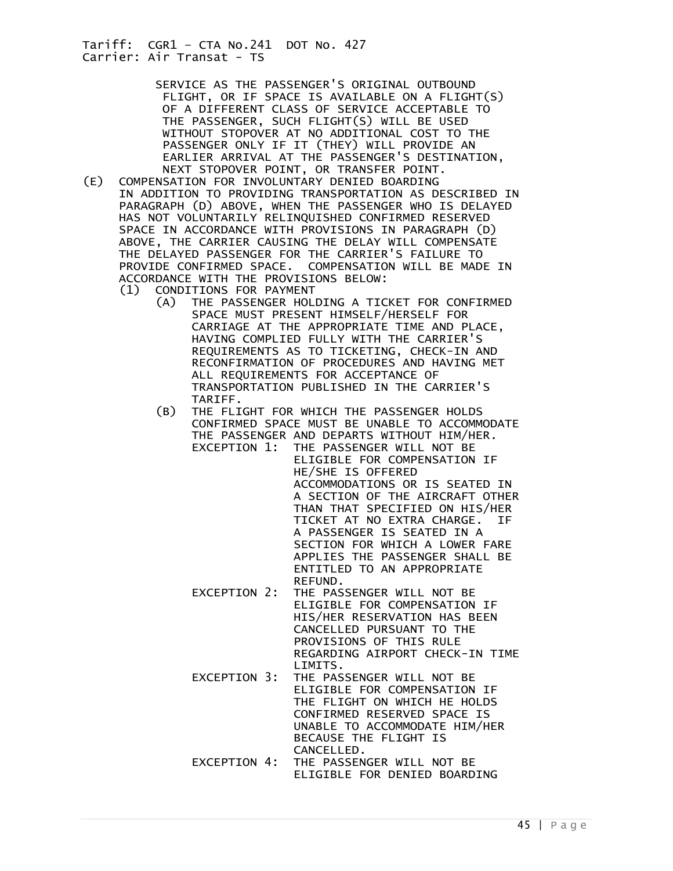> SERVICE AS THE PASSENGER'S ORIGINAL OUTBOUND FLIGHT, OR IF SPACE IS AVAILABLE ON A FLIGHT(S) OF A DIFFERENT CLASS OF SERVICE ACCEPTABLE TO THE PASSENGER, SUCH FLIGHT(S) WILL BE USED WITHOUT STOPOVER AT NO ADDITIONAL COST TO THE PASSENGER ONLY IF IT (THEY) WILL PROVIDE AN EARLIER ARRIVAL AT THE PASSENGER'S DESTINATION,

- NEXT STOPOVER POINT, OR TRANSFER POINT.<br>COMPENSATION FOR INVOLUNTARY DENIED BOARDING (E) COMPENSATION FOR INVOLUNTARY DENIED BOARDING IN ADDITION TO PROVIDING TRANSPORTATION AS DESCRIBED IN PARAGRAPH (D) ABOVE, WHEN THE PASSENGER WHO IS DELAYED HAS NOT VOLUNTARILY RELINQUISHED CONFIRMED RESERVED SPACE IN ACCORDANCE WITH PROVISIONS IN PARAGRAPH (D) ABOVE, THE CARRIER CAUSING THE DELAY WILL COMPENSATE THE DELAYED PASSENGER FOR THE CARRIER'S FAILURE TO PROVIDE CONFIRMED SPACE. COMPENSATION WILL BE MADE IN ACCORDANCE WITH THE PROVISIONS BELOW: (1) CONDITIONS FOR PAYMENT
	- (A) THE PASSENGER HOLDING A TICKET FOR CONFIRMED SPACE MUST PRESENT HIMSELF/HERSELF FOR CARRIAGE AT THE APPROPRIATE TIME AND PLACE, HAVING COMPLIED FULLY WITH THE CARRIER'S REQUIREMENTS AS TO TICKETING, CHECK-IN AND RECONFIRMATION OF PROCEDURES AND HAVING MET ALL REQUIREMENTS FOR ACCEPTANCE OF TRANSPORTATION PUBLISHED IN THE CARRIER'S TARIFF.
	- (B) THE FLIGHT FOR WHICH THE PASSENGER HOLDS CONFIRMED SPACE MUST BE UNABLE TO ACCOMMODATE THE PASSENGER AND DEPARTS WITHOUT HIM/HER. EXCEPTION 1: THE PASSENGER WILL NOT BE

 ELIGIBLE FOR COMPENSATION IF HE/SHE IS OFFERED ACCOMMODATIONS OR IS SEATED IN A SECTION OF THE AIRCRAFT OTHER THAN THAT SPECIFIED ON HIS/HER TICKET AT NO EXTRA CHARGE. IF A PASSENGER IS SEATED IN A SECTION FOR WHICH A LOWER FARE APPLIES THE PASSENGER SHALL BE ENTITLED TO AN APPROPRIATE REFUND.

- EXCEPTION 2: THE PASSENGER WILL NOT BE ELIGIBLE FOR COMPENSATION IF HIS/HER RESERVATION HAS BEEN CANCELLED PURSUANT TO THE PROVISIONS OF THIS RULE REGARDING AIRPORT CHECK-IN TIME LIMITS.
- EXCEPTION 3: THE PASSENGER WILL NOT BE ELIGIBLE FOR COMPENSATION IF THE FLIGHT ON WHICH HE HOLDS CONFIRMED RESERVED SPACE IS UNABLE TO ACCOMMODATE HIM/HER BECAUSE THE FLIGHT IS CANCELLED.
- EXCEPTION 4: THE PASSENGER WILL NOT BE ELIGIBLE FOR DENIED BOARDING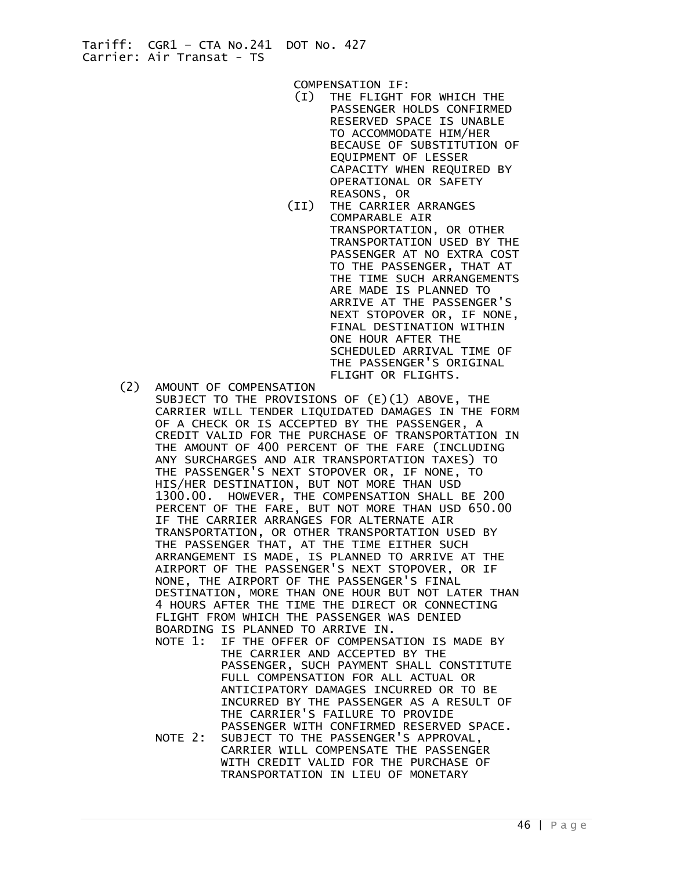COMPENSATION IF:

- (I) THE FLIGHT FOR WHICH THE PASSENGER HOLDS CONFIRMED RESERVED SPACE IS UNABLE TO ACCOMMODATE HIM/HER BECAUSE OF SUBSTITUTION OF EQUIPMENT OF LESSER CAPACITY WHEN REQUIRED BY OPERATIONAL OR SAFETY REASONS, OR
- (II) THE CARRIER ARRANGES COMPARABLE AIR TRANSPORTATION, OR OTHER TRANSPORTATION USED BY THE PASSENGER AT NO EXTRA COST TO THE PASSENGER, THAT AT THE TIME SUCH ARRANGEMENTS ARE MADE IS PLANNED TO ARRIVE AT THE PASSENGER'S NEXT STOPOVER OR, IF NONE, FINAL DESTINATION WITHIN ONE HOUR AFTER THE SCHEDULED ARRIVAL TIME OF THE PASSENGER'S ORIGINAL FLIGHT OR FLIGHTS.
- (2) AMOUNT OF COMPENSATION
- SUBJECT TO THE PROVISIONS OF (E)(1) ABOVE, THE CARRIER WILL TENDER LIQUIDATED DAMAGES IN THE FORM OF A CHECK OR IS ACCEPTED BY THE PASSENGER, A CREDIT VALID FOR THE PURCHASE OF TRANSPORTATION IN THE AMOUNT OF 400 PERCENT OF THE FARE (INCLUDING ANY SURCHARGES AND AIR TRANSPORTATION TAXES) TO THE PASSENGER'S NEXT STOPOVER OR, IF NONE, TO HIS/HER DESTINATION, BUT NOT MORE THAN USD 1300.00. HOWEVER, THE COMPENSATION SHALL BE 200 PERCENT OF THE FARE, BUT NOT MORE THAN USD 650.00 IF THE CARRIER ARRANGES FOR ALTERNATE AIR TRANSPORTATION, OR OTHER TRANSPORTATION USED BY THE PASSENGER THAT, AT THE TIME EITHER SUCH ARRANGEMENT IS MADE, IS PLANNED TO ARRIVE AT THE AIRPORT OF THE PASSENGER'S NEXT STOPOVER, OR IF NONE, THE AIRPORT OF THE PASSENGER'S FINAL DESTINATION, MORE THAN ONE HOUR BUT NOT LATER THAN 4 HOURS AFTER THE TIME THE DIRECT OR CONNECTING FLIGHT FROM WHICH THE PASSENGER WAS DENIED BOARDING IS PLANNED TO ARRIVE IN. NOTE 1: IF THE OFFER OF COMPENSATION IS MADE BY THE CARRIER AND ACCEPTED BY THE PASSENGER, SUCH PAYMENT SHALL CONSTITUTE FULL COMPENSATION FOR ALL ACTUAL OR ANTICIPATORY DAMAGES INCURRED OR TO BE INCURRED BY THE PASSENGER AS A RESULT OF THE CARRIER'S FAILURE TO PROVIDE PASSENGER WITH CONFIRMED RESERVED SPACE.
	- NOTE 2: SUBJECT TO THE PASSENGER'S APPROVAL, CARRIER WILL COMPENSATE THE PASSENGER WITH CREDIT VALID FOR THE PURCHASE OF TRANSPORTATION IN LIEU OF MONETARY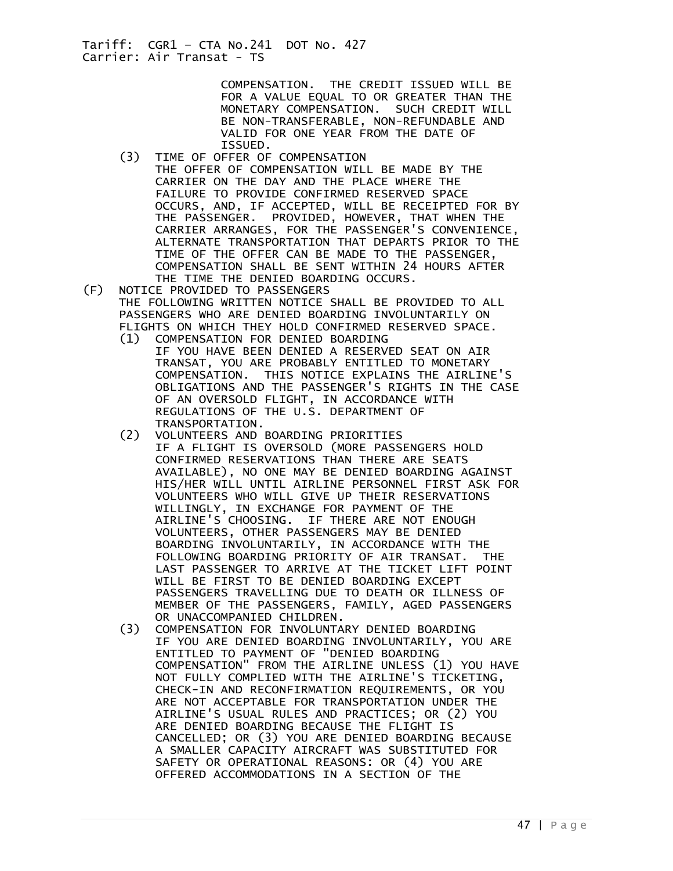> COMPENSATION. THE CREDIT ISSUED WILL BE FOR A VALUE EQUAL TO OR GREATER THAN THE MONETARY COMPENSATION. SUCH CREDIT WILL BE NON-TRANSFERABLE, NON-REFUNDABLE AND VALID FOR ONE YEAR FROM THE DATE OF ISSUED.

- (3) TIME OF OFFER OF COMPENSATION THE OFFER OF COMPENSATION WILL BE MADE BY THE CARRIER ON THE DAY AND THE PLACE WHERE THE FAILURE TO PROVIDE CONFIRMED RESERVED SPACE OCCURS, AND, IF ACCEPTED, WILL BE RECEIPTED FOR BY THE PASSENGER. PROVIDED, HOWEVER, THAT WHEN THE CARRIER ARRANGES, FOR THE PASSENGER'S CONVENIENCE, ALTERNATE TRANSPORTATION THAT DEPARTS PRIOR TO THE TIME OF THE OFFER CAN BE MADE TO THE PASSENGER, COMPENSATION SHALL BE SENT WITHIN 24 HOURS AFTER THE TIME THE DENIED BOARDING OCCURS.<br>(F) NOTICE PROVIDED TO PASSENGERS
- NOTICE PROVIDED TO PASSENGERS THE FOLLOWING WRITTEN NOTICE SHALL BE PROVIDED TO ALL PASSENGERS WHO ARE DENIED BOARDING INVOLUNTARILY ON FLIGHTS ON WHICH THEY HOLD CONFIRMED RESERVED SPACE. (1) COMPENSATION FOR DENIED BOARDING
	- IF YOU HAVE BEEN DENIED A RESERVED SEAT ON AIR TRANSAT, YOU ARE PROBABLY ENTITLED TO MONETARY COMPENSATION. THIS NOTICE EXPLAINS THE AIRLINE'S OBLIGATIONS AND THE PASSENGER'S RIGHTS IN THE CASE OF AN OVERSOLD FLIGHT, IN ACCORDANCE WITH REGULATIONS OF THE U.S. DEPARTMENT OF TRANSPORTATION.<br>(2) VOLUNTEERS AND
- (2) VOLUNTEERS AND BOARDING PRIORITIES IF A FLIGHT IS OVERSOLD (MORE PASSENGERS HOLD CONFIRMED RESERVATIONS THAN THERE ARE SEATS AVAILABLE), NO ONE MAY BE DENIED BOARDING AGAINST HIS/HER WILL UNTIL AIRLINE PERSONNEL FIRST ASK FOR VOLUNTEERS WHO WILL GIVE UP THEIR RESERVATIONS WILLINGLY, IN EXCHANGE FOR PAYMENT OF THE AIRLINE'S CHOOSING. IF THERE ARE NOT ENOUGH VOLUNTEERS, OTHER PASSENGERS MAY BE DENIED BOARDING INVOLUNTARILY, IN ACCORDANCE WITH THE FOLLOWING BOARDING PRIORITY OF AIR TRANSAT. THE LAST PASSENGER TO ARRIVE AT THE TICKET LIFT POINT WILL BE FIRST TO BE DENIED BOARDING EXCEPT PASSENGERS TRAVELLING DUE TO DEATH OR ILLNESS OF MEMBER OF THE PASSENGERS, FAMILY, AGED PASSENGERS OR UNACCOMPANIED CHILDREN.
	- (3) COMPENSATION FOR INVOLUNTARY DENIED BOARDING IF YOU ARE DENIED BOARDING INVOLUNTARILY, YOU ARE ENTITLED TO PAYMENT OF "DENIED BOARDING COMPENSATION" FROM THE AIRLINE UNLESS (1) YOU HAVE NOT FULLY COMPLIED WITH THE AIRLINE'S TICKETING, CHECK-IN AND RECONFIRMATION REQUIREMENTS, OR YOU ARE NOT ACCEPTABLE FOR TRANSPORTATION UNDER THE AIRLINE'S USUAL RULES AND PRACTICES; OR (2) YOU ARE DENIED BOARDING BECAUSE THE FLIGHT IS CANCELLED; OR (3) YOU ARE DENIED BOARDING BECAUSE A SMALLER CAPACITY AIRCRAFT WAS SUBSTITUTED FOR SAFETY OR OPERATIONAL REASONS: OR (4) YOU ARE OFFERED ACCOMMODATIONS IN A SECTION OF THE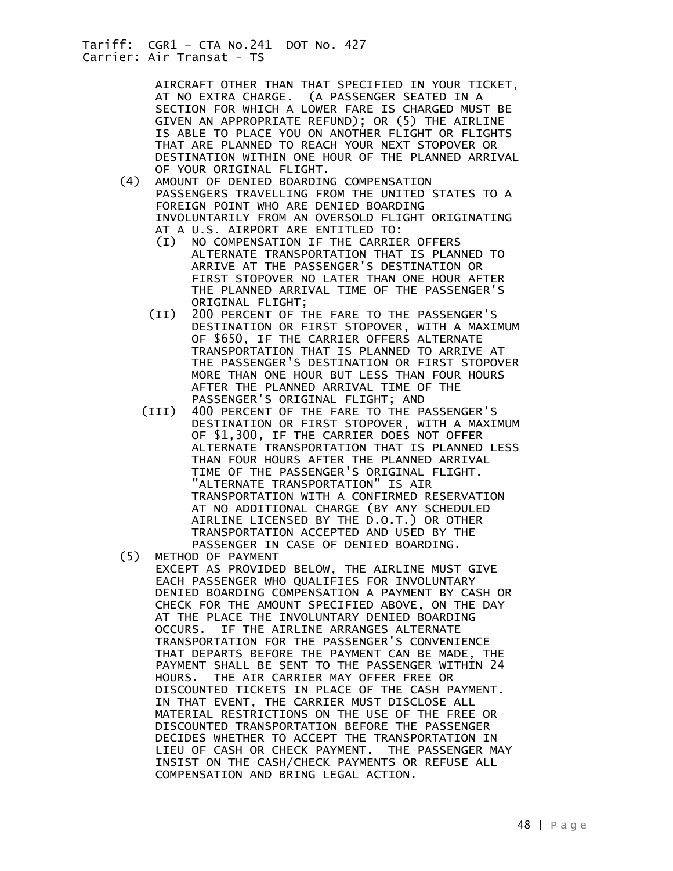AIRCRAFT OTHER THAN THAT SPECIFIED IN YOUR TICKET, AT NO EXTRA CHARGE. (A PASSENGER SEATED IN A SECTION FOR WHICH A LOWER FARE IS CHARGED MUST BE GIVEN AN APPROPRIATE REFUND); OR (5) THE AIRLINE IS ABLE TO PLACE YOU ON ANOTHER FLIGHT OR FLIGHTS THAT ARE PLANNED TO REACH YOUR NEXT STOPOVER OR DESTINATION WITHIN ONE HOUR OF THE PLANNED ARRIVAL

- OF YOUR ORIGINAL FLIGHT.<br>(4) AMOUNT OF DENIED BOARDIN AMOUNT OF DENIED BOARDING COMPENSATION PASSENGERS TRAVELLING FROM THE UNITED STATES TO A FOREIGN POINT WHO ARE DENIED BOARDING INVOLUNTARILY FROM AN OVERSOLD FLIGHT ORIGINATING AT A U.S. AIRPORT ARE ENTITLED TO:
	- (I) NO COMPENSATION IF THE CARRIER OFFERS ALTERNATE TRANSPORTATION THAT IS PLANNED TO ARRIVE AT THE PASSENGER'S DESTINATION OR FIRST STOPOVER NO LATER THAN ONE HOUR AFTER THE PLANNED ARRIVAL TIME OF THE PASSENGER'S ORIGINAL FLIGHT;
	- (II) 200 PERCENT OF THE FARE TO THE PASSENGER'S DESTINATION OR FIRST STOPOVER, WITH A MAXIMUM OF \$650, IF THE CARRIER OFFERS ALTERNATE TRANSPORTATION THAT IS PLANNED TO ARRIVE AT THE PASSENGER'S DESTINATION OR FIRST STOPOVER MORE THAN ONE HOUR BUT LESS THAN FOUR HOURS AFTER THE PLANNED ARRIVAL TIME OF THE PASSENGER'S ORIGINAL FLIGHT; AND
- (III) 400 PERCENT OF THE FARE TO THE PASSENGER'S DESTINATION OR FIRST STOPOVER, WITH A MAXIMUM OF \$1,300, IF THE CARRIER DOES NOT OFFER ALTERNATE TRANSPORTATION THAT IS PLANNED LESS THAN FOUR HOURS AFTER THE PLANNED ARRIVAL TIME OF THE PASSENGER'S ORIGINAL FLIGHT. "ALTERNATE TRANSPORTATION" IS AIR TRANSPORTATION WITH A CONFIRMED RESERVATION AT NO ADDITIONAL CHARGE (BY ANY SCHEDULED AIRLINE LICENSED BY THE D.O.T.) OR OTHER TRANSPORTATION ACCEPTED AND USED BY THE
	- PASSENGER IN CASE OF DENIED BOARDING. (5) METHOD OF PAYMENT EXCEPT AS PROVIDED BELOW, THE AIRLINE MUST GIVE EACH PASSENGER WHO QUALIFIES FOR INVOLUNTARY DENIED BOARDING COMPENSATION A PAYMENT BY CASH OR CHECK FOR THE AMOUNT SPECIFIED ABOVE, ON THE DAY AT THE PLACE THE INVOLUNTARY DENIED BOARDING OCCURS. IF THE AIRLINE ARRANGES ALTERNATE TRANSPORTATION FOR THE PASSENGER'S CONVENIENCE THAT DEPARTS BEFORE THE PAYMENT CAN BE MADE, THE PAYMENT SHALL BE SENT TO THE PASSENGER WITHIN 24 HOURS. THE AIR CARRIER MAY OFFER FREE OR DISCOUNTED TICKETS IN PLACE OF THE CASH PAYMENT. IN THAT EVENT, THE CARRIER MUST DISCLOSE ALL MATERIAL RESTRICTIONS ON THE USE OF THE FREE OR DISCOUNTED TRANSPORTATION BEFORE THE PASSENGER DECIDES WHETHER TO ACCEPT THE TRANSPORTATION IN LIEU OF CASH OR CHECK PAYMENT. THE PASSENGER MAY INSIST ON THE CASH/CHECK PAYMENTS OR REFUSE ALL COMPENSATION AND BRING LEGAL ACTION.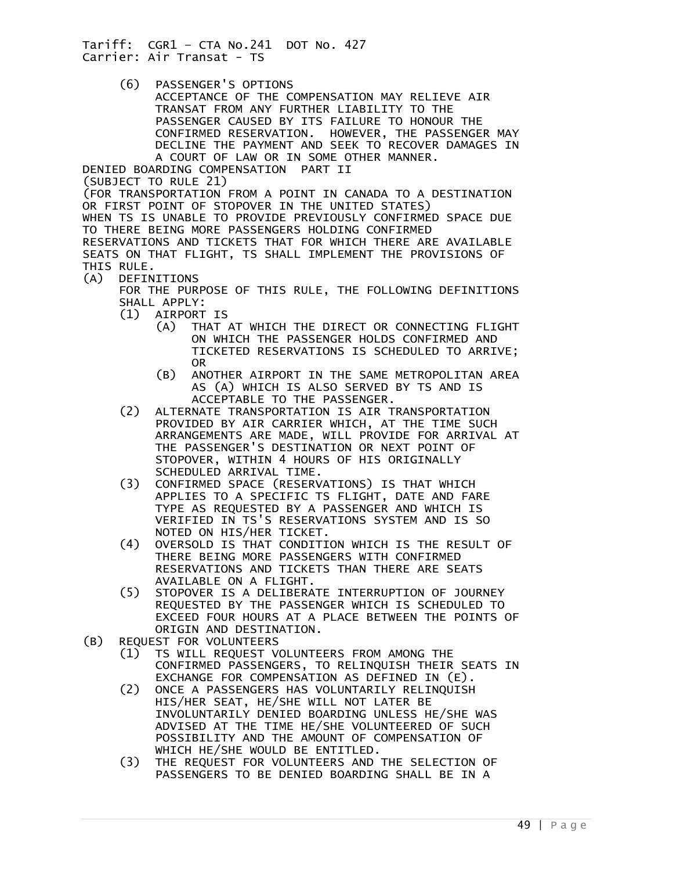(6) PASSENGER'S OPTIONS

 ACCEPTANCE OF THE COMPENSATION MAY RELIEVE AIR TRANSAT FROM ANY FURTHER LIABILITY TO THE PASSENGER CAUSED BY ITS FAILURE TO HONOUR THE CONFIRMED RESERVATION. HOWEVER, THE PASSENGER MAY DECLINE THE PAYMENT AND SEEK TO RECOVER DAMAGES IN A COURT OF LAW OR IN SOME OTHER MANNER.

DENIED BOARDING COMPENSATION PART II (SUBJECT TO RULE 21) (FOR TRANSPORTATION FROM A POINT IN CANADA TO A DESTINATION OR FIRST POINT OF STOPOVER IN THE UNITED STATES) WHEN TS IS UNABLE TO PROVIDE PREVIOUSLY CONFIRMED SPACE DUE TO THERE BEING MORE PASSENGERS HOLDING CONFIRMED RESERVATIONS AND TICKETS THAT FOR WHICH THERE ARE AVAILABLE SEATS ON THAT FLIGHT, TS SHALL IMPLEMENT THE PROVISIONS OF THIS RULE.

(A) DEFINITIONS

 FOR THE PURPOSE OF THIS RULE, THE FOLLOWING DEFINITIONS SHALL APPLY:

- (1) AIRPORT IS
	- (A) THAT AT WHICH THE DIRECT OR CONNECTING FLIGHT ON WHICH THE PASSENGER HOLDS CONFIRMED AND TICKETED RESERVATIONS IS SCHEDULED TO ARRIVE; OR
	- (B) ANOTHER AIRPORT IN THE SAME METROPOLITAN AREA AS (A) WHICH IS ALSO SERVED BY TS AND IS ACCEPTABLE TO THE PASSENGER.
- (2) ALTERNATE TRANSPORTATION IS AIR TRANSPORTATION PROVIDED BY AIR CARRIER WHICH, AT THE TIME SUCH ARRANGEMENTS ARE MADE, WILL PROVIDE FOR ARRIVAL AT THE PASSENGER'S DESTINATION OR NEXT POINT OF STOPOVER, WITHIN 4 HOURS OF HIS ORIGINALLY SCHEDULED ARRIVAL TIME.
- (3) CONFIRMED SPACE (RESERVATIONS) IS THAT WHICH APPLIES TO A SPECIFIC TS FLIGHT, DATE AND FARE TYPE AS REQUESTED BY A PASSENGER AND WHICH IS VERIFIED IN TS'S RESERVATIONS SYSTEM AND IS SO
- NOTED ON HIS/HER TICKET.<br>(4) OVERSOLD IS THAT CONDITI (4) OVERSOLD IS THAT CONDITION WHICH IS THE RESULT OF THERE BEING MORE PASSENGERS WITH CONFIRMED RESERVATIONS AND TICKETS THAN THERE ARE SEATS AVAILABLE ON A FLIGHT.
- (5) STOPOVER IS A DELIBERATE INTERRUPTION OF JOURNEY REQUESTED BY THE PASSENGER WHICH IS SCHEDULED TO EXCEED FOUR HOURS AT A PLACE BETWEEN THE POINTS OF
- ORIGIN AND DESTINATION.<br>(B) REQUEST FOR VOLUNTEERS
	- REQUEST FOR VOLUNTEERS<br>(1) TS WILL REOUEST V (1) TS WILL REQUEST VOLUNTEERS FROM AMONG THE CONFIRMED PASSENGERS, TO RELINQUISH THEIR SEATS IN EXCHANGE FOR COMPENSATION AS DEFINED IN (E).<br>(2) ONCE A PASSENGERS HAS VOLUNTARILY RELINQUISH
- (2) ONCE A PASSENGERS HAS VOLUNTARILY RELINQUISH HIS/HER SEAT, HE/SHE WILL NOT LATER BE INVOLUNTARILY DENIED BOARDING UNLESS HE/SHE WAS ADVISED AT THE TIME HE/SHE VOLUNTEERED OF SUCH POSSIBILITY AND THE AMOUNT OF COMPENSATION OF WHICH HE/SHE WOULD BE ENTITLED.<br>(3) THE REQUEST FOR VOLUNTEERS AND
	- THE REQUEST FOR VOLUNTEERS AND THE SELECTION OF PASSENGERS TO BE DENIED BOARDING SHALL BE IN A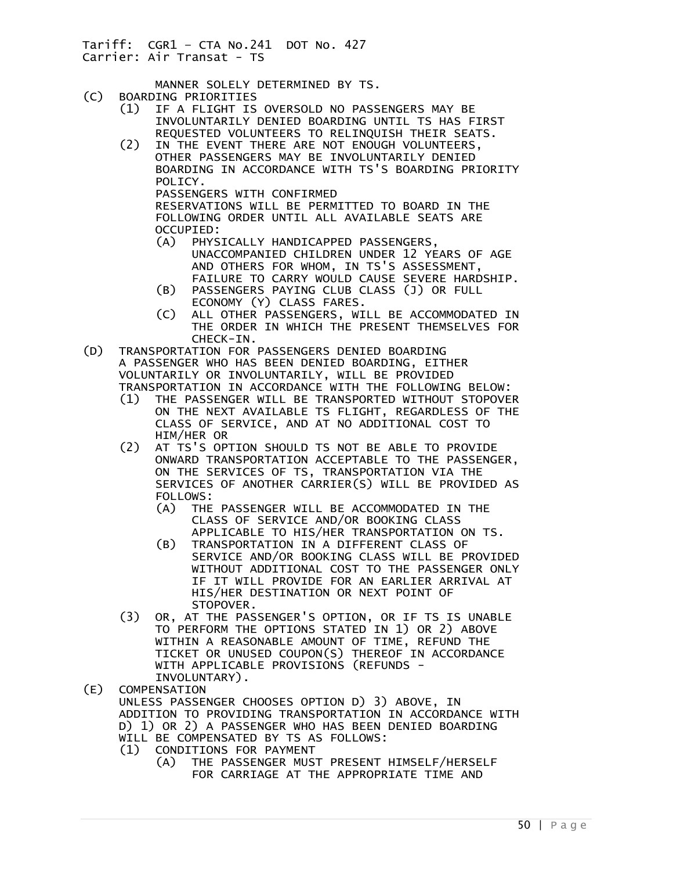MANNER SOLELY DETERMINED BY TS.<br>(C) BOARDING PRIORITIES

- (C) BOARDING PRIORITIES
	- (1) IF A FLIGHT IS OVERSOLD NO PASSENGERS MAY BE INVOLUNTARILY DENIED BOARDING UNTIL TS HAS FIRST REQUESTED VOLUNTEERS TO RELINQUISH THEIR SEATS.<br>(2) IN THE EVENT THERE ARE NOT ENOUGH VOLUNTEERS.
	- IN THE EVENT THERE ARE NOT ENOUGH VOLUNTEERS, OTHER PASSENGERS MAY BE INVOLUNTARILY DENIED BOARDING IN ACCORDANCE WITH TS'S BOARDING PRIORITY POLICY. PASSENGERS WITH CONFIRMED RESERVATIONS WILL BE PERMITTED TO BOARD IN THE FOLLOWING ORDER UNTIL ALL AVAILABLE SEATS ARE OCCUPIED:
		- (A) PHYSICALLY HANDICAPPED PASSENGERS, UNACCOMPANIED CHILDREN UNDER 12 YEARS OF AGE AND OTHERS FOR WHOM, IN TS'S ASSESSMENT, FAILURE TO CARRY WOULD CAUSE SEVERE HARDSHIP.
		- (B) PASSENGERS PAYING CLUB CLASS (J) OR FULL ECONOMY (Y) CLASS FARES.
		- (C) ALL OTHER PASSENGERS, WILL BE ACCOMMODATED IN THE ORDER IN WHICH THE PRESENT THEMSELVES FOR
- CHECK-IN.<br>(D) TRANSPORTATION FOR TRANSPORTATION FOR PASSENGERS DENIED BOARDING A PASSENGER WHO HAS BEEN DENIED BOARDING, EITHER VOLUNTARILY OR INVOLUNTARILY, WILL BE PROVIDED TRANSPORTATION IN ACCORDANCE WITH THE FOLLOWING BELOW:
	- (1) THE PASSENGER WILL BE TRANSPORTED WITHOUT STOPOVER ON THE NEXT AVAILABLE TS FLIGHT, REGARDLESS OF THE CLASS OF SERVICE, AND AT NO ADDITIONAL COST TO HIM/HER OR
	- (2) AT TS'S OPTION SHOULD TS NOT BE ABLE TO PROVIDE ONWARD TRANSPORTATION ACCEPTABLE TO THE PASSENGER, ON THE SERVICES OF TS, TRANSPORTATION VIA THE SERVICES OF ANOTHER CARRIER(S) WILL BE PROVIDED AS FOLLOWS:
		- (A) THE PASSENGER WILL BE ACCOMMODATED IN THE CLASS OF SERVICE AND/OR BOOKING CLASS APPLICABLE TO HIS/HER TRANSPORTATION ON TS.
		- (B) TRANSPORTATION IN A DIFFERENT CLASS OF SERVICE AND/OR BOOKING CLASS WILL BE PROVIDED WITHOUT ADDITIONAL COST TO THE PASSENGER ONLY IF IT WILL PROVIDE FOR AN EARLIER ARRIVAL AT HIS/HER DESTINATION OR NEXT POINT OF STOPOVER.
	- (3) OR, AT THE PASSENGER'S OPTION, OR IF TS IS UNABLE TO PERFORM THE OPTIONS STATED IN 1) OR 2) ABOVE WITHIN A REASONABLE AMOUNT OF TIME, REFUND THE TICKET OR UNUSED COUPON(S) THEREOF IN ACCORDANCE WITH APPLICABLE PROVISIONS (REFUNDS -
- INVOLUNTARY).<br>(E) COMPENSATION **COMPENSATION**  UNLESS PASSENGER CHOOSES OPTION D) 3) ABOVE, IN ADDITION TO PROVIDING TRANSPORTATION IN ACCORDANCE WITH D) 1) OR 2) A PASSENGER WHO HAS BEEN DENIED BOARDING WILL BE COMPENSATED BY TS AS FOLLOWS: (1) CONDITIONS FOR PAYMENT
	- (A) THE PASSENGER MUST PRESENT HIMSELF/HERSELF FOR CARRIAGE AT THE APPROPRIATE TIME AND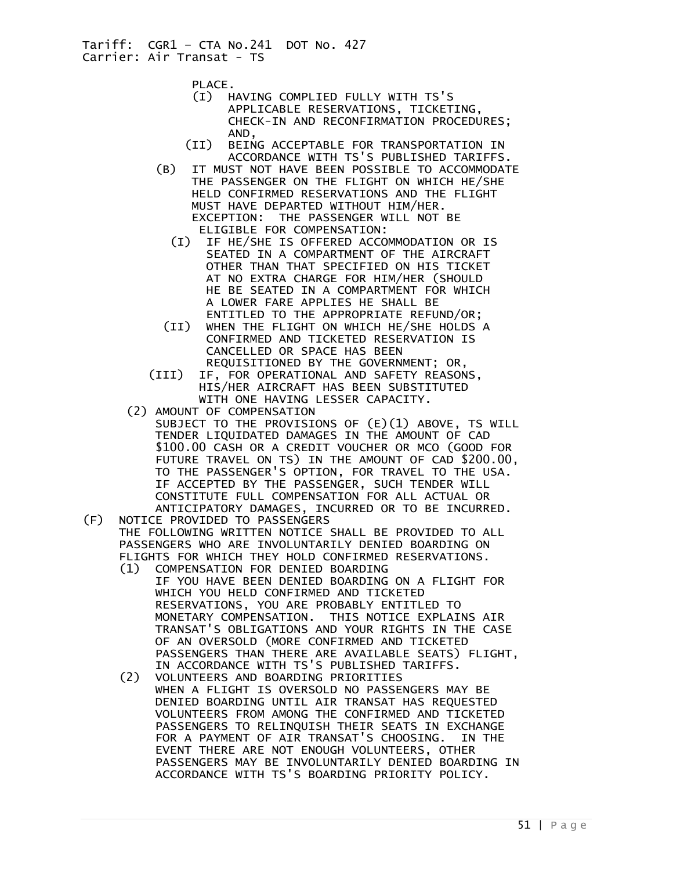PLACE.

- (I) HAVING COMPLIED FULLY WITH TS'S APPLICABLE RESERVATIONS, TICKETING, CHECK-IN AND RECONFIRMATION PROCEDURES; AND,
- (II) BEING ACCEPTABLE FOR TRANSPORTATION IN ACCORDANCE WITH TS'S PUBLISHED TARIFFS.<br>(B) IT MUST NOT HAVE BEEN POSSIBLE TO ACCOMMODAT
- IT MUST NOT HAVE BEEN POSSIBLE TO ACCOMMODATE THE PASSENGER ON THE FLIGHT ON WHICH HE/SHE HELD CONFIRMED RESERVATIONS AND THE FLIGHT MUST HAVE DEPARTED WITHOUT HIM/HER. EXCEPTION: THE PASSENGER WILL NOT BE
	- ELIGIBLE FOR COMPENSATION:<br>IF HE/SHE IS OFFERED ACCO IF HE/SHE IS OFFERED ACCOMMODATION OR IS SEATED IN A COMPARTMENT OF THE AIRCRAFT OTHER THAN THAT SPECIFIED ON HIS TICKET AT NO EXTRA CHARGE FOR HIM/HER (SHOULD HE BE SEATED IN A COMPARTMENT FOR WHICH A LOWER FARE APPLIES HE SHALL BE ENTITLED TO THE APPROPRIATE REFUND/OR;
- (II) WHEN THE FLIGHT ON WHICH HE/SHE HOLDS A CONFIRMED AND TICKETED RESERVATION IS CANCELLED OR SPACE HAS BEEN REQUISITIONED BY THE GOVERNMENT; OR,
- (III) IF, FOR OPERATIONAL AND SAFETY REASONS, HIS/HER AIRCRAFT HAS BEEN SUBSTITUTED WITH ONE HAVING LESSER CAPACITY.
- (2) AMOUNT OF COMPENSATION
	- SUBJECT TO THE PROVISIONS OF (E)(1) ABOVE, TS WILL TENDER LIQUIDATED DAMAGES IN THE AMOUNT OF CAD \$100.00 CASH OR A CREDIT VOUCHER OR MCO (GOOD FOR FUTURE TRAVEL ON TS) IN THE AMOUNT OF CAD \$200.00, TO THE PASSENGER'S OPTION, FOR TRAVEL TO THE USA. IF ACCEPTED BY THE PASSENGER, SUCH TENDER WILL CONSTITUTE FULL COMPENSATION FOR ALL ACTUAL OR ANTICIPATORY DAMAGES, INCURRED OR TO BE INCURRED.
- (F) NOTICE PROVIDED TO PASSENGERS THE FOLLOWING WRITTEN NOTICE SHALL BE PROVIDED TO ALL PASSENGERS WHO ARE INVOLUNTARILY DENIED BOARDING ON FLIGHTS FOR WHICH THEY HOLD CONFIRMED RESERVATIONS.
	- (1) COMPENSATION FOR DENIED BOARDING IF YOU HAVE BEEN DENIED BOARDING ON A FLIGHT FOR WHICH YOU HELD CONFIRMED AND TICKETED RESERVATIONS, YOU ARE PROBABLY ENTITLED TO MONETARY COMPENSATION. THIS NOTICE EXPLAINS AIR TRANSAT'S OBLIGATIONS AND YOUR RIGHTS IN THE CASE OF AN OVERSOLD (MORE CONFIRMED AND TICKETED PASSENGERS THAN THERE ARE AVAILABLE SEATS) FLIGHT, IN ACCORDANCE WITH TS'S PUBLISHED TARIFFS.<br>(2) VOLUNTEERS AND BOARDING PRIORITIES
- (2) VOLUNTEERS AND BOARDING PRIORITIES WHEN A FLIGHT IS OVERSOLD NO PASSENGERS MAY BE DENIED BOARDING UNTIL AIR TRANSAT HAS REQUESTED VOLUNTEERS FROM AMONG THE CONFIRMED AND TICKETED PASSENGERS TO RELINQUISH THEIR SEATS IN EXCHANGE FOR A PAYMENT OF AIR TRANSAT'S CHOOSING. IN THE EVENT THERE ARE NOT ENOUGH VOLUNTEERS, OTHER PASSENGERS MAY BE INVOLUNTARILY DENIED BOARDING IN ACCORDANCE WITH TS'S BOARDING PRIORITY POLICY.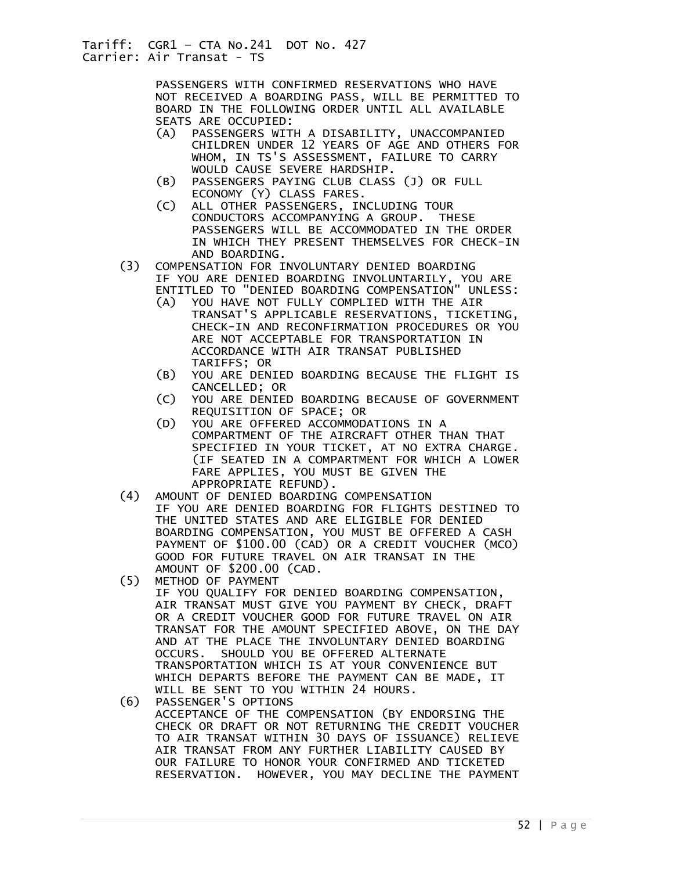PASSENGERS WITH CONFIRMED RESERVATIONS WHO HAVE NOT RECEIVED A BOARDING PASS, WILL BE PERMITTED TO BOARD IN THE FOLLOWING ORDER UNTIL ALL AVAILABLE SEATS ARE OCCUPIED:

- (A) PASSENGERS WITH A DISABILITY, UNACCOMPANIED CHILDREN UNDER 12 YEARS OF AGE AND OTHERS FOR WHOM, IN TS'S ASSESSMENT, FAILURE TO CARRY WOULD CAUSE SEVERE HARDSHIP.
- (B) PASSENGERS PAYING CLUB CLASS (J) OR FULL ECONOMY (Y) CLASS FARES.
- (C) ALL OTHER PASSENGERS, INCLUDING TOUR CONDUCTORS ACCOMPANYING A GROUP. THESE PASSENGERS WILL BE ACCOMMODATED IN THE ORDER IN WHICH THEY PRESENT THEMSELVES FOR CHECK-IN AND BOARDING.
- (3) COMPENSATION FOR INVOLUNTARY DENIED BOARDING IF YOU ARE DENIED BOARDING INVOLUNTARILY, YOU ARE ENTITLED TO "DENIED BOARDING COMPENSATION" UNLESS: ENTITLED TO "DENIED BOARDING COMPENSATION'
	- (A) YOU HAVE NOT FULLY COMPLIED WITH THE AIR TRANSAT'S APPLICABLE RESERVATIONS, TICKETING, CHECK-IN AND RECONFIRMATION PROCEDURES OR YOU ARE NOT ACCEPTABLE FOR TRANSPORTATION IN ACCORDANCE WITH AIR TRANSAT PUBLISHED TARIFFS; OR
	- (B) YOU ARE DENIED BOARDING BECAUSE THE FLIGHT IS CANCELLED; OR<br>C) YOU ARE DENIED
	- YOU ARE DENIED BOARDING BECAUSE OF GOVERNMENT REQUISITION OF SPACE; OR
	- (D) YOU ARE OFFERED ACCOMMODATIONS IN A COMPARTMENT OF THE AIRCRAFT OTHER THAN THAT SPECIFIED IN YOUR TICKET, AT NO EXTRA CHARGE. (IF SEATED IN A COMPARTMENT FOR WHICH A LOWER FARE APPLIES, YOU MUST BE GIVEN THE APPROPRIATE REFUND).
- (4) AMOUNT OF DENIED BOARDING COMPENSATION IF YOU ARE DENIED BOARDING FOR FLIGHTS DESTINED TO THE UNITED STATES AND ARE ELIGIBLE FOR DENIED BOARDING COMPENSATION, YOU MUST BE OFFERED A CASH PAYMENT OF \$100.00 (CAD) OR A CREDIT VOUCHER (MCO) GOOD FOR FUTURE TRAVEL ON AIR TRANSAT IN THE AMOUNT OF \$200.00 (CAD.<br>(5) METHOD OF PAYMENT
- (5) METHOD OF PAYMENT
	- IF YOU QUALIFY FOR DENIED BOARDING COMPENSATION, AIR TRANSAT MUST GIVE YOU PAYMENT BY CHECK, DRAFT OR A CREDIT VOUCHER GOOD FOR FUTURE TRAVEL ON AIR TRANSAT FOR THE AMOUNT SPECIFIED ABOVE, ON THE DAY AND AT THE PLACE THE INVOLUNTARY DENIED BOARDING OCCURS. SHOULD YOU BE OFFERED ALTERNATE TRANSPORTATION WHICH IS AT YOUR CONVENIENCE BUT WHICH DEPARTS BEFORE THE PAYMENT CAN BE MADE, IT WILL BE SENT TO YOU WITHIN 24 HOURS.
- (6) PASSENGER'S OPTIONS ACCEPTANCE OF THE COMPENSATION (BY ENDORSING THE CHECK OR DRAFT OR NOT RETURNING THE CREDIT VOUCHER TO AIR TRANSAT WITHIN 30 DAYS OF ISSUANCE) RELIEVE AIR TRANSAT FROM ANY FURTHER LIABILITY CAUSED BY OUR FAILURE TO HONOR YOUR CONFIRMED AND TICKETED RESERVATION. HOWEVER, YOU MAY DECLINE THE PAYMENT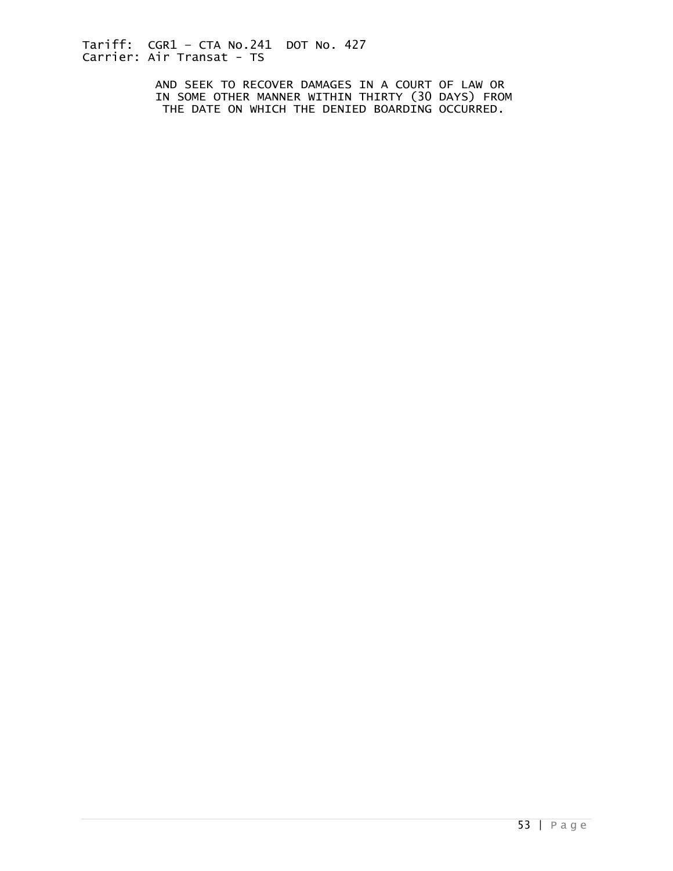AND SEEK TO RECOVER DAMAGES IN A COURT OF LAW OR IN SOME OTHER MANNER WITHIN THIRTY (30 DAYS) FROM THE DATE ON WHICH THE DENIED BOARDING OCCURRED.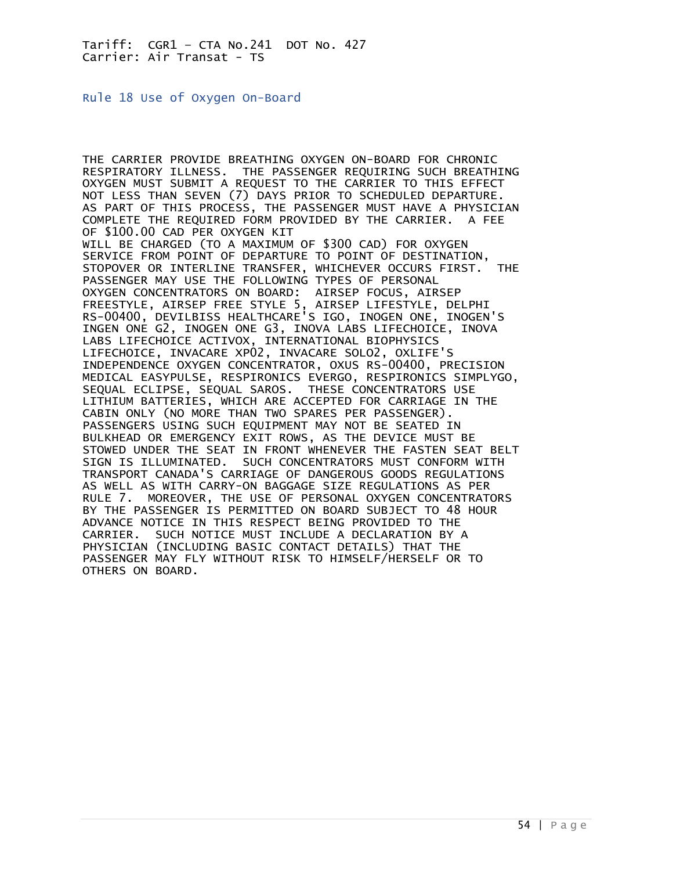<span id="page-53-0"></span>Rule 18 Use of Oxygen On-Board

THE CARRIER PROVIDE BREATHING OXYGEN ON-BOARD FOR CHRONIC RESPIRATORY ILLNESS. THE PASSENGER REQUIRING SUCH BREATHING OXYGEN MUST SUBMIT A REQUEST TO THE CARRIER TO THIS EFFECT NOT LESS THAN SEVEN (7) DAYS PRIOR TO SCHEDULED DEPARTURE. AS PART OF THIS PROCESS, THE PASSENGER MUST HAVE A PHYSICIAN COMPLETE THE REQUIRED FORM PROVIDED BY THE CARRIER. A FEE OF \$100.00 CAD PER OXYGEN KIT WILL BE CHARGED (TO A MAXIMUM OF \$300 CAD) FOR OXYGEN SERVICE FROM POINT OF DEPARTURE TO POINT OF DESTINATION, STOPOVER OR INTERLINE TRANSFER, WHICHEVER OCCURS FIRST. THE PASSENGER MAY USE THE FOLLOWING TYPES OF PERSONAL OXYGEN CONCENTRATORS ON BOARD: AIRSEP FOCUS, AIRSEP FREESTYLE, AIRSEP FREE STYLE 5, AIRSEP LIFESTYLE, DELPHI RS-00400, DEVILBISS HEALTHCARE'S IGO, INOGEN ONE, INOGEN'S INGEN ONE G2, INOGEN ONE G3, INOVA LABS LIFECHOICE, INOVA LABS LIFECHOICE ACTIVOX, INTERNATIONAL BIOPHYSICS LIFECHOICE, INVACARE XP02, INVACARE SOLO2, OXLIFE'S INDEPENDENCE OXYGEN CONCENTRATOR, OXUS RS-00400, PRECISION MEDICAL EASYPULSE, RESPIRONICS EVERGO, RESPIRONICS SIMPLYGO, SEQUAL ECLIPSE, SEQUAL SAROS. THESE CONCENTRATORS USE LITHIUM BATTERIES, WHICH ARE ACCEPTED FOR CARRIAGE IN THE CABIN ONLY (NO MORE THAN TWO SPARES PER PASSENGER). PASSENGERS USING SUCH EQUIPMENT MAY NOT BE SEATED IN BULKHEAD OR EMERGENCY EXIT ROWS, AS THE DEVICE MUST BE STOWED UNDER THE SEAT IN FRONT WHENEVER THE FASTEN SEAT BELT SIGN IS ILLUMINATED. SUCH CONCENTRATORS MUST CONFORM WITH TRANSPORT CANADA'S CARRIAGE OF DANGEROUS GOODS REGULATIONS AS WELL AS WITH CARRY-ON BAGGAGE SIZE REGULATIONS AS PER RULE 7. MOREOVER, THE USE OF PERSONAL OXYGEN CONCENTRATORS BY THE PASSENGER IS PERMITTED ON BOARD SUBJECT TO 48 HOUR ADVANCE NOTICE IN THIS RESPECT BEING PROVIDED TO THE CARRIER. SUCH NOTICE MUST INCLUDE A DECLARATION BY A PHYSICIAN (INCLUDING BASIC CONTACT DETAILS) THAT THE PASSENGER MAY FLY WITHOUT RISK TO HIMSELF/HERSELF OR TO OTHERS ON BOARD.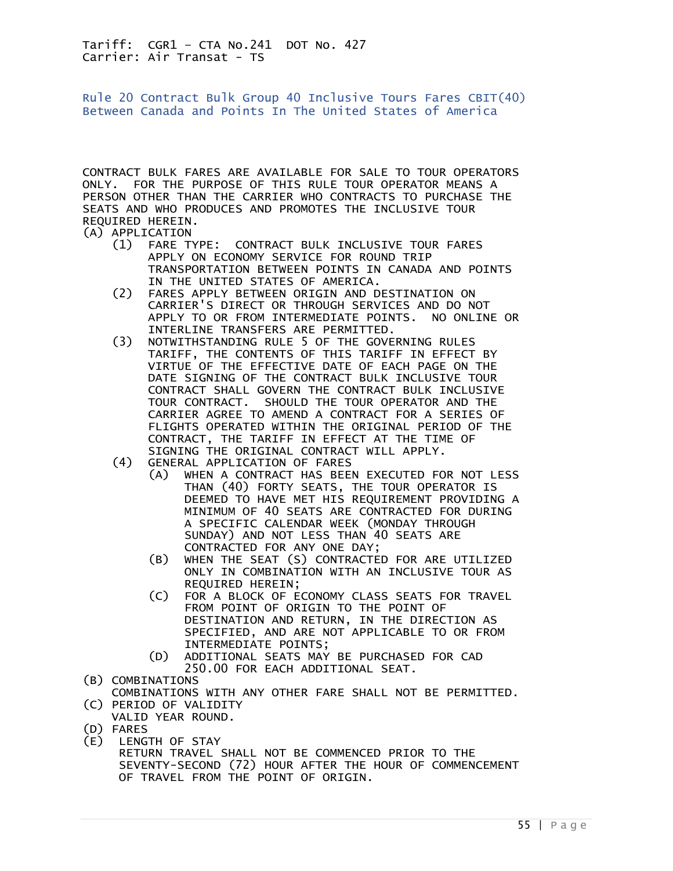<span id="page-54-0"></span>Rule 20 Contract Bulk Group 40 Inclusive Tours Fares CBIT(40) Between Canada and Points In The United States of America

CONTRACT BULK FARES ARE AVAILABLE FOR SALE TO TOUR OPERATORS ONLY. FOR THE PURPOSE OF THIS RULE TOUR OPERATOR MEANS A PERSON OTHER THAN THE CARRIER WHO CONTRACTS TO PURCHASE THE SEATS AND WHO PRODUCES AND PROMOTES THE INCLUSIVE TOUR REQUIRED HEREIN.

(A) APPLICATION<br>(1) FARE T

- (1) FARE TYPE: CONTRACT BULK INCLUSIVE TOUR FARES APPLY ON ECONOMY SERVICE FOR ROUND TRIP TRANSPORTATION BETWEEN POINTS IN CANADA AND POINTS IN THE UNITED STATES OF AMERICA.
- (2) FARES APPLY BETWEEN ORIGIN AND DESTINATION ON CARRIER'S DIRECT OR THROUGH SERVICES AND DO NOT APPLY TO OR FROM INTERMEDIATE POINTS. NO ONLINE OR INTERLINE TRANSFERS ARE PERMITTED.<br>(3) NOTWITHSTANDING RULE 5 OF THE GOVE
- NOTWITHSTANDING RULE 5 OF THE GOVERNING RULES TARIFF, THE CONTENTS OF THIS TARIFF IN EFFECT BY VIRTUE OF THE EFFECTIVE DATE OF EACH PAGE ON THE DATE SIGNING OF THE CONTRACT BULK INCLUSIVE TOUR CONTRACT SHALL GOVERN THE CONTRACT BULK INCLUSIVE TOUR CONTRACT. SHOULD THE TOUR OPERATOR AND THE CARRIER AGREE TO AMEND A CONTRACT FOR A SERIES OF FLIGHTS OPERATED WITHIN THE ORIGINAL PERIOD OF THE CONTRACT, THE TARIFF IN EFFECT AT THE TIME OF SIGNING THE ORIGINAL CONTRACT WILL APPLY.<br>(4) GENERAL APPLICATION OF FARES
- GENERAL APPLICATION OF FARES
- (A) WHEN A CONTRACT HAS BEEN EXECUTED FOR NOT LESS THAN (40) FORTY SEATS, THE TOUR OPERATOR IS DEEMED TO HAVE MET HIS REQUIREMENT PROVIDING A MINIMUM OF 40 SEATS ARE CONTRACTED FOR DURING A SPECIFIC CALENDAR WEEK (MONDAY THROUGH SUNDAY) AND NOT LESS THAN 40 SEATS ARE
	- CONTRACTED FOR ANY ONE DAY;<br>(B) WHEN THE SEAT (S) CONTRACTE (B) WHEN THE SEAT (S) CONTRACTED FOR ARE UTILIZED ONLY IN COMBINATION WITH AN INCLUSIVE TOUR AS REQUIRED HEREIN;<br>C) FOR A BLOCK OF E
	- FOR A BLOCK OF ECONOMY CLASS SEATS FOR TRAVEL FROM POINT OF ORIGIN TO THE POINT OF DESTINATION AND RETURN, IN THE DIRECTION AS SPECIFIED, AND ARE NOT APPLICABLE TO OR FROM INTERMEDIATE POINTS;
	- (D) ADDITIONAL SEATS MAY BE PURCHASED FOR CAD 250.00 FOR EACH ADDITIONAL SEAT.
- (B) COMBINATIONS
- COMBINATIONS WITH ANY OTHER FARE SHALL NOT BE PERMITTED. (C) PERIOD OF VALIDITY
- VALID YEAR ROUND.
- (D) FARES
- (E) LENGTH OF STAY RETURN TRAVEL SHALL NOT BE COMMENCED PRIOR TO THE SEVENTY-SECOND (72) HOUR AFTER THE HOUR OF COMMENCEMENT OF TRAVEL FROM THE POINT OF ORIGIN.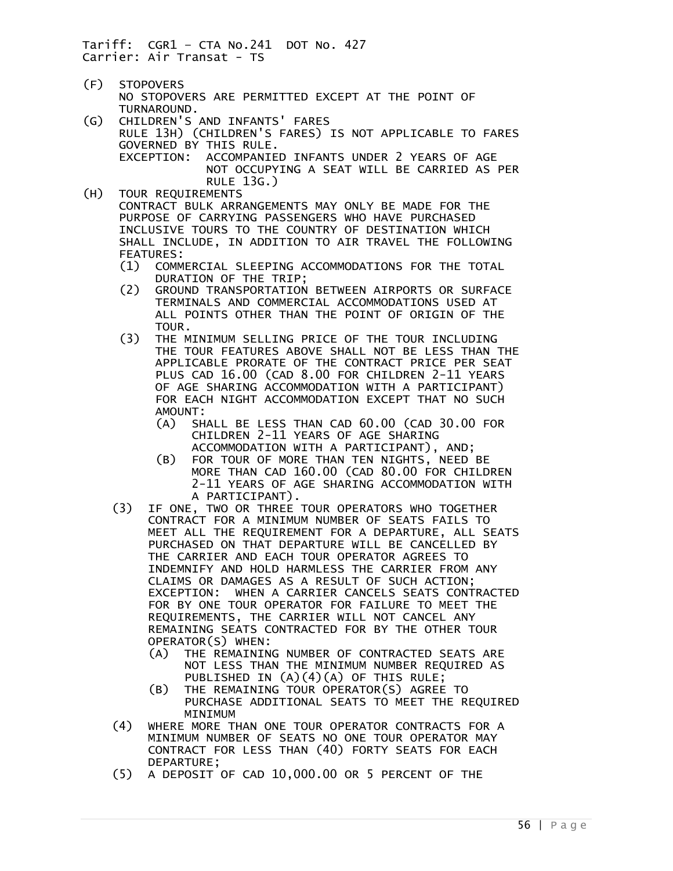- (F) STOPOVERS NO STOPOVERS ARE PERMITTED EXCEPT AT THE POINT OF TURNAROUND.
- (G) CHILDREN'S AND INFANTS' FARES RULE 13H) (CHILDREN'S FARES) IS NOT APPLICABLE TO FARES GOVERNED BY THIS RULE. EXCEPTION: ACCOMPANIED INFANTS UNDER 2 YEARS OF AGE NOT OCCUPYING A SEAT WILL BE CARRIED AS PER RULE 13G.)
- (H) TOUR REQUIREMENTS CONTRACT BULK ARRANGEMENTS MAY ONLY BE MADE FOR THE PURPOSE OF CARRYING PASSENGERS WHO HAVE PURCHASED INCLUSIVE TOURS TO THE COUNTRY OF DESTINATION WHICH SHALL INCLUDE, IN ADDITION TO AIR TRAVEL THE FOLLOWING FEATURES:
	- (1) COMMERCIAL SLEEPING ACCOMMODATIONS FOR THE TOTAL DURATION OF THE TRIP;
	- (2) GROUND TRANSPORTATION BETWEEN AIRPORTS OR SURFACE TERMINALS AND COMMERCIAL ACCOMMODATIONS USED AT ALL POINTS OTHER THAN THE POINT OF ORIGIN OF THE TOUR.
	- (3) THE MINIMUM SELLING PRICE OF THE TOUR INCLUDING THE TOUR FEATURES ABOVE SHALL NOT BE LESS THAN THE APPLICABLE PRORATE OF THE CONTRACT PRICE PER SEAT PLUS CAD 16.00 (CAD 8.00 FOR CHILDREN 2-11 YEARS OF AGE SHARING ACCOMMODATION WITH A PARTICIPANT) FOR EACH NIGHT ACCOMMODATION EXCEPT THAT NO SUCH AMOUNT:
		- (A) SHALL BE LESS THAN CAD 60.00 (CAD 30.00 FOR CHILDREN 2-11 YEARS OF AGE SHARING ACCOMMODATION WITH A PARTICIPANT), AND;
		- (B) FOR TOUR OF MORE THAN TEN NIGHTS, NEED BE MORE THAN CAD 160.00 (CAD 80.00 FOR CHILDREN 2-11 YEARS OF AGE SHARING ACCOMMODATION WITH A PARTICIPANT).
	- (3) IF ONE, TWO OR THREE TOUR OPERATORS WHO TOGETHER CONTRACT FOR A MINIMUM NUMBER OF SEATS FAILS TO MEET ALL THE REQUIREMENT FOR A DEPARTURE, ALL SEATS PURCHASED ON THAT DEPARTURE WILL BE CANCELLED BY THE CARRIER AND EACH TOUR OPERATOR AGREES TO INDEMNIFY AND HOLD HARMLESS THE CARRIER FROM ANY CLAIMS OR DAMAGES AS A RESULT OF SUCH ACTION; EXCEPTION: WHEN A CARRIER CANCELS SEATS CONTRACTED FOR BY ONE TOUR OPERATOR FOR FAILURE TO MEET THE REQUIREMENTS, THE CARRIER WILL NOT CANCEL ANY REMAINING SEATS CONTRACTED FOR BY THE OTHER TOUR OPERATOR(S) WHEN:
		- (A) THE REMAINING NUMBER OF CONTRACTED SEATS ARE NOT LESS THAN THE MINIMUM NUMBER REQUIRED AS PUBLISHED IN (A)(4)(A) OF THIS RULE;<br>B) THE REMAINING TOUR OPERATOR(S) AGREE
		- THE REMAINING TOUR OPERATOR(S) AGREE TO PURCHASE ADDITIONAL SEATS TO MEET THE REQUIRED
	- MINIMUM<br>4) WHERE MORE T WHERE MORE THAN ONE TOUR OPERATOR CONTRACTS FOR A MINIMUM NUMBER OF SEATS NO ONE TOUR OPERATOR MAY CONTRACT FOR LESS THAN (40) FORTY SEATS FOR EACH DEPARTURE;
	- (5) A DEPOSIT OF CAD 10,000.00 OR 5 PERCENT OF THE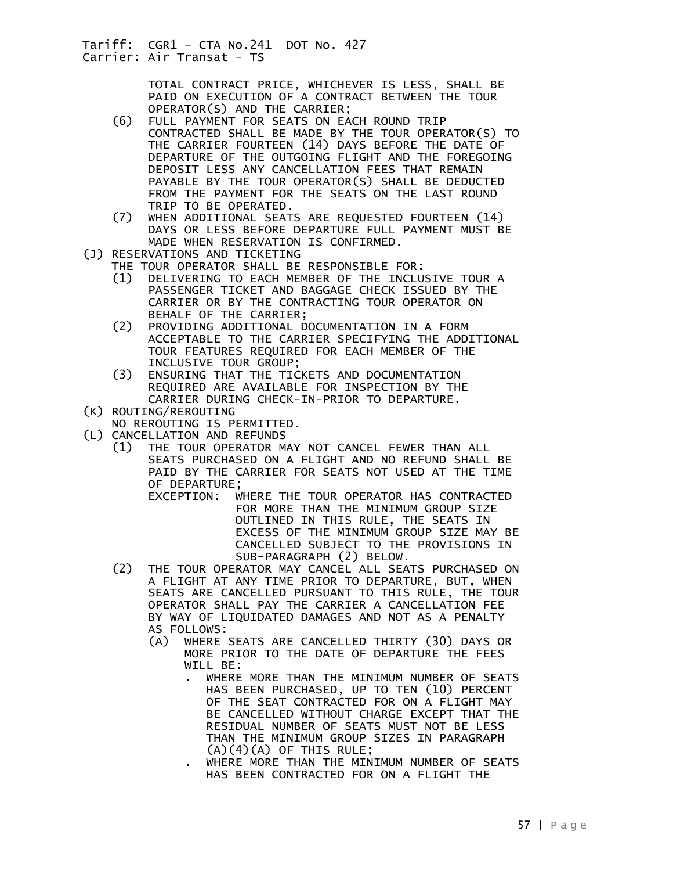> TOTAL CONTRACT PRICE, WHICHEVER IS LESS, SHALL BE PAID ON EXECUTION OF A CONTRACT BETWEEN THE TOUR OPERATOR(S) AND THE CARRIER;

- (6) FULL PAYMENT FOR SEATS ON EACH ROUND TRIP CONTRACTED SHALL BE MADE BY THE TOUR OPERATOR(S) TO THE CARRIER FOURTEEN (14) DAYS BEFORE THE DATE OF DEPARTURE OF THE OUTGOING FLIGHT AND THE FOREGOING DEPOSIT LESS ANY CANCELLATION FEES THAT REMAIN PAYABLE BY THE TOUR OPERATOR(S) SHALL BE DEDUCTED FROM THE PAYMENT FOR THE SEATS ON THE LAST ROUND TRIP TO BE OPERATED.
- (7) WHEN ADDITIONAL SEATS ARE REQUESTED FOURTEEN (14) DAYS OR LESS BEFORE DEPARTURE FULL PAYMENT MUST BE MADE WHEN RESERVATION IS CONFIRMED.
- (J) RESERVATIONS AND TICKETING
	- THE TOUR OPERATOR SHALL BE RESPONSIBLE FOR:
	- (1) DELIVERING TO EACH MEMBER OF THE INCLUSIVE TOUR A PASSENGER TICKET AND BAGGAGE CHECK ISSUED BY THE CARRIER OR BY THE CONTRACTING TOUR OPERATOR ON BEHALF OF THE CARRIER;<br>(2) PROVIDING ADDITIONAL D
	- PROVIDING ADDITIONAL DOCUMENTATION IN A FORM ACCEPTABLE TO THE CARRIER SPECIFYING THE ADDITIONAL TOUR FEATURES REQUIRED FOR EACH MEMBER OF THE INCLUSIVE TOUR GROUP;
	- (3) ENSURING THAT THE TICKETS AND DOCUMENTATION REQUIRED ARE AVAILABLE FOR INSPECTION BY THE CARRIER DURING CHECK-IN-PRIOR TO DEPARTURE.
- (K) ROUTING/REROUTING
- NO REROUTING IS PERMITTED.
- (L) CANCELLATION AND REFUNDS
	- (1) THE TOUR OPERATOR MAY NOT CANCEL FEWER THAN ALL SEATS PURCHASED ON A FLIGHT AND NO REFUND SHALL BE PAID BY THE CARRIER FOR SEATS NOT USED AT THE TIME OF DEPARTURE;
		- EXCEPTION: WHERE THE TOUR OPERATOR HAS CONTRACTED FOR MORE THAN THE MINIMUM GROUP SIZE OUTLINED IN THIS RULE, THE SEATS IN EXCESS OF THE MINIMUM GROUP SIZE MAY BE CANCELLED SUBJECT TO THE PROVISIONS IN SUB-PARAGRAPH (2) BELOW.
	- (2) THE TOUR OPERATOR MAY CANCEL ALL SEATS PURCHASED ON A FLIGHT AT ANY TIME PRIOR TO DEPARTURE, BUT, WHEN SEATS ARE CANCELLED PURSUANT TO THIS RULE, THE TOUR OPERATOR SHALL PAY THE CARRIER A CANCELLATION FEE BY WAY OF LIQUIDATED DAMAGES AND NOT AS A PENALTY AS FOLLOWS:
		- (A) WHERE SEATS ARE CANCELLED THIRTY (30) DAYS OR MORE PRIOR TO THE DATE OF DEPARTURE THE FEES WILL BE:
			- . WHERE MORE THAN THE MINIMUM NUMBER OF SEATS HAS BEEN PURCHASED, UP TO TEN (10) PERCENT OF THE SEAT CONTRACTED FOR ON A FLIGHT MAY BE CANCELLED WITHOUT CHARGE EXCEPT THAT THE RESIDUAL NUMBER OF SEATS MUST NOT BE LESS THAN THE MINIMUM GROUP SIZES IN PARAGRAPH  $(A)(4)(A)$  OF THIS RULE;
			- . WHERE MORE THAN THE MINIMUM NUMBER OF SEATS HAS BEEN CONTRACTED FOR ON A FLIGHT THE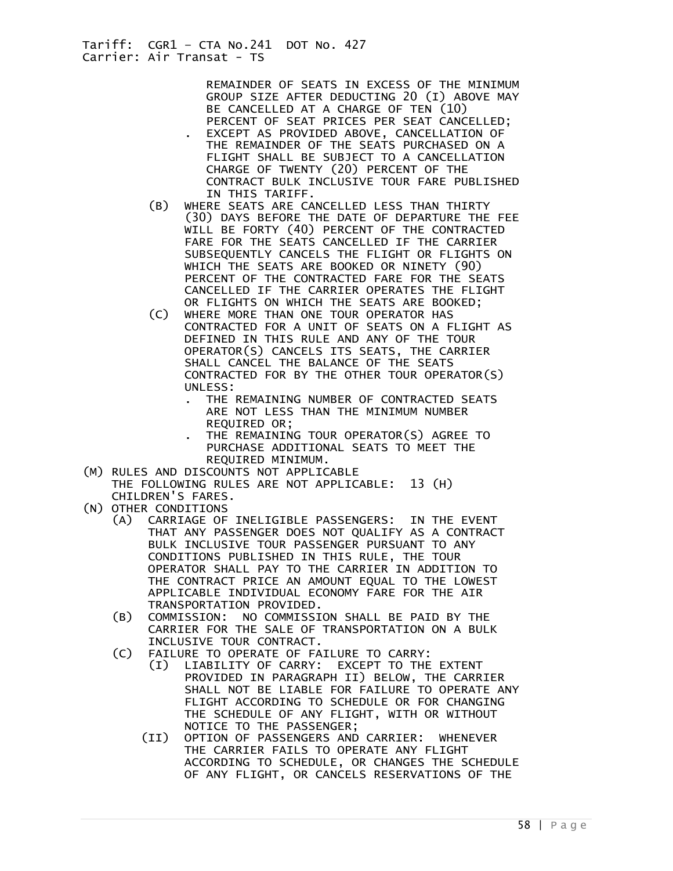REMAINDER OF SEATS IN EXCESS OF THE MINIMUM GROUP SIZE AFTER DEDUCTING 20 (I) ABOVE MAY BE CANCELLED AT A CHARGE OF TEN (10) PERCENT OF SEAT PRICES PER SEAT CANCELLED; . EXCEPT AS PROVIDED ABOVE, CANCELLATION OF THE REMAINDER OF THE SEATS PURCHASED ON A FLIGHT SHALL BE SUBJECT TO A CANCELLATION CHARGE OF TWENTY (20) PERCENT OF THE CONTRACT BULK INCLUSIVE TOUR FARE PUBLISHED IN THIS TARIFF.

- (B) WHERE SEATS ARE CANCELLED LESS THAN THIRTY (30) DAYS BEFORE THE DATE OF DEPARTURE THE FEE WILL BE FORTY (40) PERCENT OF THE CONTRACTED FARE FOR THE SEATS CANCELLED IF THE CARRIER SUBSEQUENTLY CANCELS THE FLIGHT OR FLIGHTS ON WHICH THE SEATS ARE BOOKED OR NINETY (90) PERCENT OF THE CONTRACTED FARE FOR THE SEATS CANCELLED IF THE CARRIER OPERATES THE FLIGHT
- OR FLIGHTS ON WHICH THE SEATS ARE BOOKED;<br>(C) WHERE MORE THAN ONE TOUR OPERATOR HAS WHERE MORE THAN ONE TOUR OPERATOR HAS CONTRACTED FOR A UNIT OF SEATS ON A FLIGHT AS DEFINED IN THIS RULE AND ANY OF THE TOUR OPERATOR(S) CANCELS ITS SEATS, THE CARRIER SHALL CANCEL THE BALANCE OF THE SEATS CONTRACTED FOR BY THE OTHER TOUR OPERATOR(S) UNLESS:
	- THE REMAINING NUMBER OF CONTRACTED SEATS ARE NOT LESS THAN THE MINIMUM NUMBER REQUIRED OR;
	- THE REMAINING TOUR OPERATOR(S) AGREE TO PURCHASE ADDITIONAL SEATS TO MEET THE REQUIRED MINIMUM.
- (M) RULES AND DISCOUNTS NOT APPLICABLE THE FOLLOWING RULES ARE NOT APPLICABLE: 13 (H) CHILDREN'S FARES.
- (N) OTHER CONDITIONS
	- (A) CARRIAGE OF INELIGIBLE PASSENGERS: IN THE EVENT THAT ANY PASSENGER DOES NOT QUALIFY AS A CONTRACT BULK INCLUSIVE TOUR PASSENGER PURSUANT TO ANY CONDITIONS PUBLISHED IN THIS RULE, THE TOUR OPERATOR SHALL PAY TO THE CARRIER IN ADDITION TO THE CONTRACT PRICE AN AMOUNT EQUAL TO THE LOWEST APPLICABLE INDIVIDUAL ECONOMY FARE FOR THE AIR TRANSPORTATION PROVIDED.
	- (B) COMMISSION: NO COMMISSION SHALL BE PAID BY THE CARRIER FOR THE SALE OF TRANSPORTATION ON A BULK INCLUSIVE TOUR CONTRACT.
	- (C) FAILURE TO OPERATE OF FAILURE TO CARRY:
		- (I) LIABILITY OF CARRY: EXCEPT TO THE EXTENT PROVIDED IN PARAGRAPH II) BELOW, THE CARRIER SHALL NOT BE LIABLE FOR FAILURE TO OPERATE ANY FLIGHT ACCORDING TO SCHEDULE OR FOR CHANGING THE SCHEDULE OF ANY FLIGHT, WITH OR WITHOUT NOTICE TO THE PASSENGER;
		- (II) OPTION OF PASSENGERS AND CARRIER: WHENEVER THE CARRIER FAILS TO OPERATE ANY FLIGHT ACCORDING TO SCHEDULE, OR CHANGES THE SCHEDULE OF ANY FLIGHT, OR CANCELS RESERVATIONS OF THE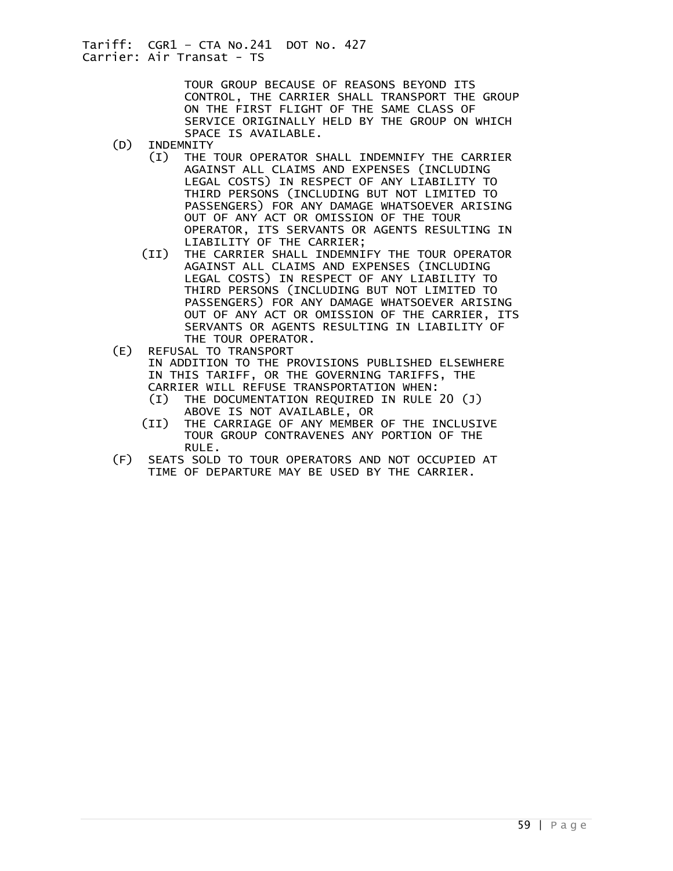> TOUR GROUP BECAUSE OF REASONS BEYOND ITS CONTROL, THE CARRIER SHALL TRANSPORT THE GROUP ON THE FIRST FLIGHT OF THE SAME CLASS OF SERVICE ORIGINALLY HELD BY THE GROUP ON WHICH SPACE IS AVAILABLE.<br>(D) INDEMNITY

- **INDEMNITY** 
	- (I) THE TOUR OPERATOR SHALL INDEMNIFY THE CARRIER AGAINST ALL CLAIMS AND EXPENSES (INCLUDING LEGAL COSTS) IN RESPECT OF ANY LIABILITY TO THIRD PERSONS (INCLUDING BUT NOT LIMITED TO PASSENGERS) FOR ANY DAMAGE WHATSOEVER ARISING OUT OF ANY ACT OR OMISSION OF THE TOUR OPERATOR, ITS SERVANTS OR AGENTS RESULTING IN LIABILITY OF THE CARRIER;
	- (II) THE CARRIER SHALL INDEMNIFY THE TOUR OPERATOR AGAINST ALL CLAIMS AND EXPENSES (INCLUDING LEGAL COSTS) IN RESPECT OF ANY LIABILITY TO THIRD PERSONS (INCLUDING BUT NOT LIMITED TO PASSENGERS) FOR ANY DAMAGE WHATSOEVER ARISING OUT OF ANY ACT OR OMISSION OF THE CARRIER, ITS SERVANTS OR AGENTS RESULTING IN LIABILITY OF THE TOUR OPERATOR.
- (E) REFUSAL TO TRANSPORT IN ADDITION TO THE PROVISIONS PUBLISHED ELSEWHERE IN THIS TARIFF, OR THE GOVERNING TARIFFS, THE CARRIER WILL REFUSE TRANSPORTATION WHEN:
	- (I) THE DOCUMENTATION REQUIRED IN RULE 20 (J) ABOVE IS NOT AVAILABLE, OR
	- (II) THE CARRIAGE OF ANY MEMBER OF THE INCLUSIVE TOUR GROUP CONTRAVENES ANY PORTION OF THE
- RULE.<br>F) SEATS SOLD SEATS SOLD TO TOUR OPERATORS AND NOT OCCUPIED AT TIME OF DEPARTURE MAY BE USED BY THE CARRIER.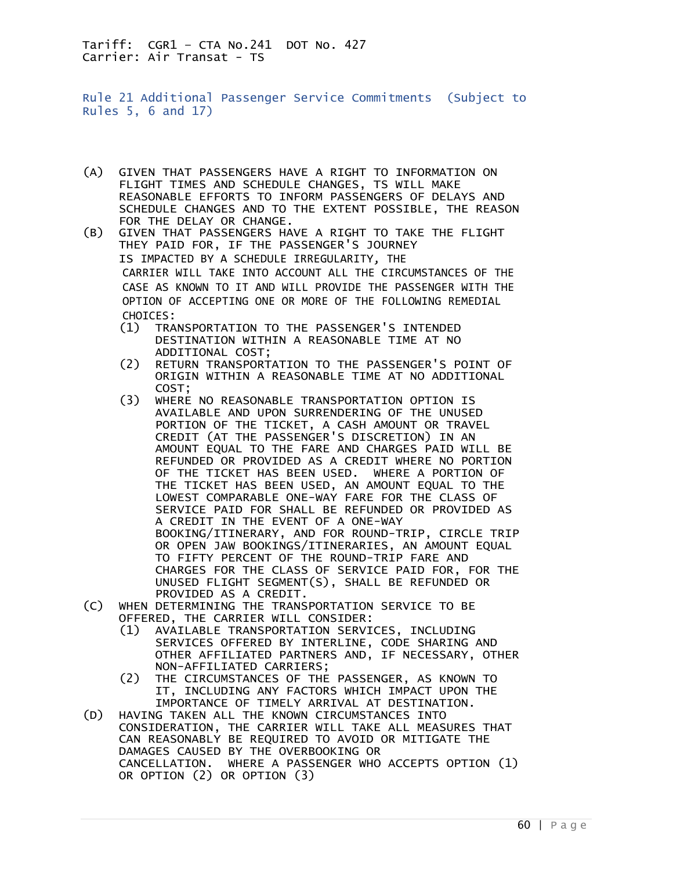<span id="page-59-0"></span>Rule 21 Additional Passenger Service Commitments (Subject to Rules 5, 6 and 17)

- (A) GIVEN THAT PASSENGERS HAVE A RIGHT TO INFORMATION ON FLIGHT TIMES AND SCHEDULE CHANGES, TS WILL MAKE REASONABLE EFFORTS TO INFORM PASSENGERS OF DELAYS AND SCHEDULE CHANGES AND TO THE EXTENT POSSIBLE, THE REASON FOR THE DELAY OR CHANGE.
- (B) GIVEN THAT PASSENGERS HAVE A RIGHT TO TAKE THE FLIGHT THEY PAID FOR, IF THE PASSENGER'S JOURNEY IS IMPACTED BY A SCHEDULE IRREGULARITY, THE CARRIER WILL TAKE INTO ACCOUNT ALL THE CIRCUMSTANCES OF THE CASE AS KNOWN TO IT AND WILL PROVIDE THE PASSENGER WITH THE OPTION OF ACCEPTING ONE OR MORE OF THE FOLLOWING REMEDIAL CHOICES:
	- (1) TRANSPORTATION TO THE PASSENGER'S INTENDED DESTINATION WITHIN A REASONABLE TIME AT NO
	- ADDITIONAL COST;<br>(2) RETURN TRANSPORT RETURN TRANSPORTATION TO THE PASSENGER'S POINT OF ORIGIN WITHIN A REASONABLE TIME AT NO ADDITIONAL COST;
	- (3) WHERE NO REASONABLE TRANSPORTATION OPTION IS AVAILABLE AND UPON SURRENDERING OF THE UNUSED PORTION OF THE TICKET, A CASH AMOUNT OR TRAVEL CREDIT (AT THE PASSENGER'S DISCRETION) IN AN AMOUNT EQUAL TO THE FARE AND CHARGES PAID WILL BE REFUNDED OR PROVIDED AS A CREDIT WHERE NO PORTION OF THE TICKET HAS BEEN USED. WHERE A PORTION OF THE TICKET HAS BEEN USED, AN AMOUNT EQUAL TO THE LOWEST COMPARABLE ONE-WAY FARE FOR THE CLASS OF SERVICE PAID FOR SHALL BE REFUNDED OR PROVIDED AS A CREDIT IN THE EVENT OF A ONE-WAY BOOKING/ITINERARY, AND FOR ROUND-TRIP, CIRCLE TRIP OR OPEN JAW BOOKINGS/ITINERARIES, AN AMOUNT EQUAL TO FIFTY PERCENT OF THE ROUND-TRIP FARE AND CHARGES FOR THE CLASS OF SERVICE PAID FOR, FOR THE UNUSED FLIGHT SEGMENT(S), SHALL BE REFUNDED OR
- PROVIDED AS A CREDIT.<br>C) WHEN DETERMINING THE TRANS WHEN DETERMINING THE TRANSPORTATION SERVICE TO BE OFFERED, THE CARRIER WILL CONSIDER:
	- (1) AVAILABLE TRANSPORTATION SERVICES, INCLUDING SERVICES OFFERED BY INTERLINE, CODE SHARING AND OTHER AFFILIATED PARTNERS AND, IF NECESSARY, OTHER NON-AFFILIATED CARRIERS;
	- (2) THE CIRCUMSTANCES OF THE PASSENGER, AS KNOWN TO IT, INCLUDING ANY FACTORS WHICH IMPACT UPON THE
- IMPORTANCE OF TIMELY ARRIVAL AT DESTINATION.<br>(D) HAVING TAKEN ALL THE KNOWN CIRCUMSTANCES INTO HAVING TAKEN ALL THE KNOWN CIRCUMSTANCES INTO CONSIDERATION, THE CARRIER WILL TAKE ALL MEASURES THAT CAN REASONABLY BE REQUIRED TO AVOID OR MITIGATE THE DAMAGES CAUSED BY THE OVERBOOKING OR CANCELLATION. WHERE A PASSENGER WHO ACCEPTS OPTION (1) OR OPTION (2) OR OPTION (3)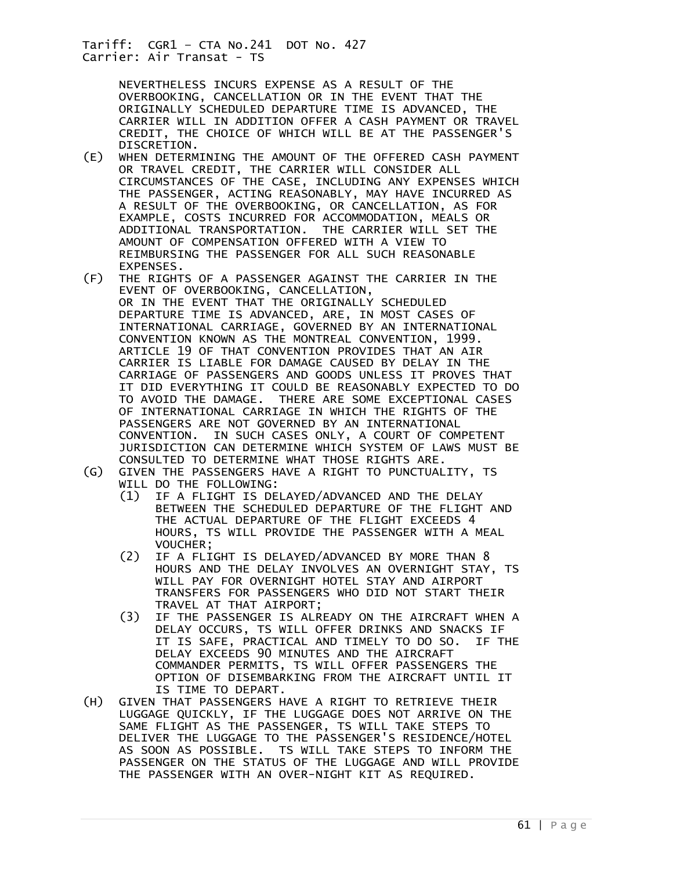> NEVERTHELESS INCURS EXPENSE AS A RESULT OF THE OVERBOOKING, CANCELLATION OR IN THE EVENT THAT THE ORIGINALLY SCHEDULED DEPARTURE TIME IS ADVANCED, THE CARRIER WILL IN ADDITION OFFER A CASH PAYMENT OR TRAVEL CREDIT, THE CHOICE OF WHICH WILL BE AT THE PASSENGER'S DISCRETION.

- (E) WHEN DETERMINING THE AMOUNT OF THE OFFERED CASH PAYMENT OR TRAVEL CREDIT, THE CARRIER WILL CONSIDER ALL CIRCUMSTANCES OF THE CASE, INCLUDING ANY EXPENSES WHICH THE PASSENGER, ACTING REASONABLY, MAY HAVE INCURRED AS A RESULT OF THE OVERBOOKING, OR CANCELLATION, AS FOR EXAMPLE, COSTS INCURRED FOR ACCOMMODATION, MEALS OR ADDITIONAL TRANSPORTATION. THE CARRIER WILL SET THE AMOUNT OF COMPENSATION OFFERED WITH A VIEW TO REIMBURSING THE PASSENGER FOR ALL SUCH REASONABLE EXPENSES.<br>F) THE RIGHT)
- THE RIGHTS OF A PASSENGER AGAINST THE CARRIER IN THE EVENT OF OVERBOOKING, CANCELLATION, OR IN THE EVENT THAT THE ORIGINALLY SCHEDULED DEPARTURE TIME IS ADVANCED, ARE, IN MOST CASES OF INTERNATIONAL CARRIAGE, GOVERNED BY AN INTERNATIONAL CONVENTION KNOWN AS THE MONTREAL CONVENTION, 1999. ARTICLE 19 OF THAT CONVENTION PROVIDES THAT AN AIR CARRIER IS LIABLE FOR DAMAGE CAUSED BY DELAY IN THE CARRIAGE OF PASSENGERS AND GOODS UNLESS IT PROVES THAT IT DID EVERYTHING IT COULD BE REASONABLY EXPECTED TO DO TO AVOID THE DAMAGE. THERE ARE SOME EXCEPTIONAL CASES OF INTERNATIONAL CARRIAGE IN WHICH THE RIGHTS OF THE PASSENGERS ARE NOT GOVERNED BY AN INTERNATIONAL CONVENTION. IN SUCH CASES ONLY, A COURT OF COMPETENT JURISDICTION CAN DETERMINE WHICH SYSTEM OF LAWS MUST BE CONSULTED TO DETERMINE WHAT THOSE RIGHTS ARE.
- (G) GIVEN THE PASSENGERS HAVE A RIGHT TO PUNCTUALITY, TS WILL DO THE FOLLOWING:
	- (1) IF A FLIGHT IS DELAYED/ADVANCED AND THE DELAY BETWEEN THE SCHEDULED DEPARTURE OF THE FLIGHT AND THE ACTUAL DEPARTURE OF THE FLIGHT EXCEEDS 4 HOURS, TS WILL PROVIDE THE PASSENGER WITH A MEAL VOUCHER;
	- (2) IF A FLIGHT IS DELAYED/ADVANCED BY MORE THAN 8 HOURS AND THE DELAY INVOLVES AN OVERNIGHT STAY, TS WILL PAY FOR OVERNIGHT HOTEL STAY AND AIRPORT TRANSFERS FOR PASSENGERS WHO DID NOT START THEIR
	- TRAVEL AT THAT AIRPORT;<br>IF THE PASSENGER IS ALR IF THE PASSENGER IS ALREADY ON THE AIRCRAFT WHEN A DELAY OCCURS, TS WILL OFFER DRINKS AND SNACKS IF IT IS SAFE, PRACTICAL AND TIMELY TO DO SO. IF THE DELAY EXCEEDS 90 MINUTES AND THE AIRCRAFT COMMANDER PERMITS, TS WILL OFFER PASSENGERS THE OPTION OF DISEMBARKING FROM THE AIRCRAFT UNTIL IT IS TIME TO DEPART.
- (H) GIVEN THAT PASSENGERS HAVE A RIGHT TO RETRIEVE THEIR LUGGAGE QUICKLY, IF THE LUGGAGE DOES NOT ARRIVE ON THE SAME FLIGHT AS THE PASSENGER, TS WILL TAKE STEPS TO DELIVER THE LUGGAGE TO THE PASSENGER'S RESIDENCE/HOTEL AS SOON AS POSSIBLE. TS WILL TAKE STEPS TO INFORM THE PASSENGER ON THE STATUS OF THE LUGGAGE AND WILL PROVIDE THE PASSENGER WITH AN OVER-NIGHT KIT AS REQUIRED.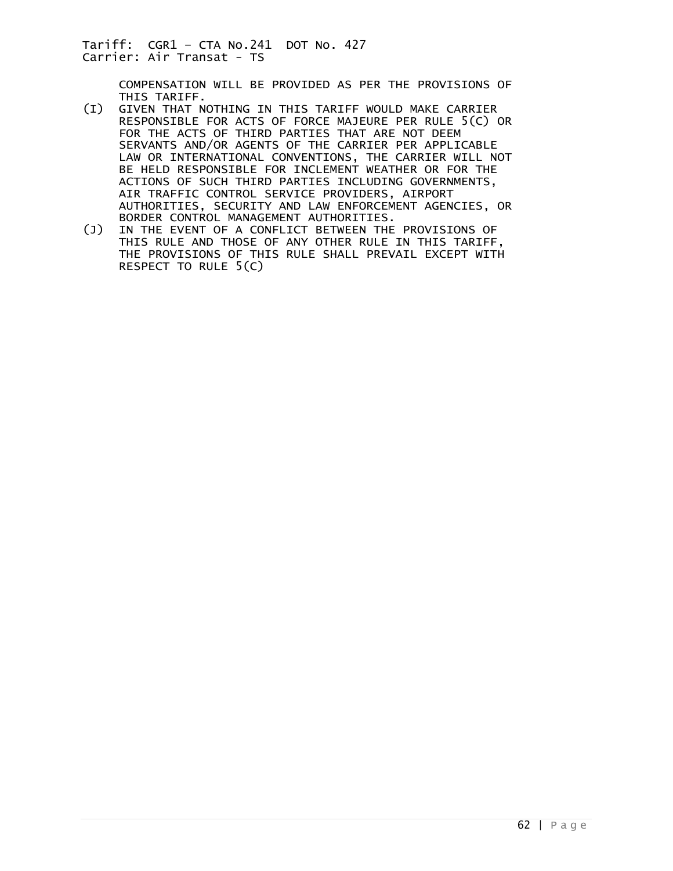COMPENSATION WILL BE PROVIDED AS PER THE PROVISIONS OF

- THIS TARIFF.<br>(I) GIVEN THAT N GIVEN THAT NOTHING IN THIS TARIFF WOULD MAKE CARRIER RESPONSIBLE FOR ACTS OF FORCE MAJEURE PER RULE 5(C) OR FOR THE ACTS OF THIRD PARTIES THAT ARE NOT DEEM SERVANTS AND/OR AGENTS OF THE CARRIER PER APPLICABLE LAW OR INTERNATIONAL CONVENTIONS, THE CARRIER WILL NOT BE HELD RESPONSIBLE FOR INCLEMENT WEATHER OR FOR THE ACTIONS OF SUCH THIRD PARTIES INCLUDING GOVERNMENTS, AIR TRAFFIC CONTROL SERVICE PROVIDERS, AIRPORT AUTHORITIES, SECURITY AND LAW ENFORCEMENT AGENCIES, OR BORDER CONTROL MANAGEMENT AUTHORITIES.
- (J) IN THE EVENT OF A CONFLICT BETWEEN THE PROVISIONS OF THIS RULE AND THOSE OF ANY OTHER RULE IN THIS TARIFF, THE PROVISIONS OF THIS RULE SHALL PREVAIL EXCEPT WITH RESPECT TO RULE 5(C)